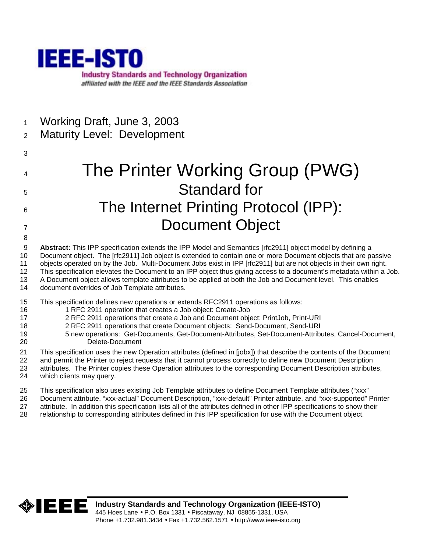

1 Working Draft, June 3, 2003

# 2 Maturity Level: Development

3

- 4 The Printer Working Group (PWG) 5 Standard for 6 The Internet Printing Protocol (IPP): 7 Document Object
- 9 **Abstract:** This IPP specification extends the IPP Model and Semantics [rfc2911] object model by defining a 10 Document object. The [rfc2911] Job object is extended to contain one or more Document objects that are passive 11 objects operated on by the Job. Multi-Document Jobs exist in IPP [rfc2911] but are not objects in their own right. 12 This specification elevates the Document to an IPP object thus giving access to a document's metadata within a Job. 13 A Document object allows template attributes to be applied at both the Job and Document level. This enables
- 14 document overrides of Job Template attributes.
- 15 This specification defines new operations or extends RFC2911 operations as follows:
- 16 1 RFC 2911 operation that creates a Job object: Create-Job
- 17 2 RFC 2911 operations that create a Job and Document object: PrintJob, Print-URI
- 18 2 RFC 2911 operations that create Document objects: Send-Document, Send-URI
- 19 5 new operations: Get-Documents, Get-Document-Attributes, Set-Document-Attributes, Cancel-Document, 20 Delete-Document
- 21 This specification uses the new Operation attributes (defined in [jobx]) that describe the contents of the Document
- 22 and permit the Printer to reject requests that it cannot process correctly to define new Document Description 23 attributes. The Printer copies these Operation attributes to the corresponding Document Description attributes, 24 which clients may query.
- 25 This specification also uses existing Job Template attributes to define Document Template attributes ("xxx"
- 26 Document attribute, "xxx-actual" Document Description, "xxx-default" Printer attribute, and "xxx-supported" Printer
- 27 attribute. In addition this specification lists all of the attributes defined in other IPP specifications to show their
- 28 relationship to corresponding attributes defined in this IPP specification for use with the Document object.

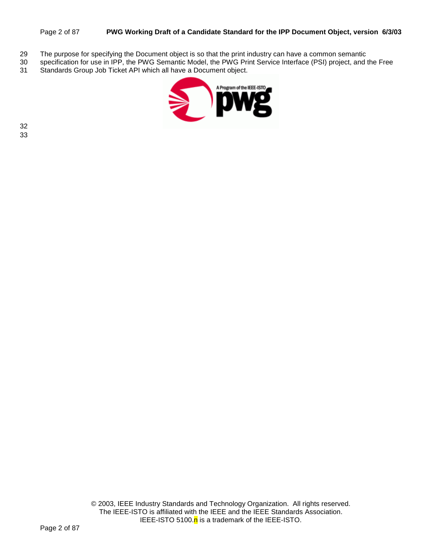#### Page 2 of 87 **PWG Working Draft of a Candidate Standard for the IPP Document Object, version 6/3/03**

- 29 The purpose for specifying the Document object is so that the print industry can have a common semantic
- 30 specification for use in IPP, the PWG Semantic Model, the PWG Print Service Interface (PSI) project, and the Free<br>31 Standards Group Job Ticket API which all have a Document obiect.
- Standards Group Job Ticket API which all have a Document object.

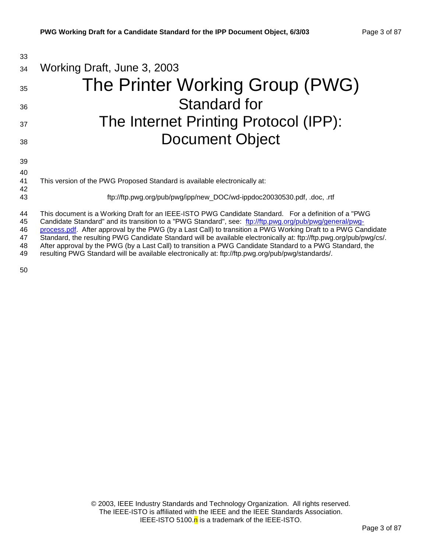| 33       |                                                                                                                                                                                                                                |
|----------|--------------------------------------------------------------------------------------------------------------------------------------------------------------------------------------------------------------------------------|
| 34       | Working Draft, June 3, 2003                                                                                                                                                                                                    |
| 35       | The Printer Working Group (PWG)                                                                                                                                                                                                |
| 36       | <b>Standard for</b>                                                                                                                                                                                                            |
| 37       | The Internet Printing Protocol (IPP):                                                                                                                                                                                          |
| 38       | <b>Document Object</b>                                                                                                                                                                                                         |
| 39<br>40 |                                                                                                                                                                                                                                |
| 41       | This version of the PWG Proposed Standard is available electronically at:                                                                                                                                                      |
| 42<br>43 | ftp://ftp.pwg.org/pub/pwg/ipp/new_DOC/wd-ippdoc20030530.pdf, .doc, .rtf                                                                                                                                                        |
| 44       | This document is a Working Draft for an IEEE-ISTO PWG Candidate Standard. For a definition of a "PWG                                                                                                                           |
| 45       | Candidate Standard" and its transition to a "PWG Standard", see: ftp://ftp.pwg.org/pub/pwg/general/pwg-                                                                                                                        |
| 46       | process.pdf. After approval by the PWG (by a Last Call) to transition a PWG Working Draft to a PWG Candidate                                                                                                                   |
| 47<br>48 | Standard, the resulting PWG Candidate Standard will be available electronically at: ftp://ftp.pwg.org/pub/pwg/cs/.<br>After approval by the PWG (by a Last Call) to transition a PWG Candidate Standard to a PWG Standard, the |

49 resulting PWG Standard will be available electronically at: ftp://ftp.pwg.org/pub/pwg/standards/.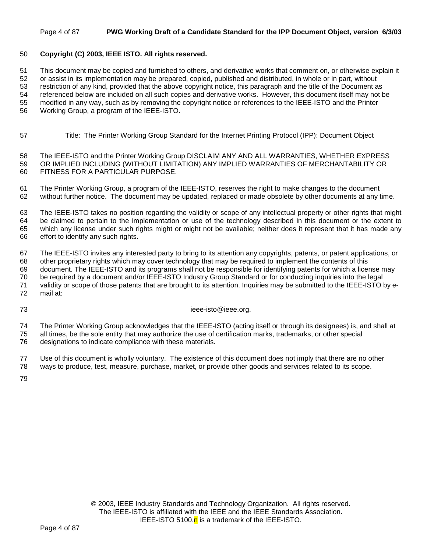#### Page 4 of 87 **PWG Working Draft of a Candidate Standard for the IPP Document Object, version 6/3/03**

### 50 **Copyright (C) 2003, IEEE ISTO. All rights reserved.**

51 This document may be copied and furnished to others, and derivative works that comment on, or otherwise explain it

52 or assist in its implementation may be prepared, copied, published and distributed, in whole or in part, without

53 restriction of any kind, provided that the above copyright notice, this paragraph and the title of the Document as 54 referenced below are included on all such copies and derivative works. However, this document itself may not be

55 modified in any way, such as by removing the copyright notice or references to the IEEE-ISTO and the Printer

56 Working Group, a program of the IEEE-ISTO.

57 Title: The Printer Working Group Standard for the Internet Printing Protocol (IPP): Document Object

58 The IEEE-ISTO and the Printer Working Group DISCLAIM ANY AND ALL WARRANTIES, WHETHER EXPRESS 59 OR IMPLIED INCLUDING (WITHOUT LIMITATION) ANY IMPLIED WARRANTIES OF MERCHANTABILITY OR 60 FITNESS FOR A PARTICULAR PURPOSE.

61 The Printer Working Group, a program of the IEEE-ISTO, reserves the right to make changes to the document 62 without further notice. The document may be updated, replaced or made obsolete by other documents at any time.

63 The IEEE-ISTO takes no position regarding the validity or scope of any intellectual property or other rights that might 64 be claimed to pertain to the implementation or use of the technology described in this document or the extent to 65 which any license under such rights might or might not be available; neither does it represent that it has made any 66 effort to identify any such rights.

67 The IEEE-ISTO invites any interested party to bring to its attention any copyrights, patents, or patent applications, or 68 other proprietary rights which may cover technology that may be required to implement the contents of this

69 document. The IEEE-ISTO and its programs shall not be responsible for identifying patents for which a license may 70 be required by a document and/or IEEE-ISTO Industry Group Standard or for conducting inquiries into the legal 71 validity or scope of those patents that are brought to its attention. Inquiries may be submitted to the IEEE-ISTO by e-

72 mail at:

73 ieee-isto@ieee.org.

74 The Printer Working Group acknowledges that the IEEE-ISTO (acting itself or through its designees) is, and shall at 75 all times, be the sole entity that may authorize the use of certification marks, trademarks, or other special 76 designations to indicate compliance with these materials.

77 Use of this document is wholly voluntary. The existence of this document does not imply that there are no other

78 ways to produce, test, measure, purchase, market, or provide other goods and services related to its scope.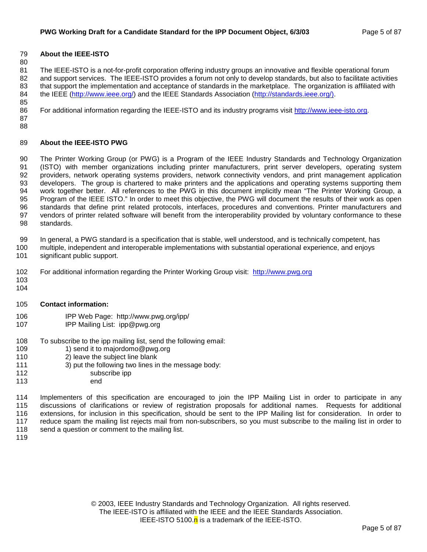### 79 **About the IEEE-ISTO**

80

81 The IEEE-ISTO is a not-for-profit corporation offering industry groups an innovative and flexible operational forum 82 and support services. The IEEE-ISTO provides a forum not only to develop standards, but also to facilitate activities 83 that support the implementation and acceptance of standards in the marketplace. The organization is affiliated with 84 the IEEE (http://www.ieee.org/) and the IEEE Standards Association (http://standards.ieee.org/). 85

86 For additional information regarding the IEEE-ISTO and its industry programs visit http://www.ieee-isto.org.

87 88

### 89 **About the IEEE-ISTO PWG**

90 The Printer Working Group (or PWG) is a Program of the IEEE Industry Standards and Technology Organization 91 (ISTO) with member organizations including printer manufacturers, print server developers, operating system 92 providers, network operating systems providers, network connectivity vendors, and print management application 93 developers. The group is chartered to make printers and the applications and operating systems supporting them 94 work together better. All references to the PWG in this document implicitly mean "The Printer Working Group, a 95 Program of the IEEE ISTO." In order to meet this objective, the PWG will document the results of their work as open 96 standards that define print related protocols, interfaces, procedures and conventions. Printer manufacturers and 97 vendors of printer related software will benefit from the interoperability provided by voluntary conformance to these 98 standards.

99 In general, a PWG standard is a specification that is stable, well understood, and is technically competent, has

- 100 multiple, independent and interoperable implementations with substantial operational experience, and enjoys 101 significant public support.
- 102 For additional information regarding the Printer Working Group visit: http://www.pwg.org
- 103 104
- 105 **Contact information:**
- 106 IPP Web Page: http://www.pwg.org/ipp/
- 107 IPP Mailing List: ipp@pwg.org
- 108 To subscribe to the ipp mailing list, send the following email:
- 109 1) send it to majordomo@pwg.org
- 110 2) leave the subject line blank
- 111 3) put the following two lines in the message body:
- 112 subscribe ipp
- 113 end

114 Implementers of this specification are encouraged to join the IPP Mailing List in order to participate in any 115 discussions of clarifications or review of registration proposals for additional names. Requests for additional 116 extensions, for inclusion in this specification, should be sent to the IPP Mailing list for consideration. In order to 117 reduce spam the mailing list rejects mail from non-subscribers, so you must subscribe to the mailing list in order to 118 send a question or comment to the mailing list.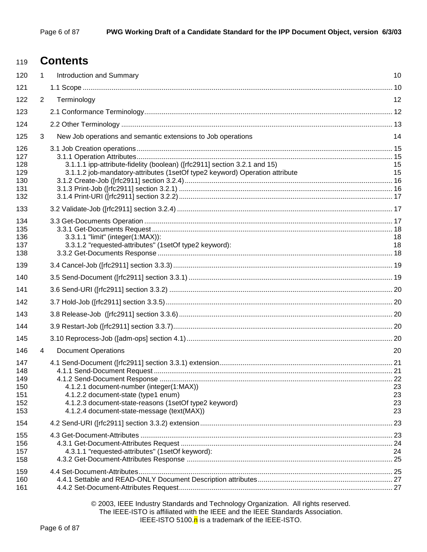# <sup>119</sup>**Contents**

| 120                                           | $\mathbf{1}$ | Introduction and Summary                                                                                                                                                               | 10                   |
|-----------------------------------------------|--------------|----------------------------------------------------------------------------------------------------------------------------------------------------------------------------------------|----------------------|
| 121                                           |              |                                                                                                                                                                                        |                      |
| 122                                           | 2            | Terminology                                                                                                                                                                            | 12                   |
| 123                                           |              |                                                                                                                                                                                        |                      |
| 124                                           |              |                                                                                                                                                                                        |                      |
| 125                                           | 3            | New Job operations and semantic extensions to Job operations                                                                                                                           | 14                   |
| 126<br>127<br>128<br>129<br>130<br>131<br>132 |              | 3.1.1.1 ipp-attribute-fidelity (boolean) ([rfc2911] section 3.2.1 and 15)<br>3.1.1.2 job-mandatory-attributes (1setOf type2 keyword) Operation attribute                               | 15<br>15             |
| 133                                           |              |                                                                                                                                                                                        |                      |
| 134<br>135<br>136<br>137<br>138               |              | 3.3.1.1 "limit" (integer(1:MAX)):<br>3.3.1.2 "requested-attributes" (1setOf type2 keyword):                                                                                            | 18<br>18             |
| 139                                           |              |                                                                                                                                                                                        |                      |
| 140                                           |              |                                                                                                                                                                                        |                      |
| 141                                           |              |                                                                                                                                                                                        |                      |
| 142                                           |              |                                                                                                                                                                                        |                      |
| 143                                           |              |                                                                                                                                                                                        |                      |
| 144                                           |              |                                                                                                                                                                                        |                      |
| 145                                           |              |                                                                                                                                                                                        |                      |
| 146                                           | 4            | <b>Document Operations</b>                                                                                                                                                             | 20                   |
| 147<br>148<br>149<br>150<br>151<br>152<br>153 |              | 4.1.2.1 document-number (integer(1:MAX))<br>4.1.2.2 document-state (type1 enum)<br>4.1.2.3 document-state-reasons (1setOf type2 keyword)<br>4.1.2.4 document-state-message (text(MAX)) | 23<br>23<br>23<br>23 |
| 154                                           |              |                                                                                                                                                                                        |                      |
| 155<br>156<br>157<br>158                      |              | 4.3.1.1 "requested-attributes" (1setOf keyword):                                                                                                                                       | 24                   |
| 159<br>160<br>161                             |              |                                                                                                                                                                                        |                      |

© 2003, IEEE Industry Standards and Technology Organization. All rights reserved. The IEEE-ISTO is affiliated with the IEEE and the IEEE Standards Association. IEEE-ISTO 5100. $n$  is a trademark of the IEEE-ISTO.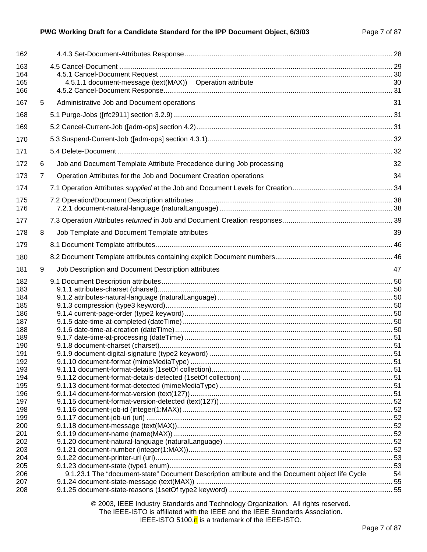#### PWG Working Draft for a Candidate Standard for the IPP Document Object, 6/3/03 Page 7 of 87

| 162                      |   |                                                                                                 |      |
|--------------------------|---|-------------------------------------------------------------------------------------------------|------|
| 163<br>164<br>165<br>166 |   | 4.5.1.1 document-message (text(MAX)) Operation attribute                                        | 30   |
| 167                      | 5 | Administrative Job and Document operations                                                      | 31   |
| 168                      |   |                                                                                                 |      |
| 169                      |   |                                                                                                 |      |
| 170                      |   |                                                                                                 |      |
| 171                      |   |                                                                                                 |      |
| 172                      | 6 | Job and Document Template Attribute Precedence during Job processing                            | 32   |
| 173                      | 7 | Operation Attributes for the Job and Document Creation operations                               | 34   |
| 174                      |   |                                                                                                 |      |
|                          |   |                                                                                                 |      |
| 175<br>176               |   |                                                                                                 |      |
| 177                      |   |                                                                                                 |      |
| 178                      | 8 | Job Template and Document Template attributes                                                   | 39   |
| 179                      |   |                                                                                                 |      |
| 180                      |   |                                                                                                 |      |
| 181                      | 9 | Job Description and Document Description attributes                                             | 47   |
| 182<br>183<br>184        |   |                                                                                                 |      |
| 185                      |   |                                                                                                 |      |
| 186<br>187               |   |                                                                                                 |      |
| 188                      |   |                                                                                                 |      |
| 189                      |   |                                                                                                 |      |
| 190                      |   |                                                                                                 |      |
| 191                      |   |                                                                                                 |      |
| 192<br>193               |   |                                                                                                 | . 51 |
| 194                      |   |                                                                                                 |      |
| 195                      |   |                                                                                                 |      |
| 196                      |   |                                                                                                 |      |
| 197                      |   |                                                                                                 |      |
| 198                      |   |                                                                                                 |      |
| 199                      |   |                                                                                                 |      |
| 200                      |   |                                                                                                 |      |
| 201                      |   |                                                                                                 |      |
| 202                      |   |                                                                                                 |      |
| 203                      |   |                                                                                                 |      |
| 204                      |   |                                                                                                 |      |
| 205                      |   | 9.1.23.1 The "document-state" Document Description attribute and the Document object life Cycle |      |
| 206<br>207               |   |                                                                                                 | 54   |
| 208                      |   |                                                                                                 |      |
|                          |   |                                                                                                 |      |

© 2003, IEEE Industry Standards and Technology Organization. All rights reserved. The IEEE-ISTO is affiliated with the IEEE and the IEEE Standards Association. IEEE-ISTO 5100.<sup>n</sup> is a trademark of the IEEE-ISTO.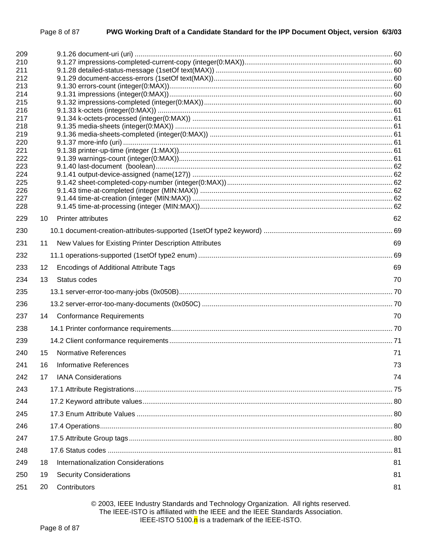| 209<br>210 |                                                                                  |    |
|------------|----------------------------------------------------------------------------------|----|
| 211        |                                                                                  |    |
| 212        |                                                                                  |    |
| 213        |                                                                                  |    |
| 214<br>215 |                                                                                  |    |
| 216        |                                                                                  |    |
| 217        |                                                                                  |    |
| 218        |                                                                                  |    |
| 219<br>220 |                                                                                  |    |
| 221        |                                                                                  |    |
| 222        |                                                                                  |    |
| 223<br>224 |                                                                                  |    |
| 225        |                                                                                  |    |
| 226        |                                                                                  |    |
| 227<br>228 |                                                                                  |    |
| 229        | <b>Printer attributes</b><br>10                                                  | 62 |
| 230        |                                                                                  |    |
| 231        | New Values for Existing Printer Description Attributes<br>11                     | 69 |
| 232        |                                                                                  |    |
| 233        | <b>Encodings of Additional Attribute Tags</b><br>12                              | 69 |
| 234        | 13<br>Status codes                                                               | 70 |
| 235        |                                                                                  |    |
| 236        |                                                                                  |    |
| 237        | <b>Conformance Requirements</b><br>14                                            | 70 |
| 238        |                                                                                  |    |
| 239        |                                                                                  |    |
| 240        | <b>Normative References</b><br>15                                                | 71 |
| 241        | <b>Informative References</b><br>16                                              | 73 |
| 242        | <b>IANA Considerations</b><br>17                                                 | 74 |
| 243        |                                                                                  |    |
| 244        |                                                                                  |    |
| 245        |                                                                                  |    |
| 246        |                                                                                  |    |
| 247        |                                                                                  |    |
| 248        |                                                                                  |    |
| 249        | Internationalization Considerations<br>18                                        | 81 |
| 250        | <b>Security Considerations</b><br>19                                             | 81 |
| 251        | Contributors<br>20                                                               | 81 |
|            | © 2003. IFFF Industry Standards and Technology Organization. All rights reserved |    |

#### © 2003, IEEE Industry Standards and Technology Organization. All rights reserved. The IEEE-ISTO is affiliated with the IEEE and the IEEE Standards Association. IEEE-ISTO 5100.<sup>n</sup> is a trademark of the IEEE-ISTO.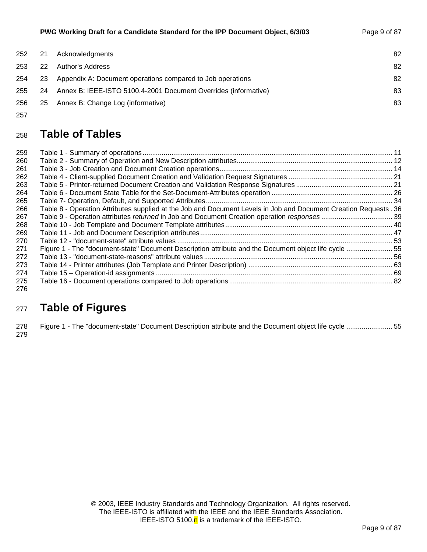| 252 | 21  | Acknowledgments                                                 | 82 |
|-----|-----|-----------------------------------------------------------------|----|
| 253 | 22  | Author's Address                                                | 82 |
| 254 | 23  | Appendix A: Document operations compared to Job operations      | 82 |
| 255 | 24  | Annex B: IEEE-ISTO 5100.4-2001 Document Overrides (informative) | 83 |
| 256 | -25 | Annex B: Change Log (informative)                               | 83 |
| 257 |     |                                                                 |    |

# <sup>258</sup>**Table of Tables**

| 259  |                                                                                                                  |  |
|------|------------------------------------------------------------------------------------------------------------------|--|
| 260  |                                                                                                                  |  |
| 261  |                                                                                                                  |  |
| 262  |                                                                                                                  |  |
| 263  |                                                                                                                  |  |
| 264  |                                                                                                                  |  |
| 265  |                                                                                                                  |  |
| 266  | Table 8 - Operation Attributes supplied at the Job and Document Levels in Job and Document Creation Requests. 36 |  |
| 267  |                                                                                                                  |  |
| 268  |                                                                                                                  |  |
| 269  |                                                                                                                  |  |
| 270  |                                                                                                                  |  |
| 271  | Figure 1 - The "document-state" Document Description attribute and the Document object life cycle  55            |  |
| 272. |                                                                                                                  |  |
| 273. |                                                                                                                  |  |
| 274  |                                                                                                                  |  |
| 275  |                                                                                                                  |  |
|      |                                                                                                                  |  |

### 276

# <sup>277</sup>**Table of Figures**

278 Figure 1 - The "document-state" Document Description attribute and the Document object life cycle ........................ 55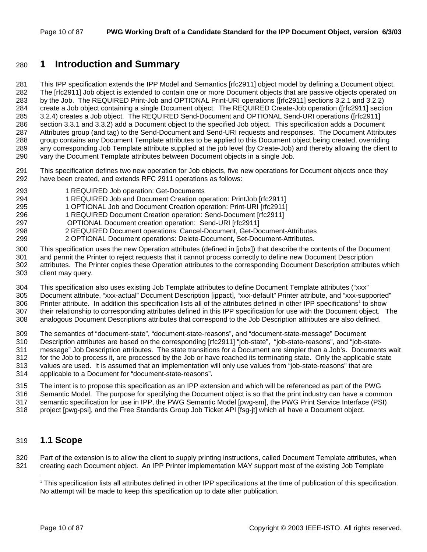# 280 **1 Introduction and Summary**

281 This IPP specification extends the IPP Model and Semantics [rfc2911] object model by defining a Document object. 282 The [rfc2911] Job object is extended to contain one or more Document objects that are passive objects operated on 283 by the Job. The REQUIRED Print-Job and OPTIONAL Print-URI operations ([rfc2911] sections 3.2.1 and 3.2.2) 284 create a Job object containing a single Document object. The REQUIRED Create-Job operation ([rfc2911] section 285 3.2.4) creates a Job object. The REQUIRED Send-Document and OPTIONAL Send-URI operations ([rfc2911] 286 section 3.3.1 and 3.3.2) add a Document object to the specified Job object. This specification adds a Document 287 Attributes group (and tag) to the Send-Document and Send-URI requests and responses. The Document Attributes 288 group contains any Document Template attributes to be applied to this Document object being created, overriding 289 any corresponding Job Template attribute supplied at the job level (by Create-Job) and thereby allowing the client to 290 vary the Document Template attributes between Document objects in a single Job.

- 291 This specification defines two new operation for Job objects, five new operations for Document objects once they 292 have been created, and extends RFC 2911 operations as follows:
- 293 1 REQUIRED Job operation: Get-Documents
- 294 1 REQUIRED Job and Document Creation operation: PrintJob [rfc2911]
- 295 1 OPTIONAL Job and Document Creation operation: Print-URI [rfc2911]
- 296 1 REQUIRED Document Creation operation: Send-Document [rfc2911]
- 297 OPTIONAL Document creation operation: Send-URI [rfc2911]
- 298 2 REQUIRED Document operations: Cancel-Document, Get-Document-Attributes
- 299 2 OPTIONAL Document operations: Delete-Document, Set-Document-Attributes.
- 300 This specification uses the new Operation attributes (defined in [jobx]) that describe the contents of the Document 301 and permit the Printer to reject requests that it cannot process correctly to define new Document Description
- 302 attributes. The Printer copies these Operation attributes to the corresponding Document Description attributes which 303 client may query.
- 304 This specification also uses existing Job Template attributes to define Document Template attributes ("xxx"
- 305 Document attribute, "xxx-actual" Document Description [ippact], "xxx-default" Printer attribute, and "xxx-supported"
- 306 Printer attribute. In addition this specification lists all of the attributes defined in other IPP specifications<sup>1</sup> to show
- 307 their relationship to corresponding attributes defined in this IPP specification for use with the Document object. The 308 analogous Document Descriptions attributes that correspond to the Job Description attributes are also defined.
- 309 The semantics of "document-state", "document-state-reasons", and "document-state-message" Document 310 Description attributes are based on the corresponding [rfc2911] "job-state", "job-state-reasons", and "job-state-311 message" Job Description attributes. The state transitions for a Document are simpler than a Job's. Documents wait 312 for the Job to process it, are processed by the Job or have reached its terminating state. Only the applicable state 313 values are used. It is assumed that an implementation will only use values from "job-state-reasons" that are 314 applicable to a Document for "document-state-reasons".
- 315 The intent is to propose this specification as an IPP extension and which will be referenced as part of the PWG 316 Semantic Model. The purpose for specifying the Document object is so that the print industry can have a common 317 semantic specification for use in IPP, the PWG Semantic Model [pwg-sm], the PWG Print Service Interface (PSI)
- 318 project [pwg-psi], and the Free Standards Group Job Ticket API [fsg-jt] which all have a Document object.

### 319 **1.1 Scope**

l

320 Part of the extension is to allow the client to supply printing instructions, called Document Template attributes, when 321 creating each Document object. An IPP Printer implementation MAY support most of the existing Job Template

<sup>1</sup> This specification lists all attributes defined in other IPP specifications at the time of publication of this specification. No attempt will be made to keep this specification up to date after publication.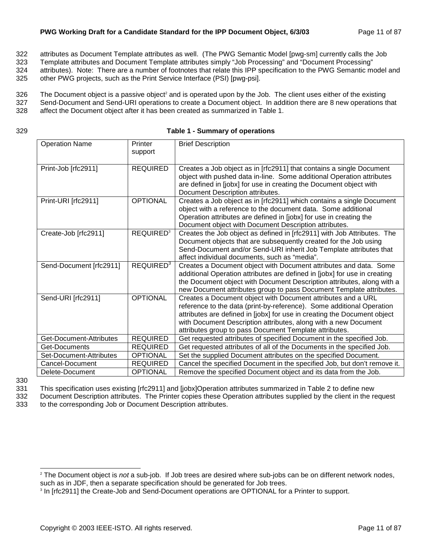- 322 attributes as Document Template attributes as well. (The PWG Semantic Model [pwg-sm] currently calls the Job
- 323 Template attributes and Document Template attributes simply "Job Processing" and "Document Processing"
- 324 attributes). Note: There are a number of footnotes that relate this IPP specification to the PWG Semantic model and
- 325 other PWG projects, such as the Print Service Interface (PSI) [pwg-psi].
- 326 The Document object is a passive object<sup>2</sup> and is operated upon by the Job. The client uses either of the existing
- 327 Send-Document and Send-URI operations to create a Document object. In addition there are 8 new operations that
- 328 affect the Document object after it has been created as summarized in Table 1.
- 
- 329 **Table 1 Summary of operations**

| <b>Operation Name</b>   | Printer                                                                   | <b>Brief Description</b>                                                                                                                      |
|-------------------------|---------------------------------------------------------------------------|-----------------------------------------------------------------------------------------------------------------------------------------------|
|                         | support                                                                   |                                                                                                                                               |
|                         | <b>REQUIRED</b>                                                           |                                                                                                                                               |
| Print-Job [rfc2911]     |                                                                           | Creates a Job object as in [rfc2911] that contains a single Document<br>object with pushed data in-line. Some additional Operation attributes |
|                         |                                                                           | are defined in [jobx] for use in creating the Document object with                                                                            |
|                         |                                                                           | Document Description attributes.                                                                                                              |
| Print-URI [rfc2911]     | <b>OPTIONAL</b>                                                           | Creates a Job object as in [rfc2911] which contains a single Document                                                                         |
|                         |                                                                           | object with a reference to the document data. Some additional                                                                                 |
|                         |                                                                           | Operation attributes are defined in [jobx] for use in creating the                                                                            |
|                         |                                                                           | Document object with Document Description attributes.                                                                                         |
| Create-Job [rfc2911]    | REQUIRED <sup>3</sup>                                                     | Creates the Job object as defined in [rfc2911] with Job Attributes. The                                                                       |
|                         |                                                                           | Document objects that are subsequently created for the Job using                                                                              |
|                         |                                                                           | Send-Document and/or Send-URI inherit Job Template attributes that                                                                            |
|                         |                                                                           | affect individual documents, such as "media".                                                                                                 |
| Send-Document [rfc2911] | REQUIRED <sup>3</sup>                                                     | Creates a Document object with Document attributes and data. Some                                                                             |
|                         | additional Operation attributes are defined in [jobx] for use in creating |                                                                                                                                               |
|                         |                                                                           | the Document object with Document Description attributes, along with a                                                                        |
|                         |                                                                           | new Document attributes group to pass Document Template attributes.                                                                           |
| Send-URI [rfc2911]      | <b>OPTIONAL</b>                                                           | Creates a Document object with Document attributes and a URL                                                                                  |
|                         |                                                                           | reference to the data (print-by-reference). Some additional Operation                                                                         |
|                         |                                                                           | attributes are defined in [jobx] for use in creating the Document object                                                                      |
|                         |                                                                           | with Document Description attributes, along with a new Document                                                                               |
| Get-Document-Attributes |                                                                           | attributes group to pass Document Template attributes.                                                                                        |
|                         | <b>REQUIRED</b><br><b>REQUIRED</b>                                        | Get requested attributes of specified Document in the specified Job.                                                                          |
| Get-Documents           |                                                                           | Get requested attributes of all of the Documents in the specified Job.                                                                        |
| Set-Document-Attributes | <b>OPTIONAL</b>                                                           | Set the supplied Document attributes on the specified Document.                                                                               |
| Cancel-Document         | <b>REQUIRED</b>                                                           | Cancel the specified Document in the specified Job, but don't remove it.                                                                      |
| Delete-Document         | <b>OPTIONAL</b>                                                           | Remove the specified Document object and its data from the Job.                                                                               |

330

l

331 This specification uses existing [rfc2911] and [jobx]Operation attributes summarized in Table 2 to define new

332 Document Description attributes. The Printer copies these Operation attributes supplied by the client in the request 333 to the corresponding Job or Document Description attributes.

<sup>2</sup> The Document object is *not* a sub-job. If Job trees are desired where sub-jobs can be on different network nodes, such as in JDF, then a separate specification should be generated for Job trees.

<sup>&</sup>lt;sup>3</sup> In [rfc2911] the Create-Job and Send-Document operations are OPTIONAL for a Printer to support.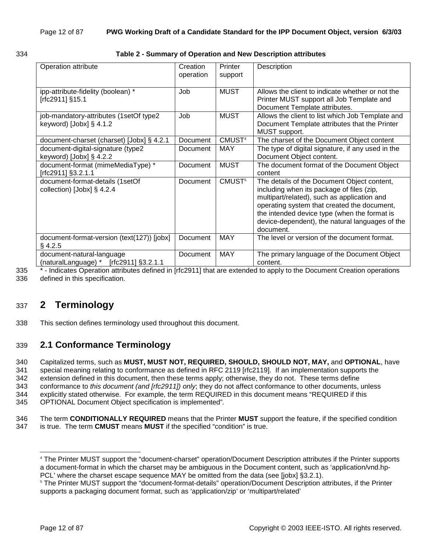#### 334 **Table 2 - Summary of Operation and New Description attributes**

| Operation attribute                                                    | Creation<br>operation | Printer<br>support | Description                                                                                                                                                                                                                                                                                            |
|------------------------------------------------------------------------|-----------------------|--------------------|--------------------------------------------------------------------------------------------------------------------------------------------------------------------------------------------------------------------------------------------------------------------------------------------------------|
| ipp-attribute-fidelity (boolean) *<br>[rfc2911] §15.1                  | Job                   | <b>MUST</b>        | Allows the client to indicate whether or not the<br>Printer MUST support all Job Template and<br>Document Template attributes.                                                                                                                                                                         |
| job-mandatory-attributes (1setOf type2<br>keyword) $[John]$ § 4.1.2    | Job                   | <b>MUST</b>        | Allows the client to list which Job Template and<br>Document Template attributes that the Printer<br>MUST support.                                                                                                                                                                                     |
| document-charset (charset) [Jobx] § 4.2.1                              | Document              | CMUST <sup>4</sup> | The charset of the Document Object content                                                                                                                                                                                                                                                             |
| document-digital-signature (type2<br>keyword) $[John]$ § 4.2.2         | Document              | <b>MAY</b>         | The type of digital signature, if any used in the<br>Document Object content.                                                                                                                                                                                                                          |
| document-format (mimeMediaType) *<br>[rfc2911] §3.2.1.1                | Document              | <b>MUST</b>        | The document format of the Document Object<br>content                                                                                                                                                                                                                                                  |
| document-format-details (1setOf<br>collection) [Jobx] $\S$ 4.2.4       | Document              | CMUST <sup>5</sup> | The details of the Document Object content,<br>including when its package of files (zip,<br>multipart/related), such as application and<br>operating system that created the document,<br>the intended device type (when the format is<br>device-dependent), the natural languages of the<br>document. |
| document-format-version (text(127)) [jobx]<br>$§$ 4.2.5                | Document              | <b>MAY</b>         | The level or version of the document format.                                                                                                                                                                                                                                                           |
| document-natural-language<br>[rfc2911] §3.2.1.1<br>(naturalLanguage) * | Document              | <b>MAY</b>         | The primary language of the Document Object<br>content.                                                                                                                                                                                                                                                |

335 \* - Indicates Operation attributes defined in [rfc2911] that are extended to apply to the Document Creation operations 336 defined in this specification.

# 337 **2 Terminology**

338 This section defines terminology used throughout this document.

# 339 **2.1 Conformance Terminology**

340 Capitalized terms, such as **MUST, MUST NOT, REQUIRED, SHOULD, SHOULD NOT, MAY,** and **OPTIONAL**, have

341 special meaning relating to conformance as defined in RFC 2119 [rfc2119]. If an implementation supports the

342 extension defined in this document, then these terms apply; otherwise, they do not. These terms define

343 conformance to *this document (and [rfc2911]) only*; they do not affect conformance to other documents, unless 344 explicitly stated otherwise. For example, the term REQUIRED in this document means "REQUIRED if this

345 OPTIONAL Document Object specification is implemented"*.* 

346 The term **CONDITIONALLY REQUIRED** means that the Printer **MUST** support the feature, if the specified condition 347 is true. The term **CMUST** means **MUST** if the specified "condition" is true.

l

<sup>4</sup> The Printer MUST support the "document-charset" operation/Document Description attributes if the Printer supports a document-format in which the charset may be ambiguous in the Document content, such as 'application/vnd.hp-PCL' where the charset escape sequence MAY be omitted from the data (see [jobx] §3.2.1).

<sup>5</sup> The Printer MUST support the "document-format-details" operation/Document Description attributes, if the Printer supports a packaging document format, such as 'application/zip' or 'multipart/related'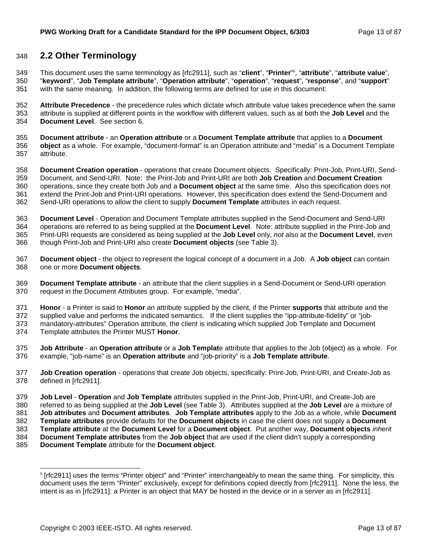### 348 **2.2 Other Terminology**

This document uses the same terminology as [rfc2911], such as "**client**", "**Printer**" <sup>6</sup> 349 , "**attribute**", "**attribute value**",

- 350 "**keyword**", "**Job Template attribute**", "**Operation attribute**", "**operation**", "**request**", "**response**", and "**support**" 351 with the same meaning. In addition, the following terms are defined for use in this document:
- 352 **Attribute Precedence** the precedence rules which dictate which attribute value takes precedence when the same 353 attribute is supplied at different points in the workflow with different values, such as at both the **Job Level** and the 354 **Document Level**. See section 6.
- 355 **Document attribute** an **Operation attribute** or a **Document Template attribute** that applies to a **Document**  356 **object** as a whole. For example, "document-format" is an Operation attribute and "media" is a Document Template 357 attribute.
- 358 **Document Creation operation**  operations that create Document objects. Specifically: Print-Job, Print-URI, Send-359 Document, and Send-URI. Note: the Print-Job and Print-URI are both **Job Creation** and **Document Creation** 360 operations, since they create both Job and a **Document object** at the same time. Also this specification does not 361 extend the Print-Job and Print-URI operations. However, this specification does extend the Send-Document and 362 Send-URI operations to allow the client to supply **Document Template** attributes in each request.
- 363 **Document Level** Operation and Document Template attributes supplied in the Send-Document and Send-URI 364 operations are referred to as being supplied at the **Document Level**. Note: attribute supplied in the Print-Job and 365 Print-URI requests are considered as being supplied at the **Job Level** only, *not* also at the **Document Level**, even 366 though Print-Job and Print-URI also create **Document objects** (see Table 3).
- 367 **Document object** the object to represent the logical concept of a document in a Job. A **Job object** can contain 368 one or more **Document objects**.
- 369 **Document Template attribute**  an attribute that the client supplies in a Send-Document or Send-URI operation 370 request in the Document Attributes group. For example, "media".
- 371 **Honor**  a Printer is said to **Honor** an attribute supplied by the client, if the Printer **supports** that attribute and the
- 372 supplied value and performs the indicated semantics. If the client supplies the "ipp-attribute-fidelity" or "job-373 mandatory-attributes" Operation attribute, the client is indicating which supplied Job Template and Document
- 374 Template attributes the Printer MUST **Honor**.
- 375 **Job Attribute** an **Operation attribute** or a **Job Templat**e attribute that applies to the Job (object) as a whole. For 376 example, "job-name" is an **Operation attribute** and "job-priority" is a **Job Template attribute**.
- 377 **Job Creation operation** operations that create Job objects, specifically: Print-Job, Print-URI, and Create-Job as 378 defined in [rfc2911].
- 379 **Job Level Operation** and **Job Template** attributes supplied in the Print-Job, Print-URI, and Create-Job are 380 referred to as being supplied at the **Job Level** (see Table 3). Attributes supplied at the **Job Level** are a mixture of
- 381 **Job attributes** and **Document attributes**. **Job Template attributes** apply to the Job as a whole, while **Document**
- 382 **Template attributes** provide defaults for the **Document objects** in case the client does not supply a **Document**
- 383 **Template attribute** at the **Document Level** for a **Document object**. Put another way, **Document objects** *inherit*
- 384 **Document Template attributes** from the **Job object** that are used if the client didn't supply a corresponding
- 385 **Document Template** attribute for the **Document object**.

l

<sup>6</sup> [rfc2911] uses the terms "Printer object" and "Printer" interchangeably to mean the same thing. For simplicity, this document uses the term "Printer" exclusively, except for definitions copied directly from [rfc2911]. None the less, the intent is as in [rfc2911]: a Printer is an object that MAY be hosted in the device or in a server as in [rfc2911].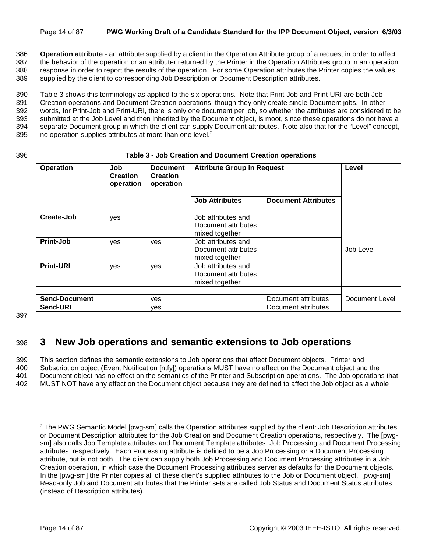#### Page 14 of 87 **PWG Working Draft of a Candidate Standard for the IPP Document Object, version 6/3/03**

386 **Operation attribute** - an attribute supplied by a client in the Operation Attribute group of a request in order to affect 387 the behavior of the operation or an attributer returned by the Printer in the Operation Attributes group in an operation 388 response in order to report the results of the operation. For some Operation attributes the Printer copies the values 389 supplied by the client to corresponding Job Description or Document Description attributes.

390 Table 3 shows this terminology as applied to the six operations. Note that Print-Job and Print-URI are both Job 391 Creation operations and Document Creation operations, though they only create single Document jobs. In other 392 words, for Print-Job and Print-URI, there is only one document per job, so whether the attributes are considered to be 393 submitted at the Job Level and then inherited by the Document object, is moot, since these operations do not have a 394 separate Document group in which the client can supply Document attributes. Note also that for the "Level" concept, 395 no operation supplies attributes at more than one level. $<sup>7</sup>$ </sup>

#### 396 **Table 3 - Job Creation and Document Creation operations**

| Operation            | Job<br><b>Creation</b><br>operation | <b>Document</b><br><b>Creation</b><br>operation | <b>Attribute Group in Request</b>                           |                            | Level          |
|----------------------|-------------------------------------|-------------------------------------------------|-------------------------------------------------------------|----------------------------|----------------|
|                      |                                     |                                                 | <b>Job Attributes</b>                                       | <b>Document Attributes</b> |                |
| Create-Job           | yes                                 |                                                 | Job attributes and<br>Document attributes<br>mixed together |                            |                |
| Print-Job            | yes                                 | yes                                             | Job attributes and<br>Document attributes<br>mixed together |                            | Job Level      |
| <b>Print-URI</b>     | yes                                 | yes                                             | Job attributes and<br>Document attributes<br>mixed together |                            |                |
| <b>Send-Document</b> |                                     | ves                                             |                                                             | Document attributes        | Document Level |
| Send-URI             |                                     | ves                                             |                                                             | Document attributes        |                |

397

l

# 398 **3 New Job operations and semantic extensions to Job operations**

399 This section defines the semantic extensions to Job operations that affect Document objects. Printer and 400 Subscription object (Event Notification [ntfy]) operations MUST have no effect on the Document object and the 401 Document object has no effect on the semantics of the Printer and Subscription operations. The Job operations that 402 MUST NOT have any effect on the Document object because they are defined to affect the Job object as a whole

<sup>7</sup> The PWG Semantic Model [pwg-sm] calls the Operation attributes supplied by the client: Job Description attributes or Document Description attributes for the Job Creation and Document Creation operations, respectively. The [pwgsm] also calls Job Template attributes and Document Template attributes: Job Processing and Document Processing attributes, respectively. Each Processing attribute is defined to be a Job Processing or a Document Processing attribute, but is not both. The client can supply both Job Processing and Document Processing attributes in a Job Creation operation, in which case the Document Processing attributes server as defaults for the Document objects. In the [pwg-sm] the Printer copies all of these client's supplied attributes to the Job or Document object. [pwg-sm] Read-only Job and Document attributes that the Printer sets are called Job Status and Document Status attributes (instead of Description attributes).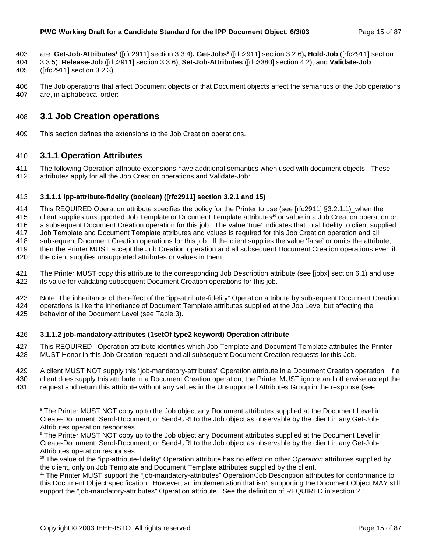- are: **Get-Job-Attributes8** ([rfc2911] section 3.3.4)**, Get-Jobs9** 403 ([rfc2911] section 3.2.6)**, Hold-Job** ([rfc2911] section
- 404 3.3.5), **Release-Job** ([rfc2911] section 3.3.6), **Set-Job-Attributes** ([rfc3380] section 4.2), and **Validate-Job**
- 405 ([rfc2911] section 3.2.3).
- 406 The Job operations that affect Document objects or that Document objects affect the semantics of the Job operations 407 are, in alphabetical order:

### 408 **3.1 Job Creation operations**

409 This section defines the extensions to the Job Creation operations.

### 410 **3.1.1 Operation Attributes**

l

411 The following Operation attribute extensions have additional semantics when used with document objects. These 412 attributes apply for all the Job Creation operations and Validate-Job:

#### 413 **3.1.1.1 ipp-attribute-fidelity (boolean) ([rfc2911] section 3.2.1 and 15)**

414 This REQUIRED Operation attribute specifies the policy for the Printer to use (see [rfc2911] §3.2.1.1)\_when the 415 client supplies unsupported Job Template or Document Template attributes<sup>10</sup> or value in a Job Creation operation or 416 a subsequent Document Creation operation for this job. The value 'true' indicates that total fidelity to client supplied 417 Job Template and Document Template attributes and values is required for this Job Creation operation and all 418 subsequent Document Creation operations for this job. If the client supplies the value 'false' or omits the attribute, 419 then the Printer MUST accept the Job Creation operation and all subsequent Document Creation operations even if 420 the client supplies unsupported attributes or values in them.

421 The Printer MUST copy this attribute to the corresponding Job Description attribute (see [jobx] section 6.1) and use 422 its value for validating subsequent Document Creation operations for this job.

423 Note: The inheritance of the effect of the "ipp-attribute-fidelity" Operation attribute by subsequent Document Creation 424 operations is like the inheritance of Document Template attributes supplied at the Job Level but affecting the 425 behavior of the Document Level (see Table 3).

#### 426 **3.1.1.2 job-mandatory-attributes (1setOf type2 keyword) Operation attribute**

- 427 This REQUIRED<sup>11</sup> Operation attribute identifies which Job Template and Document Template attributes the Printer 428 MUST Honor in this Job Creation request and all subsequent Document Creation requests for this Job.
- 429 A client MUST NOT supply this "job-mandatory-attributes" Operation attribute in a Document Creation operation. If a 430 client does supply this attribute in a Document Creation operation, the Printer MUST ignore and otherwise accept the 431 request and return this attribute without any values in the Unsupported Attributes Group in the response (see

<sup>&</sup>lt;sup>8</sup> The Printer MUST NOT copy up to the Job object any Document attributes supplied at the Document Level in Create-Document, Send-Document, or Send-URI to the Job object as observable by the client in any Get-Job-Attributes operation responses.

<sup>9</sup> The Printer MUST NOT copy up to the Job object any Document attributes supplied at the Document Level in Create-Document, Send-Document, or Send-URI to the Job object as observable by the client in any Get-Job-Attributes operation responses.

<sup>10</sup> The value of the "ipp-attribute-fidelity" Operation attribute has no effect on other O*peration* attributes supplied by the client, only on Job Template and Document Template attributes supplied by the client.

<sup>&</sup>lt;sup>11</sup> The Printer MUST support the "job-mandatory-attributes" Operation/Job Description attributes for conformance to this Document Object specification. However, an implementation that isn't supporting the Document Object MAY still support the "job-mandatory-attributes" Operation attribute. See the definition of REQUIRED in section 2.1.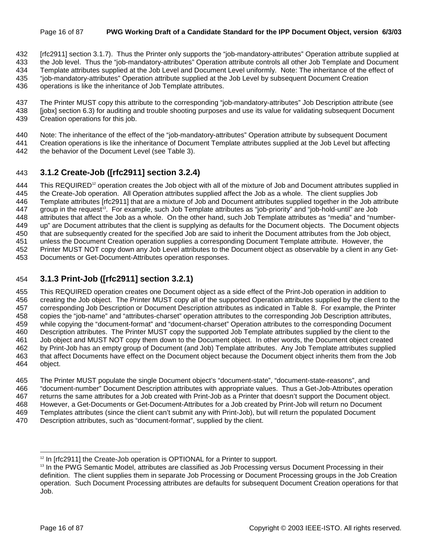#### Page 16 of 87 **PWG Working Draft of a Candidate Standard for the IPP Document Object, version 6/3/03**

432 [rfc2911] section 3.1.7). Thus the Printer only supports the "job-mandatory-attributes" Operation attribute supplied at

433 the Job level. Thus the "job-mandatory-attributes" Operation attribute controls all other Job Template and Document

434 Template attributes supplied at the Job Level and Document Level uniformly. Note: The inheritance of the effect of 435 "job-mandatory-attributes" Operation attribute supplied at the Job Level by subsequent Document Creation

- 436 operations is like the inheritance of Job Template attributes.
- 437 The Printer MUST copy this attribute to the corresponding "job-mandatory-attributes" Job Description attribute (see
- 438 [jobx] section 6.3) for auditing and trouble shooting purposes and use its value for validating subsequent Document 439 Creation operations for this job.
- 440 Note: The inheritance of the effect of the "job-mandatory-attributes" Operation attribute by subsequent Document
- 441 Creation operations is like the inheritance of Document Template attributes supplied at the Job Level but affecting
- 442 the behavior of the Document Level (see Table 3).

### 443 **3.1.2 Create-Job ([rfc2911] section 3.2.4)**

444 This REQUIRED<sup>12</sup> operation creates the Job object with all of the mixture of Job and Document attributes supplied in 445 the Create-Job operation. All Operation attributes supplied affect the Job as a whole. The client supplies Job 446 Template attributes [rfc2911] that are a mixture of Job and Document attributes supplied together in the Job attribute 447  $\alpha$  group in the request<sup>13</sup>. For example, such Job Template attributes as "job-priority" and "job-hold-until" are Job 448 attributes that affect the Job as a whole. On the other hand, such Job Template attributes as "media" and "number-449 up" are Document attributes that the client is supplying as defaults for the Document objects. The Document objects 450 that are subsequently created for the specified Job are said to inherit the Document attributes from the Job object, 451 unless the Document Creation operation supplies a corresponding Document Template attribute. However, the 452 Printer MUST NOT copy down any Job Level attributes to the Document object as observable by a client in any Get-453 Documents or Get-Document-Attributes operation responses.

### 454 **3.1.3 Print-Job ([rfc2911] section 3.2.1)**

455 This REQUIRED operation creates one Document object as a side effect of the Print-Job operation in addition to 456 creating the Job object. The Printer MUST copy all of the supported Operation attributes supplied by the client to the 457 corresponding Job Description or Document Description attributes as indicated in Table 8. For example, the Printer 458 copies the "job-name" and "attributes-charset" operation attributes to the corresponding Job Description attributes, 459 while copying the "document-format" and "document-charset" Operation attributes to the corresponding Document 460 Description attributes. The Printer MUST copy the supported Job Template attributes supplied by the client to the 461 Job object and MUST NOT copy them down to the Document object. In other words, the Document object created 462 by Print-Job has an empty group of Document (and Job) Template attributes. Any Job Template attributes supplied 463 that affect Documents have effect on the Document object because the Document object inherits them from the Job 464 object.

465 The Printer MUST populate the single Document object's "document-state", "document-state-reasons", and 466 "document-number" Document Description attributes with appropriate values. Thus a Get-Job-Attributes operation 467 returns the same attributes for a Job created with Print-Job as a Printer that doesn't support the Document object. 468 However, a Get-Documents or Get-Document-Attributes for a Job created by Print-Job will return no Document 469 Templates attributes (since the client can't submit any with Print-Job), but will return the populated Document 470 Description attributes, such as "document-format", supplied by the client.

l

<sup>&</sup>lt;sup>12</sup> In [rfc2911] the Create-Job operation is OPTIONAL for a Printer to support.

<sup>&</sup>lt;sup>13</sup> In the PWG Semantic Model, attributes are classified as Job Processing versus Document Processing in their definition. The client supplies them in separate Job Processing or Document Processing groups in the Job Creation operation. Such Document Processing attributes are defaults for subsequent Document Creation operations for that Job.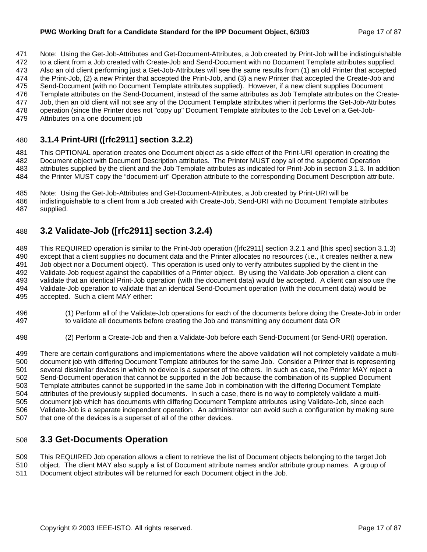#### **PWG Working Draft for a Candidate Standard for the IPP Document Object, 6/3/03** Page 17 of 87

471 Note: Using the Get-Job-Attributes and Get-Document-Attributes, a Job created by Print-Job will be indistinguishable

472 to a client from a Job created with Create-Job and Send-Document with no Document Template attributes supplied. 473 Also an old client performing just a Get-Job-Attributes will see the same results from (1) an old Printer that accepted

474 the Print-Job, (2) a new Printer that accepted the Print-Job, and (3) a new Printer that accepted the Create-Job and 475 Send-Document (with no Document Template attributes supplied). However, if a new client supplies Document

476 Template attributes on the Send-Document, instead of the same attributes as Job Template attributes on the Create-

- 477 Job, then an old client will not see any of the Document Template attributes when it performs the Get-Job-Attributes
- 478 operation (since the Printer does not "copy up" Document Template attributes to the Job Level on a Get-Job-
- 479 Attributes on a one document job

# 480 **3.1.4 Print-URI ([rfc2911] section 3.2.2)**

481 This OPTIONAL operation creates one Document object as a side effect of the Print-URI operation in creating the 482 Document object with Document Description attributes. The Printer MUST copy all of the supported Operation 483 attributes supplied by the client and the Job Template attributes as indicated for Print-Job in section 3.1.3. In addition 484 the Printer MUST copy the "document-uri" Operation attribute to the corresponding Document Description attribute.

485 Note: Using the Get-Job-Attributes and Get-Document-Attributes, a Job created by Print-URI will be 486 indistinguishable to a client from a Job created with Create-Job, Send-URI with no Document Template attributes 487 supplied.

# 488 **3.2 Validate-Job ([rfc2911] section 3.2.4)**

489 This REQUIRED operation is similar to the Print-Job operation ([rfc2911] section 3.2.1 and [this spec] section 3.1.3) 490 except that a client supplies no document data and the Printer allocates no resources (i.e., it creates neither a new 491 Job object nor a Document object). This operation is used only to verify attributes supplied by the client in the 492 Validate-Job request against the capabilities of a Printer object. By using the Validate-Job operation a client can 493 validate that an identical Print-Job operation (with the document data) would be accepted. A client can also use the 494 Validate-Job operation to validate that an identical Send-Document operation (with the document data) would be 495 accepted. Such a client MAY either:

- 496 (1) Perform all of the Validate-Job operations for each of the documents before doing the Create-Job in order 497 to validate all documents before creating the Job and transmitting any document data OR
- 498 (2) Perform a Create-Job and then a Validate-Job before each Send-Document (or Send-URI) operation.

499 There are certain configurations and implementations where the above validation will not completely validate a multi-500 document job with differing Document Template attributes for the same Job. Consider a Printer that is representing 501 several dissimilar devices in which no device is a superset of the others. In such as case, the Printer MAY reject a 502 Send-Document operation that cannot be supported in the Job because the combination of its supplied Document 503 Template attributes cannot be supported in the same Job in combination with the differing Document Template 504 attributes of the previously supplied documents. In such a case, there is no way to completely validate a multi-505 document job which has documents with differing Document Template attributes using Validate-Job, since each 506 Validate-Job is a separate independent operation. An administrator can avoid such a configuration by making sure 507 that one of the devices is a superset of all of the other devices.

# 508 **3.3 Get-Documents Operation**

509 This REQUIRED Job operation allows a client to retrieve the list of Document objects belonging to the target Job 510 object. The client MAY also supply a list of Document attribute names and/or attribute group names. A group of 511 Document object attributes will be returned for each Document object in the Job.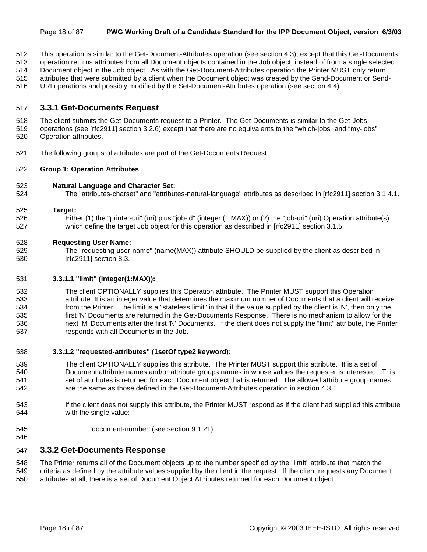- 512 This operation is similar to the Get-Document-Attributes operation (see section 4.3), except that this Get-Documents
- 513 operation returns attributes from all Document objects contained in the Job object, instead of from a single selected
- 514 Document object in the Job object. As with the Get-Document-Attributes operation the Printer MUST only return
- 515 attributes that were submitted by a client when the Document object was created by the Send-Document or Send-
- 516 URI operations and possibly modified by the Set-Document-Attributes operation (see section 4.4).

### 517 **3.3.1 Get-Documents Request**

- 518 The client submits the Get-Documents request to a Printer. The Get-Documents is similar to the Get-Jobs
- 519 operations (see [rfc2911] section 3.2.6) except that there are no equivalents to the "which-jobs" and "my-jobs" 520 Operation attributes.
- 521 The following groups of attributes are part of the Get-Documents Request:

#### 522 **Group 1: Operation Attributes**

#### 523 **Natural Language and Character Set:**

524 The "attributes-charset" and "attributes-natural-language" attributes as described in [rfc2911] section 3.1.4.1.

#### 525 **Target:**

526 Either (1) the "printer-uri" (uri) plus "job-id" (integer (1:MAX)) or (2) the "job-uri" (uri) Operation attribute(s) 527 which define the target Job object for this operation as described in [rfc2911] section 3.1.5.

#### 528 **Requesting User Name:**

529 The "requesting-user-name" (name(MAX)) attribute SHOULD be supplied by the client as described in 530 [rfc2911] section 8.3.

#### 531 **3.3.1.1 "limit" (integer(1:MAX)):**

532 The client OPTIONALLY supplies this Operation attribute. The Printer MUST support this Operation 533 attribute. It is an integer value that determines the maximum number of Documents that a client will receive 534 from the Printer. The limit is a "stateless limit" in that if the value supplied by the client is 'N', then only the 535 first 'N' Documents are returned in the Get-Documents Response. There is no mechanism to allow for the 536 next 'M' Documents after the first 'N' Documents. If the client does not supply the "limit" attribute, the Printer 537 responds with all Documents in the Job.

#### 538 **3.3.1.2 "requested-attributes" (1setOf type2 keyword):**

- 539 The client OPTIONALLY supplies this attribute. The Printer MUST support this attribute. It is a set of 540 Document attribute names and/or attribute groups names in whose values the requester is interested. This 541 set of attributes is returned for each Document object that is returned. The allowed attribute group names 542 are the same as those defined in the Get-Document-Attributes operation in section 4.3.1.
- 543 If the client does not supply this attribute, the Printer MUST respond as if the client had supplied this attribute 544 with the single value:
- 545 'document-number' (see section 9.1.21)
- 546

547 **3.3.2 Get-Documents Response** 

548 The Printer returns all of the Document objects up to the number specified by the "limit" attribute that match the

- 549 criteria as defined by the attribute values supplied by the client in the request. If the client requests any Document
- 550 attributes at all, there is a set of Document Object Attributes returned for each Document object.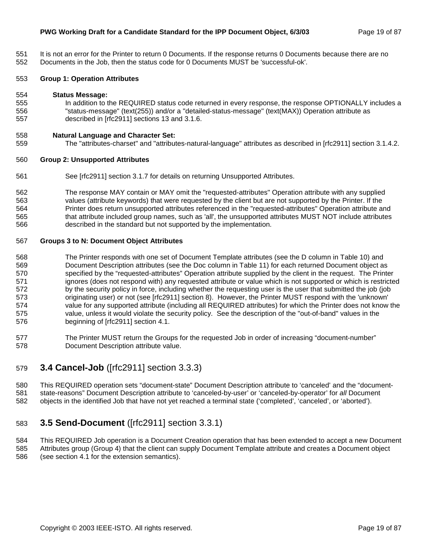#### **PWG Working Draft for a Candidate Standard for the IPP Document Object, 6/3/03** Page 19 of 87

- 
- 551 It is not an error for the Printer to return 0 Documents. If the response returns 0 Documents because there are no 552 Documents in the Job, then the status code for 0 Documents MUST be 'successful-ok'.

#### 553 **Group 1: Operation Attributes**

#### 554 **Status Message:**

555 In addition to the REQUIRED status code returned in every response, the response OPTIONALLY includes a 556 "status-message" (text(255)) and/or a "detailed-status-message" (text(MAX)) Operation attribute as 557 described in [rfc2911] sections 13 and 3.1.6.

#### 558 **Natural Language and Character Set:**

559 The "attributes-charset" and "attributes-natural-language" attributes as described in [rfc2911] section 3.1.4.2.

#### 560 **Group 2: Unsupported Attributes**

561 See [rfc2911] section 3.1.7 for details on returning Unsupported Attributes.

562 The response MAY contain or MAY omit the "requested-attributes" Operation attribute with any supplied 563 values (attribute keywords) that were requested by the client but are not supported by the Printer. If the 564 Printer does return unsupported attributes referenced in the "requested-attributes" Operation attribute and 565 that attribute included group names, such as 'all', the unsupported attributes MUST NOT include attributes 566 described in the standard but not supported by the implementation.

#### 567 **Groups 3 to N: Document Object Attributes**

- 568 The Printer responds with one set of Document Template attributes (see the D column in Table 10) and 569 Document Description attributes (see the Doc column in Table 11) for each returned Document object as 570 specified by the "requested-attributes" Operation attribute supplied by the client in the request. The Printer 571 ignores (does not respond with) any requested attribute or value which is not supported or which is restricted 572 by the security policy in force, including whether the requesting user is the user that submitted the job (job 573 originating user) or not (see [rfc2911] section 8). However, the Printer MUST respond with the 'unknown' 574 value for any supported attribute (including all REQUIRED attributes) for which the Printer does not know the 575 value, unless it would violate the security policy. See the description of the "out-of-band" values in the 576 beginning of [rfc2911] section 4.1.
- 577 The Printer MUST return the Groups for the requested Job in order of increasing "document-number" 578 Document Description attribute value.

### 579 **3.4 Cancel-Job** ([rfc2911] section 3.3.3)

580 This REQUIRED operation sets "document-state" Document Description attribute to 'canceled' and the "document-581 state-reasons" Document Description attribute to 'canceled-by-user' or 'canceled-by-operator' for *all* Document 582 objects in the identified Job that have not yet reached a terminal state ('completed', 'canceled', or 'aborted').

### 583 **3.5 Send-Document** ([rfc2911] section 3.3.1)

584 This REQUIRED Job operation is a Document Creation operation that has been extended to accept a new Document 585 Attributes group (Group 4) that the client can supply Document Template attribute and creates a Document object 586 (see section 4.1 for the extension semantics).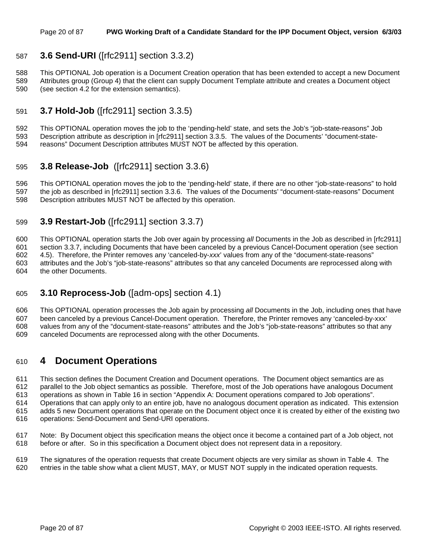### 587 **3.6 Send-URI** ([rfc2911] section 3.3.2)

588 This OPTIONAL Job operation is a Document Creation operation that has been extended to accept a new Document 589 Attributes group (Group 4) that the client can supply Document Template attribute and creates a Document object 590 (see section 4.2 for the extension semantics).

### 591 **3.7 Hold-Job** ([rfc2911] section 3.3.5)

592 This OPTIONAL operation moves the job to the 'pending-held' state, and sets the Job's "job-state-reasons" Job 593 Description attribute as description in [rfc2911] section 3.3.5. The values of the Documents' "document-state-594 reasons" Document Description attributes MUST NOT be affected by this operation.

### 595 **3.8 Release-Job** ([rfc2911] section 3.3.6)

596 This OPTIONAL operation moves the job to the 'pending-held' state, if there are no other "job-state-reasons" to hold 597 the job as described in [rfc2911] section 3.3.6. The values of the Documents' "document-state-reasons" Document 598 Description attributes MUST NOT be affected by this operation.

### 599 **3.9 Restart-Job** ([rfc2911] section 3.3.7)

600 This OPTIONAL operation starts the Job over again by processing *all* Documents in the Job as described in [rfc2911] 601 section 3.3.7, including Documents that have been canceled by a previous Cancel-Document operation (see section 602 4.5). Therefore, the Printer removes any 'canceled-by-*xxx*' values from any of the "document-state-reasons" 603 attributes and the Job's "job-state-reasons" attributes so that any canceled Documents are reprocessed along with 604 the other Documents.

### 605 **3.10 Reprocess-Job** ([adm-ops] section 4.1)

606 This OPTIONAL operation processes the Job again by processing *all* Documents in the Job, including ones that have 607 been canceled by a previous Cancel-Document operation. Therefore, the Printer removes any 'canceled-by-xxx' 608 values from any of the "document-state-reasons" attributes and the Job's "job-state-reasons" attributes so that any 609 canceled Documents are reprocessed along with the other Documents.

### 610 **4 Document Operations**

611 This section defines the Document Creation and Document operations. The Document object semantics are as 612 parallel to the Job object semantics as possible. Therefore, most of the Job operations have analogous Document

613 operations as shown in Table 16 in section "Appendix A: Document operations compared to Job operations".

614 Operations that can apply only to an entire job, have no analogous document operation as indicated. This extension

- 615 adds 5 new Document operations that operate on the Document object once it is created by either of the existing two 616 operations: Send-Document and Send-URI operations.
- 617 Note: By Document object this specification means the object once it become a contained part of a Job object, not 618 before or after. So in this specification a Document object does not represent data in a repository.

619 The signatures of the operation requests that create Document objects are very similar as shown in Table 4. The 620 entries in the table show what a client MUST, MAY, or MUST NOT supply in the indicated operation requests.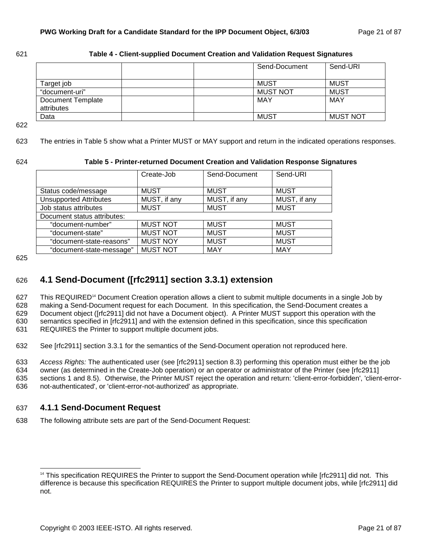| 621 | Table 4 - Client-supplied Document Creation and Validation Request Signatures |  |
|-----|-------------------------------------------------------------------------------|--|
|-----|-------------------------------------------------------------------------------|--|

|                                 | Send-Document   | Send-URI        |
|---------------------------------|-----------------|-----------------|
| Target job                      | <b>MUST</b>     | MUST            |
| "document-uri"                  | <b>MUST NOT</b> | MUST            |
| Document Template<br>attributes | MAY             | MAY             |
| Data                            | MUST            | <b>MUST NOT</b> |

622

623 The entries in Table 5 show what a Printer MUST or MAY support and return in the indicated operations responses.

#### 624 **Table 5 - Printer-returned Document Creation and Validation Response Signatures**

|                               | Create-Job      | Send-Document | Send-URI     |  |
|-------------------------------|-----------------|---------------|--------------|--|
|                               |                 |               |              |  |
| Status code/message           | <b>MUST</b>     | <b>MUST</b>   | <b>MUST</b>  |  |
| <b>Unsupported Attributes</b> | MUST, if any    | MUST, if any  | MUST, if any |  |
| Job status attributes         | <b>MUST</b>     | <b>MUST</b>   | <b>MUST</b>  |  |
| Document status attributes:   |                 |               |              |  |
| "document-number"             | <b>MUST NOT</b> | <b>MUST</b>   | <b>MUST</b>  |  |
| "document-state"              | <b>MUST NOT</b> | <b>MUST</b>   | <b>MUST</b>  |  |
| "document-state-reasons"      | <b>MUST NOY</b> | <b>MUST</b>   | <b>MUST</b>  |  |
| "document-state-message"      | <b>MUST NOT</b> | <b>MAY</b>    | <b>MAY</b>   |  |

625

# 626 **4.1 Send-Document ([rfc2911] section 3.3.1) extension**

627 This REQUIRED<sup>14</sup> Document Creation operation allows a client to submit multiple documents in a single Job by 628 making a Send-Document request for each Document. In this specification, the Send-Document creates a 629 Document object ([rfc2911] did not have a Document object). A Printer MUST support this operation with the 630 semantics specified in [rfc2911] and with the extension defined in this specification, since this specification

631 REQUIRES the Printer to support multiple document jobs.

632 See [rfc2911] section 3.3.1 for the semantics of the Send-Document operation not reproduced here.

633 *Access Rights:* The authenticated user (see [rfc2911] section 8.3) performing this operation must either be the job

634 owner (as determined in the Create-Job operation) or an operator or administrator of the Printer (see [rfc2911]

635 sections 1 and 8.5). Otherwise, the Printer MUST reject the operation and return: 'client-error-forbidden', 'client-error-

636 not-authenticated', or 'client-error-not-authorized' as appropriate.

### 637 **4.1.1 Send-Document Request**

l

638 The following attribute sets are part of the Send-Document Request:

<sup>&</sup>lt;sup>14</sup> This specification REQUIRES the Printer to support the Send-Document operation while [rfc2911] did not. This difference is because this specification REQUIRES the Printer to support multiple document jobs, while [rfc2911] did not.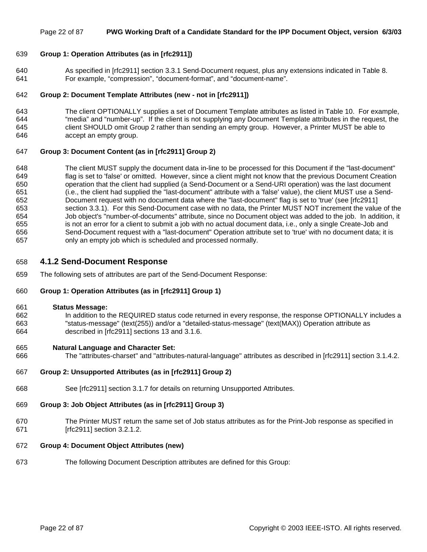#### Page 22 of 87 **PWG Working Draft of a Candidate Standard for the IPP Document Object, version 6/3/03**

#### 639 **Group 1: Operation Attributes (as in [rfc2911])**

640 As specified in [rfc2911] section 3.3.1 Send-Document request, plus any extensions indicated in Table 8. 641 For example, "compression", "document-format", and "document-name".

#### 642 **Group 2: Document Template Attributes (new - not in [rfc2911])**

643 The client OPTIONALLY supplies a set of Document Template attributes as listed in Table 10. For example, 644 "media" and "number-up". If the client is not supplying any Document Template attributes in the request, the 645 client SHOULD omit Group 2 rather than sending an empty group. However, a Printer MUST be able to 646 accept an empty group.

#### 647 **Group 3: Document Content (as in [rfc2911] Group 2)**

648 The client MUST supply the document data in-line to be processed for this Document if the "last-document" 649 flag is set to 'false' or omitted. However, since a client might not know that the previous Document Creation 650 operation that the client had supplied (a Send-Document or a Send-URI operation) was the last document 651 (i.e., the client had supplied the "last-document" attribute with a 'false' value), the client MUST use a Send-652 Document request with no document data where the "last-document" flag is set to 'true' (see [rfc2911] 653 section 3.3.1). For this Send-Document case with no data, the Printer MUST NOT increment the value of the 654 Job object's "number-of-documents" attribute, since no Document object was added to the job. In addition, it 655 is not an error for a client to submit a job with no actual document data, i.e., only a single Create-Job and 656 Send-Document request with a "last-document" Operation attribute set to 'true' with no document data; it is 657 only an empty job which is scheduled and processed normally.

#### 658 **4.1.2 Send-Document Response**

659 The following sets of attributes are part of the Send-Document Response:

#### 660 **Group 1: Operation Attributes (as in [rfc2911] Group 1)**

#### 661 **Status Message:**

662 In addition to the REQUIRED status code returned in every response, the response OPTIONALLY includes a 663 "status-message" (text(255)) and/or a "detailed-status-message" (text(MAX)) Operation attribute as 664 described in [rfc2911] sections 13 and 3.1.6.

#### 665 **Natural Language and Character Set:**

666 The "attributes-charset" and "attributes-natural-language" attributes as described in [rfc2911] section 3.1.4.2.

#### 667 **Group 2: Unsupported Attributes (as in [rfc2911] Group 2)**

- 668 See [rfc2911] section 3.1.7 for details on returning Unsupported Attributes.
- 669 **Group 3: Job Object Attributes (as in [rfc2911] Group 3)**
- 670 The Printer MUST return the same set of Job status attributes as for the Print-Job response as specified in 671 [rfc2911] section 3.2.1.2.

#### 672 **Group 4: Document Object Attributes (new)**

673 The following Document Description attributes are defined for this Group: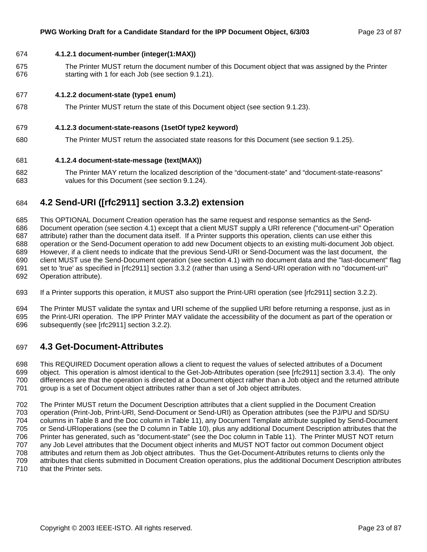#### 674 **4.1.2.1 document-number (integer(1:MAX))**

675 The Printer MUST return the document number of this Document object that was assigned by the Printer 676 starting with 1 for each Job (see section 9.1.21).

#### 677 **4.1.2.2 document-state (type1 enum)**

678 The Printer MUST return the state of this Document object (see section 9.1.23).

#### 679 **4.1.2.3 document-state-reasons (1setOf type2 keyword)**

680 The Printer MUST return the associated state reasons for this Document (see section 9.1.25).

#### 681 **4.1.2.4 document-state-message (text(MAX))**

682 The Printer MAY return the localized description of the "document-state" and "document-state-reasons" 683 values for this Document (see section 9.1.24).

### 684 **4.2 Send-URI ([rfc2911] section 3.3.2) extension**

685 This OPTIONAL Document Creation operation has the same request and response semantics as the Send-686 Document operation (see section 4.1) except that a client MUST supply a URI reference ("document-uri" Operation 687 attribute) rather than the document data itself. If a Printer supports this operation, clients can use either this 688 operation or the Send-Document operation to add new Document objects to an existing multi-document Job object. 689 However, if a client needs to indicate that the previous Send-URI or Send-Document was the last document, the 690 client MUST use the Send-Document operation (see section 4.1) with no document data and the "last-document" flag 691 set to 'true' as specified in [rfc2911] section 3.3.2 (rather than using a Send-URI operation with no "document-uri" 692 Operation attribute).

693 If a Printer supports this operation, it MUST also support the Print-URI operation (see [rfc2911] section 3.2.2).

694 The Printer MUST validate the syntax and URI scheme of the supplied URI before returning a response, just as in 695 the Print-URI operation. The IPP Printer MAY validate the accessibility of the document as part of the operation or 696 subsequently (see [rfc2911] section 3.2.2).

### 697 **4.3 Get-Document-Attributes**

698 This REQUIRED Document operation allows a client to request the values of selected attributes of a Document 699 object. This operation is almost identical to the Get-Job-Attributes operation (see [rfc2911] section 3.3.4). The only 700 differences are that the operation is directed at a Document object rather than a Job object and the returned attribute 701 group is a set of Document object attributes rather than a set of Job object attributes.

702 The Printer MUST return the Document Description attributes that a client supplied in the Document Creation 703 operation (Print-Job, Print-URI, Send-Document or Send-URI) as Operation attributes (see the PJ/PU and SD/SU 704 columns in Table 8 and the Doc column in Table 11), any Document Template attribute supplied by Send-Document 705 or Send-URIoperations (see the D column in Table 10), plus any additional Document Description attributes that the 706 Printer has generated, such as "document-state" (see the Doc column in Table 11). The Printer MUST NOT return 707 any Job Level attributes that the Document object inherits and MUST NOT factor out common Document object 708 attributes and return them as Job object attributes. Thus the Get-Document-Attributes returns to clients only the 709 attributes that clients submitted in Document Creation operations, plus the additional Document Description attributes 710 that the Printer sets.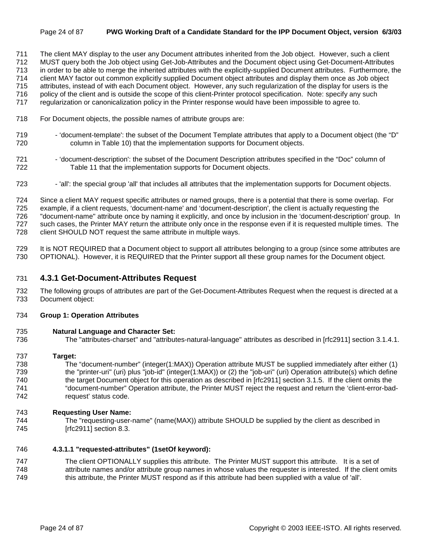#### Page 24 of 87 **PWG Working Draft of a Candidate Standard for the IPP Document Object, version 6/3/03**

711 The client MAY display to the user any Document attributes inherited from the Job object. However, such a client

712 MUST query both the Job object using Get-Job-Attributes and the Document object using Get-Document-Attributes 713 in order to be able to merge the inherited attributes with the explicitly-supplied Document attributes. Furthermore, the

714 client MAY factor out common explicitly supplied Document object attributes and display them once as Job object

715 attributes, instead of with each Document object. However, any such regularization of the display for users is the

716 policy of the client and is outside the scope of this client-Printer protocol specification. Note: specify any such

717 regularization or canonicalization policy in the Printer response would have been impossible to agree to.

- 718 For Document objects, the possible names of attribute groups are:
- 719 'document-template': the subset of the Document Template attributes that apply to a Document object (the "D" 720 column in Table 10) that the implementation supports for Document objects.
- 721 'document-description': the subset of the Document Description attributes specified in the "Doc" column of 722 Table 11 that the implementation supports for Document objects.
- 723 'all': the special group 'all' that includes all attributes that the implementation supports for Document objects.

724 Since a client MAY request specific attributes or named groups, there is a potential that there is some overlap. For 725 example, if a client requests, 'document-name' and 'document-description', the client is actually requesting the 726 "document-name" attribute once by naming it explicitly, and once by inclusion in the 'document-description' group. In 727 such cases, the Printer MAY return the attribute only once in the response even if it is requested multiple times. The 728 client SHOULD NOT request the same attribute in multiple ways.

729 It is NOT REQUIRED that a Document object to support all attributes belonging to a group (since some attributes are 730 OPTIONAL). However, it is REQUIRED that the Printer support all these group names for the Document object.

### 731 **4.3.1 Get-Document-Attributes Request**

732 The following groups of attributes are part of the Get-Document-Attributes Request when the request is directed at a 733 Document object:

### 734 **Group 1: Operation Attributes**

### 735 **Natural Language and Character Set:**

736 The "attributes-charset" and "attributes-natural-language" attributes as described in [rfc2911] section 3.1.4.1.

### 737 **Target:**

738 The "document-number" (integer(1:MAX)) Operation attribute MUST be supplied immediately after either (1) 739 the "printer-uri" (uri) plus "job-id" (integer(1:MAX)) or (2) the "job-uri" (uri) Operation attribute(s) which define 740 the target Document object for this operation as described in [rfc2911] section 3.1.5. If the client omits the 741 "document-number" Operation attribute, the Printer MUST reject the request and return the 'client-error-bad-742 request' status code.

### 743 **Requesting User Name:**

744 The "requesting-user-name" (name(MAX)) attribute SHOULD be supplied by the client as described in 745 [rfc2911] section 8.3.

### 746 **4.3.1.1 "requested-attributes" (1setOf keyword):**

747 The client OPTIONALLY supplies this attribute. The Printer MUST support this attribute. It is a set of 748 attribute names and/or attribute group names in whose values the requester is interested. If the client omits 749 this attribute, the Printer MUST respond as if this attribute had been supplied with a value of 'all'.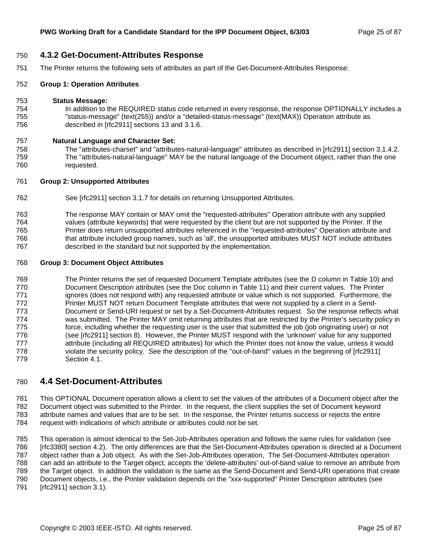#### 750 **4.3.2 Get-Document-Attributes Response**

751 The Printer returns the following sets of attributes as part of the Get-Document-Attributes Response:

#### 752 **Group 1: Operation Attributes**

#### 753 **Status Message:**

754 In addition to the REQUIRED status code returned in every response, the response OPTIONALLY includes a 755 "status-message" (text(255)) and/or a "detailed-status-message" (text(MAX)) Operation attribute as 756 described in [rfc2911] sections 13 and 3.1.6.

#### 757 **Natural Language and Character Set:**

758 The "attributes-charset" and "attributes-natural-language" attributes as described in [rfc2911] section 3.1.4.2. 759 The "attributes-natural-language" MAY be the natural language of the Document object, rather than the one 760 requested.

#### 761 **Group 2: Unsupported Attributes**

- 762 See [rfc2911] section 3.1.7 for details on returning Unsupported Attributes.
- 763 The response MAY contain or MAY omit the "requested-attributes" Operation attribute with any supplied 764 values (attribute keywords) that were requested by the client but are not supported by the Printer. If the 765 Printer does return unsupported attributes referenced in the "requested-attributes" Operation attribute and 766 that attribute included group names, such as 'all', the unsupported attributes MUST NOT include attributes 767 described in the standard but not supported by the implementation.

#### 768 **Group 3: Document Object Attributes**

769 The Printer returns the set of requested Document Template attributes (see the D column in Table 10) and 770 Document Description attributes (see the Doc column in Table 11) and their current values. The Printer 771 ignores (does not respond with) any requested attribute or value which is not supported. Furthermore, the 772 Printer MUST NOT return Document Template attributes that were not supplied by a client in a Send-773 Document or Send-URI request or set by a Set-Document-Attributes request. So the response reflects what 774 was submitted. The Printer MAY omit returning attributes that are restricted by the Printer's security policy in 775 force, including whether the requesting user is the user that submitted the job (job originating user) or not 776 (see [rfc2911] section 8). However, the Printer MUST respond with the 'unknown' value for any supported 777 attribute (including all REQUIRED attributes) for which the Printer does not know the value, unless it would 778 violate the security policy. See the description of the "out-of-band" values in the beginning of [rfc2911] 779 Section 4.1.

### 780 **4.4 Set-Document-Attributes**

781 This OPTIONAL Document operation allows a client to set the values of the attributes of a Document object after the 782 Document object was submitted to the Printer. In the request, the client supplies the set of Document keyword 783 attribute names and values that are to be set. In the response, the Printer returns success or rejects the entire 784 request with indications of which attribute or attributes could not be set.

785 This operation is almost identical to the Set-Job-Attributes operation and follows the same rules for validation (see 786 [rfc3380] section 4.2). The only differences are that the Set-Document-Attributes operation is directed at a Document 787 object rather than a Job object. As with the Set-Job-Attributes operation, The Set-Document-Attributes operation 788 can add an attribute to the Target object, accepts the 'delete-attributes' out-of-band value to remove an attribute from 789 the Target object. In addition the validation is the same as the Send-Document and Send-URI operations that create 790 Document objects, i.e., the Printer validation depends on the "xxx-supported" Printer Description attributes (see 791 [rfc2911] section 3.1).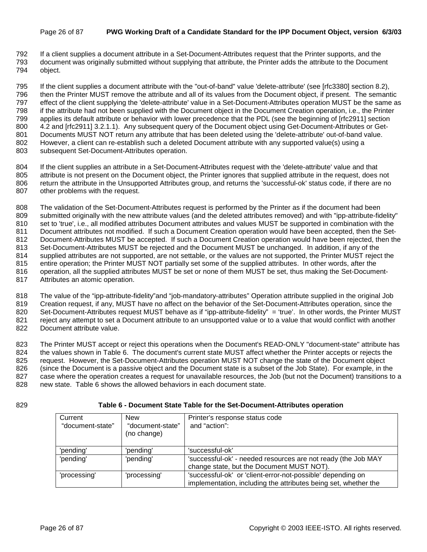#### Page 26 of 87 **PWG Working Draft of a Candidate Standard for the IPP Document Object, version 6/3/03**

792 If a client supplies a document attribute in a Set-Document-Attributes request that the Printer supports, and the 793 document was originally submitted without supplying that attribute, the Printer adds the attribute to the Document

794 object.

795 If the client supplies a document attribute with the "out-of-band" value 'delete-attribute' (see [rfc3380] section 8.2), 796 then the Printer MUST remove the attribute and all of its values from the Document object, if present. The semantic 797 effect of the client supplying the 'delete-attribute' value in a Set-Document-Attributes operation MUST be the same as 798 if the attribute had not been supplied with the Document object in the Document Creation operation, i.e., the Printer 799 applies its default attribute or behavior with lower precedence that the PDL (see the beginning of [rfc2911] section 800 4.2 and [rfc2911] 3.2.1.1). Any subsequent query of the Document object using Get-Document-Attributes or Get-801 Documents MUST NOT return any attribute that has been deleted using the 'delete-attribute' out-of-band value. 802 However, a client can re-establish such a deleted Document attribute with any supported value(s) using a 803 subsequent Set-Document-Attributes operation.

804 If the client supplies an attribute in a Set-Document-Attributes request with the 'delete-attribute' value and that 805 attribute is not present on the Document object, the Printer ignores that supplied attribute in the request, does not 806 return the attribute in the Unsupported Attributes group, and returns the 'successful-ok' status code, if there are no 807 other problems with the request.

808 The validation of the Set-Document-Attributes request is performed by the Printer as if the document had been 809 submitted originally with the new attribute values (and the deleted attributes removed) and with "ipp-attribute-fidelity" 810 set to 'true', i.e., all modified attributes Document attributes and values MUST be supported in combination with the 811 Document attributes not modified. If such a Document Creation operation would have been accepted, then the Set-812 Document-Attributes MUST be accepted. If such a Document Creation operation would have been rejected, then the 813 Set-Document-Attributes MUST be rejected and the Document MUST be unchanged. In addition, if any of the 814 supplied attributes are not supported, are not settable, or the values are not supported, the Printer MUST reject the 815 entire operation; the Printer MUST NOT partially set some of the supplied attributes. In other words, after the 816 operation, all the supplied attributes MUST be set or none of them MUST be set, thus making the Set-Document-817 Attributes an atomic operation.

818 The value of the "ipp-attribute-fidelity"and "job-mandatory-attributes" Operation attribute supplied in the original Job 819 Creation request, if any, MUST have no affect on the behavior of the Set-Document-Attributes operation, since the 820 Set-Document-Attributes request MUST behave as if "ipp-attribute-fidelity" = 'true'. In other words, the Printer MUST 821 reiect any attempt to set a Document attribute to an unsupported value or to a value that would conflict with another 822 Document attribute value.

823 The Printer MUST accept or reject this operations when the Document's READ-ONLY "document-state" attribute has 824 the values shown in Table 6. The document's current state MUST affect whether the Printer accepts or rejects the 825 request. However, the Set-Document-Attributes operation MUST NOT change the state of the Document object 826 (since the Document is a passive object and the Document state is a subset of the Job State). For example, in the 827 case where the operation creates a request for unavailable resources, the Job (but not the Document) transitions to a 828 new state. Table 6 shows the allowed behaviors in each document state.

#### 829 **Table 6 - Document State Table for the Set-Document-Attributes operation**

| Current<br>"document-state" | <b>New</b><br>"document-state"<br>(no change) | Printer's response status code<br>and "action":                                                                                |
|-----------------------------|-----------------------------------------------|--------------------------------------------------------------------------------------------------------------------------------|
| 'pending'                   | 'pending'                                     | 'successful-ok'                                                                                                                |
| 'pending'                   | 'pending'                                     | 'successful-ok' - needed resources are not ready (the Job MAY<br>change state, but the Document MUST NOT).                     |
| 'processing'                | 'processing'                                  | 'successful-ok' or 'client-error-not-possible' depending on<br>implementation, including the attributes being set, whether the |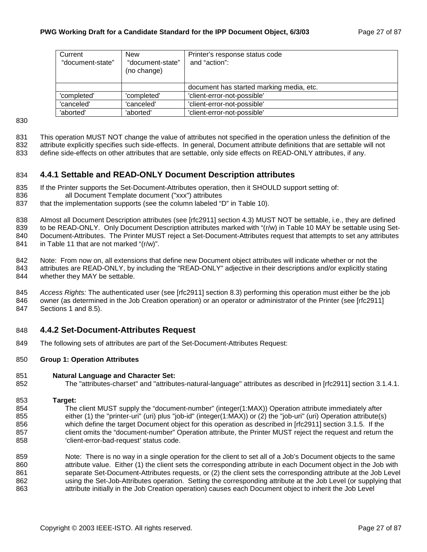| Current          | <b>New</b>       | Printer's response status code           |
|------------------|------------------|------------------------------------------|
| "document-state" | "document-state" | and "action":                            |
|                  | (no change)      |                                          |
|                  |                  |                                          |
|                  |                  | document has started marking media, etc. |
| 'completed'      | 'completed'      | 'client-error-not-possible'              |
| 'canceled'       | 'canceled'       | 'client-error-not-possible'              |
| 'aborted'        | 'aborted'        | 'client-error-not-possible'              |

830

831 This operation MUST NOT change the value of attributes not specified in the operation unless the definition of the

832 attribute explicitly specifies such side-effects. In general, Document attribute definitions that are settable will not

833 define side-effects on other attributes that are settable, only side effects on READ-ONLY attributes, if any.

### 834 **4.4.1 Settable and READ-ONLY Document Description attributes**

- 835 If the Printer supports the Set-Document-Attributes operation, then it SHOULD support setting of:
- 836 all Document Template document ("xxx") attributes
- 837 that the implementation supports (see the column labeled "D" in Table 10).

838 Almost all Document Description attributes (see [rfc2911] section 4.3) MUST NOT be settable, i.e., they are defined

839 to be READ-ONLY. Only Document Description attributes marked with "(r/w) in Table 10 MAY be settable using Set-

840 Document-Attributes. The Printer MUST reject a Set-Document-Attributes request that attempts to set any attributes

841 in Table 11 that are not marked "(r/w)".

842 Note: From now on, all extensions that define new Document object attributes will indicate whether or not the 843 attributes are READ-ONLY, by including the "READ-ONLY" adjective in their descriptions and/or explicitly stating 844 whether they MAY be settable.

845 *Access Rights:* The authenticated user (see [rfc2911] section 8.3) performing this operation must either be the job 846 owner (as determined in the Job Creation operation) or an operator or administrator of the Printer (see [rfc2911] 847 Sections 1 and 8.5).

### 848 **4.4.2 Set-Document-Attributes Request**

849 The following sets of attributes are part of the Set-Document-Attributes Request:

#### 850 **Group 1: Operation Attributes**

#### 851 **Natural Language and Character Set:**

- 852 The "attributes-charset" and "attributes-natural-language" attributes as described in [rfc2911] section 3.1.4.1.
- 853 **Target:**
- 854 The client MUST supply the "document-number" (integer(1:MAX)) Operation attribute immediately after 855 either (1) the "printer-uri" (uri) plus "job-id" (integer(1:MAX)) or (2) the "job-uri" (uri) Operation attribute(s) 856 which define the target Document object for this operation as described in [rfc2911] section 3.1.5. If the 857 client omits the "document-number" Operation attribute, the Printer MUST reject the request and return the 858 'client-error-bad-request' status code.
- 859 Note: There is no way in a single operation for the client to set all of a Job's Document objects to the same 860 attribute value. Either (1) the client sets the corresponding attribute in each Document object in the Job with 861 separate Set-Document-Attributes requests, or (2) the client sets the corresponding attribute at the Job Level 862 using the Set-Job-Attributes operation. Setting the corresponding attribute at the Job Level (or supplying that 863 attribute initially in the Job Creation operation) causes each Document object to inherit the Job Level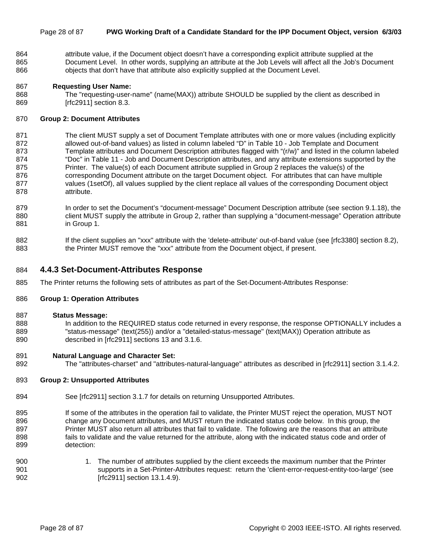#### Page 28 of 87 **PWG Working Draft of a Candidate Standard for the IPP Document Object, version 6/3/03**

864 attribute value, if the Document object doesn't have a corresponding explicit attribute supplied at the 865 Document Level. In other words, supplying an attribute at the Job Levels will affect all the Job's Document 866 objects that don't have that attribute also explicitly supplied at the Document Level.

#### 867 **Requesting User Name:**

868 The "requesting-user-name" (name(MAX)) attribute SHOULD be supplied by the client as described in 869 [rfc2911] section 8.3.

#### 870 **Group 2: Document Attributes**

- 871 The client MUST supply a set of Document Template attributes with one or more values (including explicitly 872 allowed out-of-band values) as listed in column labeled "D" in Table 10 - Job Template and Document 873 Template attributes and Document Description attributes flagged with "(r/w)" and listed in the column labeled 874 "Doc" in Table 11 - Job and Document Description attributes, and any attribute extensions supported by the 875 Printer. The value(s) of each Document attribute supplied in Group 2 replaces the value(s) of the 876 corresponding Document attribute on the target Document object. For attributes that can have multiple 877 values (1setOf), all values supplied by the client replace all values of the corresponding Document object 878 attribute.
- 879 In order to set the Document's "document-message" Document Description attribute (see section 9.1.18), the 880 client MUST supply the attribute in Group 2, rather than supplying a "document-message" Operation attribute 881 in Group 1.
- 882 If the client supplies an "xxx" attribute with the 'delete-attribute' out-of-band value (see [rfc3380] section 8.2), 883 the Printer MUST remove the "xxx" attribute from the Document object, if present.

#### 884 **4.4.3 Set-Document-Attributes Response**

885 The Printer returns the following sets of attributes as part of the Set-Document-Attributes Response:

#### 886 **Group 1: Operation Attributes**

#### 887 **Status Message:**

888 In addition to the REQUIRED status code returned in every response, the response OPTIONALLY includes a 889 "status-message" (text(255)) and/or a "detailed-status-message" (text(MAX)) Operation attribute as 890 described in [rfc2911] sections 13 and 3.1.6.

#### 891 **Natural Language and Character Set:**

892 The "attributes-charset" and "attributes-natural-language" attributes as described in [rfc2911] section 3.1.4.2.

#### 893 **Group 2: Unsupported Attributes**

- 894 See [rfc2911] section 3.1.7 for details on returning Unsupported Attributes.
- 895 If some of the attributes in the operation fail to validate, the Printer MUST reject the operation, MUST NOT 896 change any Document attributes, and MUST return the indicated status code below. In this group, the 897 Printer MUST also return all attributes that fail to validate. The following are the reasons that an attribute 898 fails to validate and the value returned for the attribute, along with the indicated status code and order of 899 detection:
- 900 1. The number of attributes supplied by the client exceeds the maximum number that the Printer 901 supports in a Set-Printer-Attributes request: return the 'client-error-request-entity-too-large' (see 902 [rfc2911] section 13.1.4.9).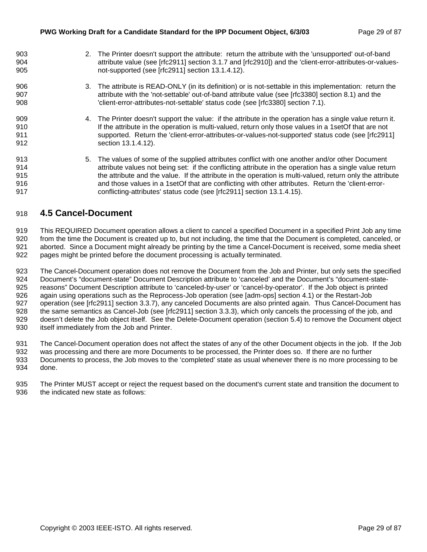| 903<br>904 | 2. The Printer doesn't support the attribute: return the attribute with the 'unsupported' out-of-band<br>attribute value (see [rfc2911] section 3.1.7 and [rfc2910]) and the 'client-error-attributes-or-values- |
|------------|------------------------------------------------------------------------------------------------------------------------------------------------------------------------------------------------------------------|
| 905        | not-supported (see [rfc2911] section 13.1.4.12).                                                                                                                                                                 |
| 906        | 3. The attribute is READ-ONLY (in its definition) or is not-settable in this implementation: return the                                                                                                          |
| 907        | attribute with the 'not-settable' out-of-band attribute value (see [rfc3380] section 8.1) and the                                                                                                                |
| 908        | 'client-error-attributes-not-settable' status code (see [rfc3380] section 7.1).                                                                                                                                  |
| 909        | 4. The Printer doesn't support the value: if the attribute in the operation has a single value return it.                                                                                                        |
| 910        | If the attribute in the operation is multi-valued, return only those values in a 1 set Of that are not                                                                                                           |
| 911        | supported. Return the 'client-error-attributes-or-values-not-supported' status code (see [rfc2911]                                                                                                               |
| 912        | section 13.1.4.12).                                                                                                                                                                                              |
| 913        | 5. The values of some of the supplied attributes conflict with one another and/or other Document                                                                                                                 |
| 914        | attribute values not being set: if the conflicting attribute in the operation has a single value return                                                                                                          |
| 915        | the attribute and the value. If the attribute in the operation is multi-valued, return only the attribute                                                                                                        |
| 916        | and those values in a 1setOf that are conflicting with other attributes. Return the 'client-error-                                                                                                               |
| 917        | conflicting-attributes' status code (see [rfc2911] section 13.1.4.15).                                                                                                                                           |

### 918 **4.5 Cancel-Document**

919 This REQUIRED Document operation allows a client to cancel a specified Document in a specified Print Job any time 920 from the time the Document is created up to, but not including, the time that the Document is completed, canceled, or 921 aborted. Since a Document might already be printing by the time a Cancel-Document is received, some media sheet 922 pages might be printed before the document processing is actually terminated.

923 The Cancel-Document operation does not remove the Document from the Job and Printer, but only sets the specified 924 Document's "document-state" Document Description attribute to 'canceled' and the Document's "document-state-925 reasons" Document Description attribute to 'canceled-by-user' or 'cancel-by-operator'. If the Job object is printed 926 again using operations such as the Reprocess-Job operation (see [adm-ops] section 4.1) or the Restart-Job 927 operation (see [rfc2911] section 3.3.7), any canceled Documents are also printed again. Thus Cancel-Document has 928 the same semantics as Cancel-Job (see [rfc2911] section 3.3.3), which only cancels the processing of the job, and 929 doesn't delete the Job object itself. See the Delete-Document operation (section 5.4) to remove the Document object 930 itself immediately from the Job and Printer.

931 The Cancel-Document operation does not affect the states of any of the other Document objects in the job. If the Job

932 was processing and there are more Documents to be processed, the Printer does so. If there are no further 933 Documents to process, the Job moves to the 'completed' state as usual whenever there is no more processing to be 934 done.

935 The Printer MUST accept or reject the request based on the document's current state and transition the document to 936 the indicated new state as follows: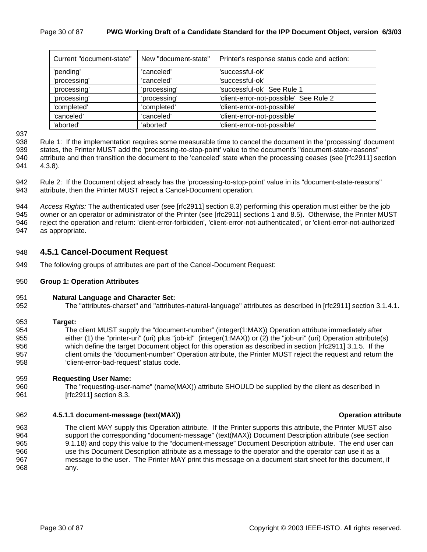| Current "document-state" | New "document-state" | Printer's response status code and action: |
|--------------------------|----------------------|--------------------------------------------|
| 'pending'                | 'canceled'           | 'successful-ok'                            |
| 'processing'             | 'canceled'           | 'successful-ok'                            |
| 'processing'             | 'processing'         | 'successful-ok' See Rule 1                 |
| 'processing'             | 'processing'         | 'client-error-not-possible' See Rule 2     |
| 'completed'              | 'completed'          | 'client-error-not-possible'                |
| 'canceled'               | 'canceled'           | 'client-error-not-possible'                |
| 'aborted'                | 'aborted'            | 'client-error-not-possible'                |

937

938 Rule 1: If the implementation requires some measurable time to cancel the document in the 'processing' document 939 states, the Printer MUST add the 'processing-to-stop-point' value to the document's "document-state-reasons" 940 attribute and then transition the document to the 'canceled' state when the processing ceases (see [rfc2911] section 941 4.3.8).

942 Rule 2: If the Document object already has the 'processing-to-stop-point' value in its "document-state-reasons" 943 attribute, then the Printer MUST reject a Cancel-Document operation.

944 *Access Rights:* The authenticated user (see [rfc2911] section 8.3) performing this operation must either be the job 945 owner or an operator or administrator of the Printer (see [rfc2911] sections 1 and 8.5). Otherwise, the Printer MUST 946 reject the operation and return: 'client-error-forbidden', 'client-error-not-authenticated', or 'client-error-not-authorized' 947 as appropriate.

#### 948 **4.5.1 Cancel-Document Request**

949 The following groups of attributes are part of the Cancel-Document Request:

#### 950 **Group 1: Operation Attributes**

#### 951 **Natural Language and Character Set:**

952 The "attributes-charset" and "attributes-natural-language" attributes as described in [rfc2911] section 3.1.4.1.

#### 953 **Target:**

954 The client MUST supply the "document-number" (integer(1:MAX)) Operation attribute immediately after 955 either (1) the "printer-uri" (uri) plus "job-id" (integer(1:MAX)) or (2) the "job-uri" (uri) Operation attribute(s) 956 which define the target Document object for this operation as described in section [rfc2911] 3.1.5. If the 957 client omits the "document-number" Operation attribute, the Printer MUST reject the request and return the 958 'client-error-bad-request' status code.

#### 959 **Requesting User Name:**

960 The "requesting-user-name" (name(MAX)) attribute SHOULD be supplied by the client as described in 961 [rfc2911] section 8.3.

#### 962 **4.5.1.1 document-message (text(MAX)) Operation attribute**

963 The client MAY supply this Operation attribute. If the Printer supports this attribute, the Printer MUST also 964 support the corresponding "document-message" (text(MAX)) Document Description attribute (see section 965 9.1.18) and copy this value to the "document-message" Document Description attribute. The end user can 966 use this Document Description attribute as a message to the operator and the operator can use it as a 967 message to the user. The Printer MAY print this message on a document start sheet for this document, if 968 any.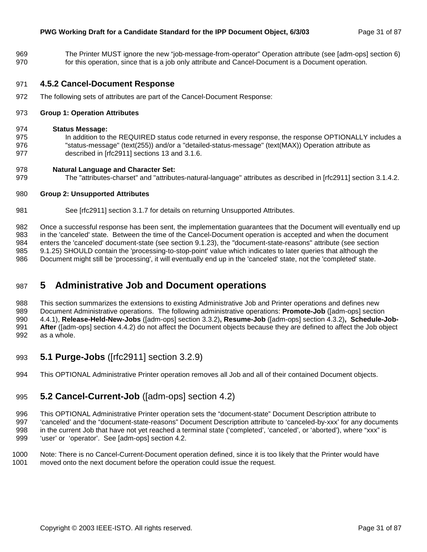969 The Printer MUST ignore the new "job-message-from-operator" Operation attribute (see [adm-ops] section 6) 970 for this operation, since that is a job only attribute and Cancel-Document is a Document operation.

### 971 **4.5.2 Cancel-Document Response**

972 The following sets of attributes are part of the Cancel-Document Response:

#### 973 **Group 1: Operation Attributes**

#### 974 **Status Message:**

975 In addition to the REQUIRED status code returned in every response, the response OPTIONALLY includes a 976 "status-message" (text(255)) and/or a "detailed-status-message" (text(MAX)) Operation attribute as 977 described in [rfc2911] sections 13 and 3.1.6.

#### 978 **Natural Language and Character Set:**

979 The "attributes-charset" and "attributes-natural-language" attributes as described in [rfc2911] section 3.1.4.2.

#### 980 **Group 2: Unsupported Attributes**

981 See [rfc2911] section 3.1.7 for details on returning Unsupported Attributes.

982 Once a successful response has been sent, the implementation guarantees that the Document will eventually end up 983 in the 'canceled' state. Between the time of the Cancel-Document operation is accepted and when the document 984 enters the 'canceled' document-state (see section 9.1.23), the "document-state-reasons" attribute (see section 985 9.1.25) SHOULD contain the 'processing-to-stop-point' value which indicates to later queries that although the 986 Document might still be 'processing', it will eventually end up in the 'canceled' state, not the 'completed' state.

# 987 **5 Administrative Job and Document operations**

988 This section summarizes the extensions to existing Administrative Job and Printer operations and defines new 989 Document Administrative operations. The following administrative operations: **Promote-Job** ([adm-ops] section 990 4.4.1), **Release-Held-New-Jobs** ([adm-ops] section 3.3.2)**, Resume-Job** ([adm-ops] section 4.3.2)**, Schedule-Job-**991 **After** ([adm-ops] section 4.4.2) do not affect the Document objects because they are defined to affect the Job object 992 as a whole.

- 993 **5.1 Purge-Jobs** ([rfc2911] section 3.2.9)
- 994 This OPTIONAL Administrative Printer operation removes all Job and all of their contained Document objects.

### 995 **5.2 Cancel-Current-Job** ([adm-ops] section 4.2)

996 This OPTIONAL Administrative Printer operation sets the "document-state" Document Description attribute to 997 'canceled' and the "document-state-reasons" Document Description attribute to 'canceled-by-xxx' for any documents 998 in the current Job that have not yet reached a terminal state ('completed', 'canceled', or 'aborted'), where "xxx" is 999 'user' or 'operator'. See [adm-ops] section 4.2.

1000 Note: There is no Cancel-Current-Document operation defined, since it is too likely that the Printer would have 1001 moved onto the next document before the operation could issue the request.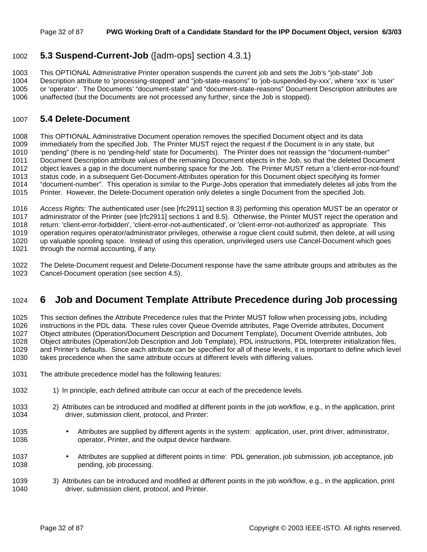### 1002 **5.3 Suspend-Current-Job** ([adm-ops] section 4.3.1)

1003 This OPTIONAL Administrative Printer operation suspends the current job and sets the Job's "job-state" Job 1004 Description attribute to 'processing-stopped' and "job-state-reasons" to 'job-suspended-by-xxx', where 'xxx' is 'user' 1005 or 'operator'. The Documents' "document-state" and "document-state-reasons" Document Description attributes are 1006 unaffected (but the Documents are not processed any further, since the Job is stopped).

### 1007 **5.4 Delete-Document**

1008 This OPTIONAL Administrative Document operation removes the specified Document object and its data 1009 immediately from the specified Job. The Printer MUST reject the request if the Document is in any state, but 1010 'pending" (there is no 'pending-held' state for Documents). The Printer does not reassign the "document-number" 1011 Document Description attribute values of the remaining Document objects in the Job, so that the deleted Document 1012 object leaves a gap in the document numbering space for the Job. The Printer MUST return a 'client-error-not-found' 1013 status code, in a subsequent Get-Document-Attributes operation for this Document object specifying its former 1014 "document-number". This operation is similar to the Purge-Jobs operation that immediately deletes all jobs from the 1015 Printer. However, the Delete-Document operation only deletes a single Document from the specified Job.

1016 *Access Rights:* The authenticated user (see [rfc2911] section 8.3) performing this operation MUST be an operator or 1017 administrator of the Printer (see [rfc2911] sections 1 and 8.5). Otherwise, the Printer MUST reject the operation and 1018 return: 'client-error-forbidden', 'client-error-not-authenticated', or 'client-error-not-authorized' as appropriate. This 1019 operation requires operator/administrator privileges, otherwise a rogue client could submit, then delete, at will using 1020 up valuable spooling space. Instead of using this operation, unprivileged users use Cancel-Document which goes 1021 through the normal accounting, if any.

1022 The Delete-Document request and Delete-Document response have the same attribute groups and attributes as the 1023 Cancel-Document operation (see section 4.5).

### 1024 **6 Job and Document Template Attribute Precedence during Job processing**

1025 This section defines the Attribute Precedence rules that the Printer MUST follow when processing jobs, including 1026 instructions in the PDL data. These rules cover Queue Override attributes, Page Override attributes, Document 1027 Object attributes (Operation/Document Description and Document Template), Document Override attributes, Job 1028 Object attributes (Operation/Job Description and Job Template), PDL instructions, PDL Interpreter initialization files, 1029 and Printer's defaults. Since each attribute can be specified for all of these levels, it is important to define which level 1030 takes precedence when the same attribute occurs at different levels with differing values.

- 1031 The attribute precedence model has the following features:
- 1032 1) In principle, each defined attribute can occur at each of the precedence levels.
- 1033 2) Attributes can be introduced and modified at different points in the job workflow, e.g., in the application, print 1034 driver, submission client, protocol, and Printer:
- 1035 Attributes are supplied by different agents in the system: application, user, print driver, administrator, 1036 operator, Printer, and the output device hardware.
- 1037 Attributes are supplied at different points in time: PDL generation, job submission, job acceptance, job pending, job processing.
- 1039 3) Attributes can be introduced and modified at different points in the job workflow, e.g., in the application, print 1040 driver, submission client, protocol, and Printer.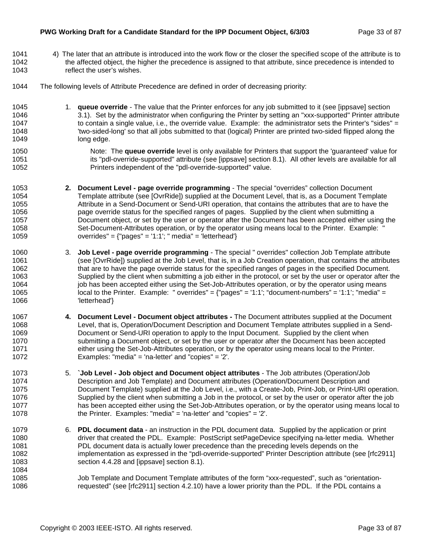#### **PWG Working Draft for a Candidate Standard for the IPP Document Object, 6/3/03** Page 33 of 87

- 1041 4) The later that an attribute is introduced into the work flow or the closer the specified scope of the attribute is to 1042 the affected object, the higher the precedence is assigned to that attribute, since precedence is intended to 1043 reflect the user's wishes.
- 1044 The following levels of Attribute Precedence are defined in order of decreasing priority:
- 1045 1. **queue override** The value that the Printer enforces for any job submitted to it (see [ippsave] section 1046 3.1). Set by the administrator when configuring the Printer by setting an "xxx-supported" Printer attribute 1047 to contain a single value, i.e., the override value. Example: the administrator sets the Printer's "sides" = 1048 'two-sided-long' so that all jobs submitted to that (logical) Printer are printed two-sided flipped along the 1049 long edge.
- 1050 Note: The **queue override** level is only available for Printers that support the 'guaranteed' value for 1051 its "pdl-override-supported" attribute (see [ippsave] section 8.1). All other levels are available for all 1052 Printers independent of the "pdl-override-supported" value.
- 1053 **2. Document Level page override programming** The special "overrides" collection Document 1054 Template attribute (see [OvrRide]) supplied at the Document Level, that is, as a Document Template 1055 Attribute in a Send-Document or Send-URI operation, that contains the attributes that are to have the 1056 page override status for the specified ranges of pages. Supplied by the client when submitting a 1057 Document object, or set by the user or operator after the Document has been accepted either using the 1058 Set-Document-Attributes operation, or by the operator using means local to the Printer. Example: " 1059 overrides" =  ${^{^{0}}}$  pages" = '1:1'; " media" = 'letterhead'}
- 1060 3. **Job Level page override programming** The special " overrides" collection Job Template attribute 1061 (see [OvrRide]) supplied at the Job Level, that is, in a Job Creation operation, that contains the attributes 1062 that are to have the page override status for the specified ranges of pages in the specified Document. 1063 Supplied by the client when submitting a job either in the protocol, or set by the user or operator after the 1064 job has been accepted either using the Set-Job-Attributes operation, or by the operator using means 1065 local to the Printer. Example: " overrides" = {"pages" = '1:1'; "document-numbers" = '1:1'; "media" = 1066 'letterhead'}
- 1067 **4. Document Level Document object attributes** The Document attributes supplied at the Document 1068 Level, that is, Operation/Document Description and Document Template attributes supplied in a Send-1069 Document or Send-URI operation to apply to the Input Document. Supplied by the client when 1070 submitting a Document object, or set by the user or operator after the Document has been accepted 1071 either using the Set-Job-Attributes operation, or by the operator using means local to the Printer. 1072 Examples: "media" = 'na-letter' and "copies" = '2'.
- 1073 5. **`Job Level Job object and Document object attributes**  The Job attributes (Operation/Job 1074 Description and Job Template) and Document attributes (Operation/Document Description and 1075 Document Template) supplied at the Job Level, i.e., with a Create-Job, Print-Job, or Print-URI operation. 1076 Supplied by the client when submitting a Job in the protocol, or set by the user or operator after the job 1077 has been accepted either using the Set-Job-Attributes operation, or by the operator using means local to 1078 the Printer. Examples: "media" = 'na-letter' and "copies" = '2'.
- 1079 6. **PDL document data**  an instruction in the PDL document data. Supplied by the application or print 1080 driver that created the PDL. Example: PostScript setPageDevice specifying na-letter media. Whether 1081 PDL document data is actually lower precedence than the preceding levels depends on the 1082 implementation as expressed in the "pdl-override-supported" Printer Description attribute (see [rfc2911] 1083 section 4.4.28 and [ippsave] section 8.1).
- 1084 1085 Job Template and Document Template attributes of the form "xxx-requested", such as "orientation-1086 requested" (see [rfc2911] section 4.2.10) have a lower priority than the PDL. If the PDL contains a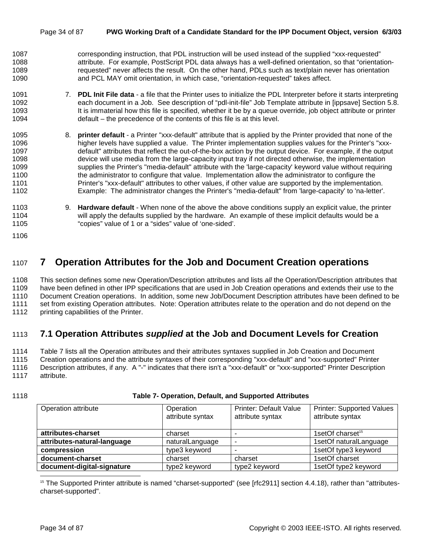#### Page 34 of 87 **PWG Working Draft of a Candidate Standard for the IPP Document Object, version 6/3/03**

- 1087 corresponding instruction, that PDL instruction will be used instead of the supplied "xxx-requested" 1088 attribute. For example, PostScript PDL data always has a well-defined orientation, so that "orientation-1089 requested" never affects the result. On the other hand, PDLs such as text/plain never has orientation 1090 and PCL MAY omit orientation, in which case, "orientation-requested" takes affect.
- 1091 7. **PDL Init File data**  a file that the Printer uses to initialize the PDL Interpreter before it starts interpreting 1092 each document in a Job. See description of "pdl-init-file" Job Template attribute in [ippsave] Section 5.8. 1093 It is immaterial how this file is specified, whether it be by a queue override, job object attribute or printer 1094 default – the precedence of the contents of this file is at this level.
- 1095 8. **printer default**  a Printer "xxx-default" attribute that is applied by the Printer provided that none of the 1096 higher levels have supplied a value. The Printer implementation supplies values for the Printer's "xxx-1097 default" attributes that reflect the out-of-the-box action by the output device. For example, if the output 1098 device will use media from the large-capacity input tray if not directed otherwise, the implementation 1099 supplies the Printer's "media-default" attribute with the 'large-capacity' keyword value without requiring 1100 the administrator to configure that value. Implementation allow the administrator to configure the 1101 Printer's "xxx-default" attributes to other values, if other value are supported by the implementation. 1102 Example: The administrator changes the Printer's "media-default" from 'large-capacity' to 'na-letter'.
- 1103 9. **Hardware default**  When none of the above the above conditions supply an explicit value, the printer 1104 will apply the defaults supplied by the hardware. An example of these implicit defaults would be a 1105 "copies" value of 1 or a "sides" value of 'one-sided'.
- 1106

# 1107 **7 Operation Attributes for the Job and Document Creation operations**

1108 This section defines some new Operation/Description attributes and lists *all* the Operation/Description attributes that 1109 have been defined in other IPP specifications that are used in Job Creation operations and extends their use to the 1110 Document Creation operations. In addition, some new Job/Document Description attributes have been defined to be 1111 set from existing Operation attributes. Note: Operation attributes relate to the operation and do not depend on the 1112 printing capabilities of the Printer.

### 1113 **7.1 Operation Attributes** *supplied* **at the Job and Document Levels for Creation**

1114 Table 7 lists all the Operation attributes and their attributes syntaxes supplied in Job Creation and Document 1115 Creation operations and the attribute syntaxes of their corresponding "xxx-default" and "xxx-supported" Printer 1116 Description attributes, if any. A "-" indicates that there isn't a "xxx-default" or "xxx-supported" Printer Description 1117 attribute.

#### 1118 **Table 7- Operation, Default, and Supported Attributes**

| Operation attribute         | Operation<br>attribute syntax | <b>Printer: Default Value</b><br>attribute syntax | <b>Printer: Supported Values</b><br>attribute syntax |  |
|-----------------------------|-------------------------------|---------------------------------------------------|------------------------------------------------------|--|
| attributes-charset          | charset                       |                                                   | 1setOf charset <sup>15</sup>                         |  |
| attributes-natural-language | naturalLanguage               |                                                   | 1setOf naturalLanguage                               |  |
| compression                 | type3 keyword                 |                                                   | 1setOf type3 keyword                                 |  |
| document-charset<br>charset |                               | charset                                           | 1setOf charset                                       |  |
| document-digital-signature  | type2 keyword                 | type2 keyword                                     | 1setOf type2 keyword                                 |  |

<sup>15</sup> The Supported Printer attribute is named "charset-supported" (see [rfc2911] section 4.4.18), rather than "attributescharset-supported".

l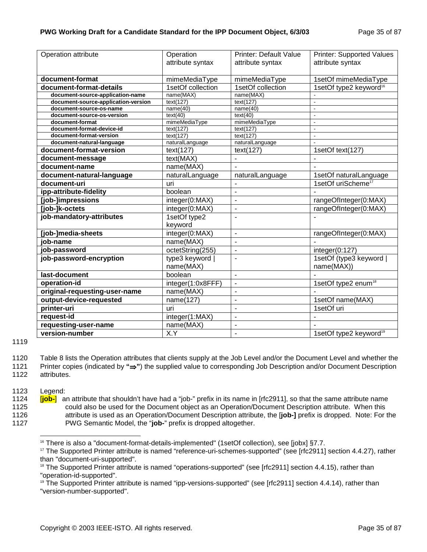| Operation attribute                 | Operation         | <b>Printer: Default Value</b>            | <b>Printer: Supported Values</b>   |  |
|-------------------------------------|-------------------|------------------------------------------|------------------------------------|--|
|                                     | attribute syntax  | attribute syntax                         | attribute syntax                   |  |
|                                     |                   |                                          |                                    |  |
| document-format                     | mimeMediaType     | mimeMediaType                            | 1setOf mimeMediaType               |  |
| document-format-details             | 1setOf collection | 1setOf collection                        | 1setOf type2 keyword <sup>16</sup> |  |
| document-source-application-name    | name(MAX)         | name(MAX)                                |                                    |  |
| document-source-application-version | text(127)         | text(127)                                | $\blacksquare$                     |  |
| document-source-os-name             | name(40)          | name(40)                                 | $\overline{a}$                     |  |
| document-source-os-version          | text(40)          | text(40)                                 | $\tilde{\phantom{a}}$              |  |
| document-format                     | mimeMediaType     | mimeMediaType                            | ÷.                                 |  |
| document-format-device-id           | text(127)         | $\tan(127)$                              | ÷,                                 |  |
| document-format-version             | text(127)         | text(127)                                | $\overline{a}$                     |  |
| document-natural-language           | naturalLanguage   | naturalLanguage                          | $\overline{a}$                     |  |
| document-format-version             | text(127)         | text(127)                                | 1setOf text(127)                   |  |
| document-message                    | text(MAX)         | $\overline{a}$                           |                                    |  |
| document-name                       | name(MAX)         | ÷,                                       |                                    |  |
| document-natural-language           | naturalLanguage   | naturalLanguage                          | 1setOf naturalLanguage             |  |
| document-uri                        | uri               |                                          | 1setOf uriScheme <sup>17</sup>     |  |
| ipp-attribute-fidelity              | boolean           | ä,                                       |                                    |  |
| [job-]impressions                   | integer(0:MAX)    |                                          | rangeOfInteger(0:MAX)              |  |
| [job-]k-octets                      | integer(0:MAX)    | $\overline{a}$                           | rangeOfInteger(0:MAX)              |  |
| job-mandatory-attributes            | 1setOf type2      | L,                                       |                                    |  |
|                                     | keyword           |                                          |                                    |  |
| [job-]media-sheets                  | integer(0:MAX)    | ÷,                                       | rangeOfInteger(0:MAX)              |  |
| iob-name                            | name(MAX)         | L.                                       |                                    |  |
| job-password                        | octetString(255)  | $\overline{a}$                           | integer(0:127)                     |  |
| job-password-encryption             | type3 keyword     | L,                                       | 1setOf (type3 keyword              |  |
|                                     | name(MAX)         |                                          | name(MAX))                         |  |
| last-document                       | boolean           | ÷,                                       |                                    |  |
| operation-id                        | integer(1:0x8FFF) | $\overline{a}$                           | 1setOf type2 enum <sup>18</sup>    |  |
| original-requesting-user-name       | name(MAX)         | L,                                       |                                    |  |
| output-device-requested             | name(127)         | ÷                                        | 1setOf name(MAX)                   |  |
| printer-uri                         | uri               | ä,                                       | 1setOf uri                         |  |
| request-id                          | integer(1:MAX)    | ÷,                                       |                                    |  |
| requesting-user-name                | name(MAX)         | $\overline{\phantom{0}}$                 |                                    |  |
| X.Y<br>version-number               |                   | 1setOf type2 keyword <sup>19</sup><br>ä, |                                    |  |

1119

1123 Legend:

1124 [**job-**] an attribute that shouldn't have had a "job-" prefix in its name in [rfc2911], so that the same attribute name 1125 could also be used for the Document object as an Operation/Document Description attribute. When this 1126 attribute is used as an Operation/Document Description attribute, the [**job-]** prefix is dropped. Note: For the 1127 PWG Semantic Model, the "**job-**" prefix is dropped altogether.

<sup>1120</sup> Table 8 lists the Operation attributes that clients supply at the Job Level and/or the Document Level and whether the 1121 Printer copies (indicated by **"**⇒**"**) the supplied value to corresponding Job Description and/or Document Description 1122 attributes.

l  $16$  There is also a "document-format-details-implemented" (1setOf collection), see [jobx]  $\S7.7$ .

<sup>17</sup> The Supported Printer attribute is named "reference-uri-schemes-supported" (see [rfc2911] section 4.4.27), rather than "document-uri-supported".

<sup>&</sup>lt;sup>18</sup> The Supported Printer attribute is named "operations-supported" (see [rfc2911] section 4.4.15), rather than "operation-id-supported".

<sup>&</sup>lt;sup>19</sup> The Supported Printer attribute is named "ipp-versions-supported" (see [rfc2911] section 4.4.14), rather than "version-number-supported".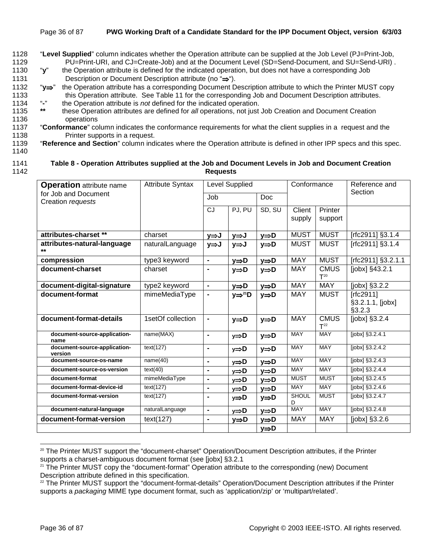- 1128 "**Level Supplied**" column indicates whether the Operation attribute can be supplied at the Job Level (PJ=Print-Job, 1129 PU=Print-URI, and CJ=Create-Job) and at the Document Level (SD=Send-Document, and SU=Send-URI) .
- 1130 "**y**" the Operation attribute is defined for the indicated operation, but does not have a corresponding Job 1131 Description or Document Description attribute (no "⇒").
- 1132 "**y**⇒" the Operation attribute has a corresponding Document Description attribute to which the Printer MUST copy 1133 this Operation attribute. See Table 11 for the corresponding Job and Document Description attributes.<br>1134 "-" the Operation attribute is not defined for the indicated operation
- 1134 "**-**" the Operation attribute is *not* defined for the indicated operation.
- 1135 **\*\*** these Operation attributes are defined for *all* operations, not just Job Creation and Document Creation 1136 operations
- 1137 "**Conformance**" column indicates the conformance requirements for what the client supplies in a request and the 1138 Printer supports in a request.
- 1139 "**Reference and Section**" column indicates where the Operation attribute is defined in other IPP specs and this spec.
- 1140

#### 1141 **Table 8 - Operation Attributes supplied at the Job and Document Levels in Job and Document Creation**  1142 **Requests**

| <b>Operation</b> attribute name           | <b>Attribute Syntax</b> | Level Supplied               |                        | Conformance       |                   | Reference and                  |                                         |  |
|-------------------------------------------|-------------------------|------------------------------|------------------------|-------------------|-------------------|--------------------------------|-----------------------------------------|--|
| for Job and Document<br>Creation requests |                         | Job                          |                        | <b>Doc</b>        |                   |                                | Section                                 |  |
|                                           |                         | <b>CJ</b>                    | PJ, PU                 | SD, SU            | Client<br>supply  | Printer<br>support             |                                         |  |
| attributes-charset **                     | charset                 | y⇒J                          | y⇒J                    | y⇒D               | <b>MUST</b>       | <b>MUST</b>                    | [rfc2911] §3.1.4                        |  |
| attributes-natural-language<br>$***$      | naturalLanguage         | y⇒J                          | y⇒J                    | y⇒D               | <b>MUST</b>       | <b>MUST</b>                    | [rfc2911] §3.1.4                        |  |
| compression                               | type3 keyword           | $\blacksquare$               | y⇒D                    | $y \Rightarrow D$ | <b>MAY</b>        | <b>MUST</b>                    | [rfc2911] §3.2.1.1                      |  |
| document-charset                          | charset                 | $\blacksquare$               | y⇒D                    | y⇒D               | <b>MAY</b>        | <b>CMUS</b><br>$T^{20}$        | [jobx] §43.2.1                          |  |
| document-digital-signature                | type2 keyword           | $\qquad \qquad \blacksquare$ | y⇒D                    | $y \Rightarrow D$ | <b>MAY</b>        | <b>MAY</b>                     | [jobx] §3.2.2                           |  |
| document-format                           | mimeMediaType           | $\blacksquare$               | $y \Rightarrow^{21} D$ | $y \Rightarrow D$ | <b>MAY</b>        | <b>MUST</b>                    | [rfc2911]<br>§3.2.1.1, [jobx]<br>§3.2.3 |  |
| document-format-details                   | 1setOf collection       | $\blacksquare$               | $y \Rightarrow D$      | $y \Rightarrow D$ | <b>MAY</b>        | <b>CMUS</b><br>T <sup>22</sup> | [jobx] $§3.2.\overline{4}$              |  |
| document-source-application-<br>name      | name(MAX)               | $\blacksquare$               | $y \Rightarrow D$      | $y \Rightarrow D$ | <b>MAY</b>        | <b>MAY</b>                     | [jobx] §3.2.4.1                         |  |
| document-source-application-<br>version   | text(127)               | $\blacksquare$               | $y \Rightarrow D$      | $y \Rightarrow D$ | <b>MAY</b>        | <b>MAY</b>                     | $[jobx]$ §3.2.4.2                       |  |
| document-source-os-name                   | name(40)                | $\blacksquare$               | $y \Rightarrow D$      | $y \Rightarrow D$ | <b>MAY</b>        | <b>MAY</b>                     | $[jobx]$ §3.2.4.3                       |  |
| document-source-os-version                | text(40)                | $\blacksquare$               | y⇒D                    | $y \Rightarrow D$ | <b>MAY</b>        | <b>MAY</b>                     | [jobx] §3.2.4.4                         |  |
| document-format                           | mimeMediaType           | $\blacksquare$               | y⇒D                    | y⇒D               | <b>MUST</b>       | <b>MUST</b>                    | [jobx] §3.2.4.5                         |  |
| document-format-device-id                 | text(127)               | $\blacksquare$               | $y \Rightarrow D$      | $y \Rightarrow D$ | <b>MAY</b>        | <b>MAY</b>                     | $[jobx]$ §3.2.4.6                       |  |
| document-format-version                   | text(127)               | $\blacksquare$               | y⇒D                    | $y \Rightarrow D$ | <b>SHOUL</b><br>D | <b>MUST</b>                    | [jobx] §3.2.4.7                         |  |
| document-natural-language                 | naturalLanguage         | $\blacksquare$               | $y \Rightarrow D$      | $y \Rightarrow D$ | <b>MAY</b>        | <b>MAY</b>                     | [jobx] §3.2.4.8                         |  |
| document-format-version                   | text(127)               | $\qquad \qquad \blacksquare$ | $y \Rightarrow D$      | y⇒D               | <b>MAY</b>        | <b>MAY</b>                     | $[jobx]$ §3.2.6                         |  |
|                                           |                         |                              |                        | y⇒D               |                   |                                |                                         |  |

<sup>&</sup>lt;sup>20</sup> The Printer MUST support the "document-charset" Operation/Document Description attributes, if the Printer supports a charset-ambiguous document format (see [jobx] §3.2.1

l

<sup>&</sup>lt;sup>21</sup> The Printer MUST copy the "document-format" Operation attribute to the corresponding (new) Document Description attribute defined in this specification.

 $22$  The Printer MUST support the "document-format-details" Operation/Document Description attributes if the Printer supports a *packaging* MIME type document format, such as 'application/zip' or 'multipart/related'.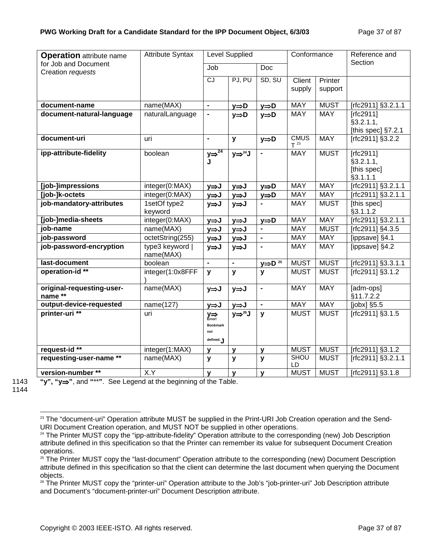| <b>Operation</b> attribute name           | <b>Attribute Syntax</b>      |                                                             | Level Supplied                  |                               | Conformance             |                    | Reference and                                     |
|-------------------------------------------|------------------------------|-------------------------------------------------------------|---------------------------------|-------------------------------|-------------------------|--------------------|---------------------------------------------------|
| for Job and Document<br>Creation requests |                              | Job                                                         |                                 | Doc                           |                         |                    | Section                                           |
|                                           |                              | CJ                                                          | PJ, PU                          | SD, SU                        | Client<br>supply        | Printer<br>support |                                                   |
| document-name                             | name(MAX)                    | $\overline{a}$                                              | $y \Rightarrow D$               | $y \Rightarrow D$             | MAY                     | <b>MUST</b>        | [rfc2911] §3.2.1.1                                |
| document-natural-language                 | naturalLanguage              | $\blacksquare$                                              | $y \Rightarrow D$               | $y \Rightarrow D$             | <b>MAY</b>              | <b>MAY</b>         | [rfc2911]<br>§3.2.1.1,<br>[this spec] $§7.2.1$    |
| document-uri                              | uri                          | $\blacksquare$                                              | y                               | $y \Rightarrow D$             | <b>CMUS</b><br>$T^{23}$ | <b>MAY</b>         | [rfc2911] §3.2.2                                  |
| ipp-attribute-fidelity                    | boolean                      | $y \Rightarrow 24$<br>Ū                                     | $y \Rightarrow$ <sup>24</sup> J | $\blacksquare$                | <b>MAY</b>              | <b>MUST</b>        | [rfc2911]<br>§3.2.1.1,<br>[this spec]<br>§3.1.1.1 |
| [job-]impressions                         | integer(0:MAX)               | y⇒J                                                         | y⇒J                             | $\underline{y} \Rightarrow D$ | <b>MAY</b>              | <b>MAY</b>         | [rfc2911] §3.2.1.1                                |
| [job-]k-octets                            | integer(0:MAX)               | $y \Rightarrow J$                                           | y⇒J                             | $y \Rightarrow D$             | <b>MAY</b>              | <b>MAY</b>         | [rfc2911] §3.2.1.1                                |
| job-mandatory-attributes                  | 1setOf type2<br>keyword      | $y \Rightarrow J$                                           | $y \Rightarrow J$               |                               | <b>MAY</b>              | <b>MUST</b>        | [this spec]<br>§3.1.1.2                           |
| [job-]media-sheets                        | integer(0:MAX)               | y⇒J                                                         | y⇒J                             | $\underline{y} \Rightarrow D$ | <b>MAY</b>              | <b>MAY</b>         | [rfc2911] §3.2.1.1                                |
| job-name                                  | name(MAX)                    | y⇒J                                                         | y⇒J                             | $\blacksquare$                | <b>MAY</b>              | <b>MUST</b>        | [rfc2911] §4.3.5                                  |
| job-password                              | octetString(255)             | y⇒J                                                         | y⇒J                             | $\blacksquare$                | <b>MAY</b>              | <b>MAY</b>         | [ippsave] §4.1                                    |
| job-password-encryption                   | type3 keyword  <br>name(MAX) | $y \Rightarrow J$                                           | $y \Rightarrow J$               |                               | <b>MAY</b>              | <b>MAY</b>         | [ippsave] §4.2                                    |
| last-document                             | boolean                      | $\blacksquare$                                              | $\blacksquare$                  | $y \Rightarrow D^{25}$        | <b>MUST</b>             | <b>MUST</b>        | $[rfc2911]$ §3.3.1.1                              |
| operation-id**                            | integer(1:0x8FFF             | y                                                           | $\mathbf{y}$                    | $\mathbf{y}$                  | <b>MUST</b>             | <b>MUST</b>        | [rfc2911] §3.1.2                                  |
| original-requesting-user-<br>name **      | name(MAX)                    | y⇒J                                                         | $y \Rightarrow J$               | $\blacksquare$                | <b>MAY</b>              | <b>MAY</b>         | [adm-ops]<br>§11.7.2.2                            |
| output-device-requested                   | name(127)                    | y⇒J                                                         | y⇒J                             | $\blacksquare$                | <b>MAY</b>              | <b>MAY</b>         | $[jobx]$ §5.5                                     |
| printer-uri **                            | uri                          | $\sum_{\text{Error}}$<br><b>Bookmark</b><br>not<br>defined. | $y \Rightarrow^{26} J$          | $\mathbf{y}$                  | <b>MUST</b>             | <b>MUST</b>        | [rfc2911] §3.1.5                                  |
| request-id **                             | integer(1:MAX)               | У                                                           | y                               | y                             | <b>MUST</b>             | <b>MUST</b>        | [rfc2911] §3.1.2                                  |
| requesting-user-name **                   | name(MAX)                    | y                                                           | y                               | y                             | <b>SHOU</b><br>LD       | <b>MUST</b>        | [rfc2911] §3.2.1.1                                |
| version-number**                          | X.Y                          | y                                                           | y                               | y                             | <b>MUST</b>             | <b>MUST</b>        | [rfc2911] §3.1.8                                  |

1144

l

1143 **"y", "y**⇒**"**, and **"**\*\***"**. See Legend at the beginning of the Table.

<sup>&</sup>lt;sup>23</sup> The "document-uri" Operation attribute MUST be supplied in the Print-URI Job Creation operation and the Send-URI Document Creation operation, and MUST NOT be supplied in other operations.

<sup>&</sup>lt;sup>24</sup> The Printer MUST copy the "ipp-attribute-fidelity" Operation attribute to the corresponding (new) Job Description attribute defined in this specification so that the Printer can remember its value for subsequent Document Creation operations.

<sup>&</sup>lt;sup>25</sup> The Printer MUST copy the "last-document" Operation attribute to the corresponding (new) Document Description attribute defined in this specification so that the client can determine the last document when querying the Document objects.

<sup>&</sup>lt;sup>26</sup> The Printer MUST copy the "printer-uri" Operation attribute to the Job's "job-printer-uri" Job Description attribute and Document's "document-printer-uri" Document Description attribute.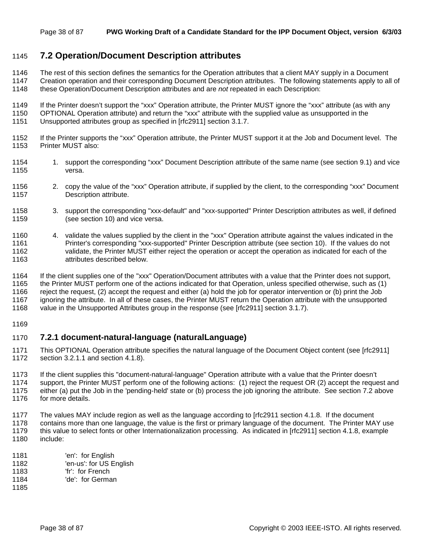### 1145 **7.2 Operation/Document Description attributes**

- 1146 The rest of this section defines the semantics for the Operation attributes that a client MAY supply in a Document
- 1147 Creation operation and their corresponding Document Description attributes. The following statements apply to all of
- 1148 these Operation/Document Description attributes and are *not* repeated in each Description:
- 1149 If the Printer doesn't support the "xxx" Operation attribute, the Printer MUST ignore the "xxx" attribute (as with any
- 1150 OPTIONAL Operation attribute) and return the "xxx" attribute with the supplied value as unsupported in the
- 1151 Unsupported attributes group as specified in [rfc2911] section 3.1.7.
- 1152 If the Printer supports the "xxx" Operation attribute, the Printer MUST support it at the Job and Document level. The 1153 Printer MUST also:
- 1154 1. support the corresponding "xxx" Document Description attribute of the same name (see section 9.1) and vice 1155 versa.
- 1156 2. copy the value of the "xxx" Operation attribute, if supplied by the client, to the corresponding "xxx" Document 1157 Description attribute.
- 1158 3. support the corresponding "xxx-default" and "xxx-supported" Printer Description attributes as well, if defined 1159 (see section 10) and vice versa.
- 1160 4. validate the values supplied by the client in the "xxx" Operation attribute against the values indicated in the 1161 Printer's corresponding "xxx-supported" Printer Description attribute (see section 10). If the values do not 1162 validate, the Printer MUST either reject the operation or accept the operation as indicated for each of the 1163 attributes described below.
- 1164 If the client supplies one of the "xxx" Operation/Document attributes with a value that the Printer does not support, 1165 the Printer MUST perform one of the actions indicated for that Operation, unless specified otherwise, such as (1) 1166 reject the request, (2) accept the request and either (a) hold the job for operator intervention or (b) print the Job 1167 ignoring the attribute. In all of these cases, the Printer MUST return the Operation attribute with the unsupported 1168 value in the Unsupported Attributes group in the response (see [rfc2911] section 3.1.7).
- 1169

#### 1170 **7.2.1 document-natural-language (naturalLanguage)**

- 1171 This OPTIONAL Operation attribute specifies the natural language of the Document Object content (see [rfc2911] 1172 section 3.2.1.1 and section 4.1.8).
- 1173 If the client supplies this "document-natural-language" Operation attribute with a value that the Printer doesn't
- 1174 support, the Printer MUST perform one of the following actions: (1) reject the request OR (2) accept the request and 1175 either (a) put the Job in the 'pending-held' state or (b) process the job ignoring the attribute. See section 7.2 above 1176 for more details.
- 1177 The values MAY include region as well as the language according to [rfc2911 section 4.1.8. If the document 1178 contains more than one language, the value is the first or primary language of the document. The Printer MAY use 1179 this value to select fonts or other Internationalization processing. As indicated in [rfc2911] section 4.1.8, example
- 1180 include:
- 1181 'en': for English
- 1182 'en-us': for US English
- 1183 'fr': for French
- 1184 'de': for German
- 1185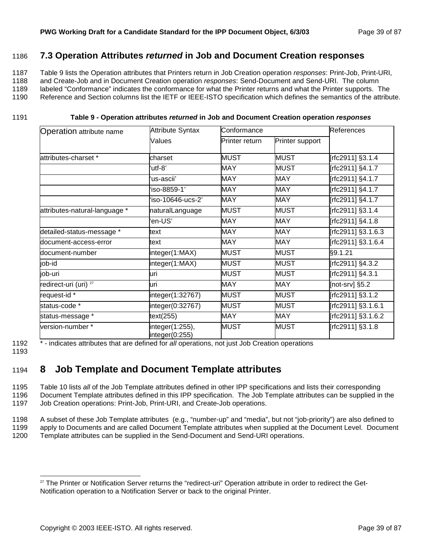### 1186 **7.3 Operation Attributes** *returned* **in Job and Document Creation responses**

1187 Table 9 lists the Operation attributes that Printers return in Job Creation operation *responses*: Print-Job, Print-URI,

1188 and Create-Job and in Document Creation operation *responses*: Send-Document and Send-URI. The column

1189 labeled "Conformance" indicates the conformance for what the Printer returns and what the Printer supports. The 1190 Reference and Section columns list the IETF or IEEE-ISTO specification which defines the semantics of the attribute.

1191 **Table 9 - Operation attributes** *returned* **in Job and Document Creation operation** *responses*

| <b>Attribute Syntax</b><br>Conformance<br>Operation attribute name |                                   |                |                 | <b>References</b>  |  |
|--------------------------------------------------------------------|-----------------------------------|----------------|-----------------|--------------------|--|
|                                                                    | <b>Values</b>                     | Printer return | Printer support |                    |  |
| attributes-charset *                                               | charset                           | <b>MUST</b>    | <b>MUST</b>     | [rfc2911] §3.1.4   |  |
|                                                                    | utf-8'                            | MAY            | <b>MUST</b>     | [rfc2911] §4.1.7   |  |
|                                                                    | 'us-ascii'                        | MAY            | <b>MAY</b>      | [rfc2911] §4.1.7   |  |
|                                                                    | iso-8859-1'                       | <b>MAY</b>     | <b>MAY</b>      | [rfc2911] §4.1.7   |  |
|                                                                    | iso-10646-ucs-2'                  | <b>MAY</b>     | <b>MAY</b>      | [rfc2911] §4.1.7   |  |
| attributes-natural-language *                                      | naturalLanguage                   | <b>MUST</b>    | <b>MUST</b>     | [rfc2911] §3.1.4   |  |
|                                                                    | 'en-US'                           | MAY            | <b>MAY</b>      | [rfc2911] §4.1.8   |  |
| detailed-status-message *                                          | text                              | MAY            | <b>MAY</b>      | [rfc2911] §3.1.6.3 |  |
| document-access-error                                              | text                              | MAY            | <b>MAY</b>      | [rfc2911] §3.1.6.4 |  |
| document-number                                                    | integer(1:MAX)                    | MUST           | <b>MUST</b>     | §9.1.21            |  |
| job-id                                                             | integer(1:MAX)                    | MUST           | MUST            | [rfc2911] §4.3.2   |  |
| job-uri                                                            | luri                              | <b>MUST</b>    | <b>MUST</b>     | [rfc2911] §4.3.1   |  |
| redirect-uri (uri) <sup>27</sup>                                   | uri                               | <b>MAY</b>     | <b>MAY</b>      | [not-srv] §5.2     |  |
| request-id *                                                       | integer(1:32767)                  | MUST           | <b>MUST</b>     | [rfc2911] §3.1.2   |  |
| status-code *                                                      | integer(0:32767)                  | <b>MUST</b>    | <b>MUST</b>     | rfc2911] §3.1.6.1  |  |
| status-message *                                                   | text(255)                         | MAY            | <b>MAY</b>      | [rfc2911] §3.1.6.2 |  |
| version-number*                                                    | integer(1:255),<br>integer(0:255) | <b>MUST</b>    | <b>MUST</b>     | [rfc2911] §3.1.8   |  |

1192 \* - indicates attributes that are defined for *all* operations, not just Job Creation operations

1193

l

# 1194 **8 Job Template and Document Template attributes**

1195 Table 10 lists *all* of the Job Template attributes defined in other IPP specifications and lists their corresponding 1196 Document Template attributes defined in this IPP specification. The Job Template attributes can be supplied in the 1197 Job Creation operations: Print-Job, Print-URI, and Create-Job operations.

1198 A subset of these Job Template attributes (e.g., "number-up" and "media", but not "job-priority") are also defined to 1199 apply to Documents and are called Document Template attributes when supplied at the Document Level. Document 1200 Template attributes can be supplied in the Send-Document and Send-URI operations.

<sup>&</sup>lt;sup>27</sup> The Printer or Notification Server returns the "redirect-uri" Operation attribute in order to redirect the Get-Notification operation to a Notification Server or back to the original Printer.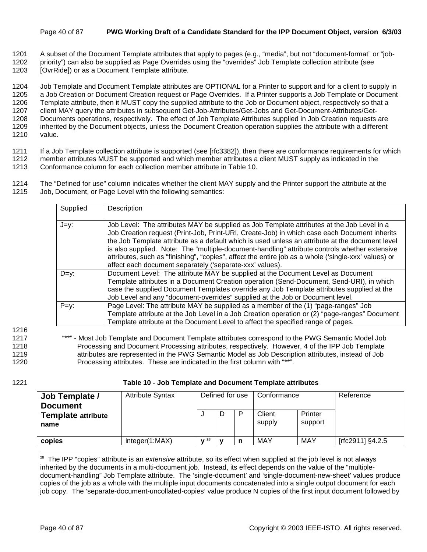#### Page 40 of 87 **PWG Working Draft of a Candidate Standard for the IPP Document Object, version 6/3/03**

- 1201 A subset of the Document Template attributes that apply to pages (e.g., "media", but not "document-format" or "job-
- 1202 priority") can also be supplied as Page Overrides using the "overrides" Job Template collection attribute (see
- 1203 [OvrRidel] or as a Document Template attribute.

1204 Job Template and Document Template attributes are OPTIONAL for a Printer to support and for a client to supply in 1205 a Job Creation or Document Creation request or Page Overrides. If a Printer supports a Job Template or Document 1206 Template attribute, then it MUST copy the supplied attribute to the Job or Document object, respectively so that a 1207 client MAY query the attributes in subsequent Get-Job-Attributes/Get-Jobs and Get-Document-Attributes/Get-1208 Documents operations, respectively. The effect of Job Template Attributes supplied in Job Creation requests are 1209 inherited by the Document objects, unless the Document Creation operation supplies the attribute with a different 1210 value.

- 1211 If a Job Template collection attribute is supported (see [rfc3382]), then there are conformance requirements for which 1212 member attributes MUST be supported and which member attributes a client MUST supply as indicated in the
- 1213 Conformance column for each collection member attribute in Table 10.
- 1214 The "Defined for use" column indicates whether the client MAY supply and the Printer support the attribute at the 1215 Job, Document, or Page Level with the following semantics:

| Supplied | Description                                                                                                                                                                                                                                                                                                                                                                                                                                                                                                                                                        |
|----------|--------------------------------------------------------------------------------------------------------------------------------------------------------------------------------------------------------------------------------------------------------------------------------------------------------------------------------------------------------------------------------------------------------------------------------------------------------------------------------------------------------------------------------------------------------------------|
| $J=y$ :  | Job Level: The attributes MAY be supplied as Job Template attributes at the Job Level in a<br>Job Creation request (Print-Job, Print-URI, Create-Job) in which case each Document inherits<br>the Job Template attribute as a default which is used unless an attribute at the document level<br>is also supplied. Note: The "multiple-document-handling" attribute controls whether extensive<br>attributes, such as "finishing", "copies", affect the entire job as a whole ('single-xxx' values) or<br>affect each document separately ('separate-xxx' values). |
| $D=y$ :  | Document Level: The attribute MAY be supplied at the Document Level as Document<br>Template attributes in a Document Creation operation (Send-Document, Send-URI), in which<br>case the supplied Document Templates override any Job Template attributes supplied at the<br>Job Level and any "document-overrides" supplied at the Job or Document level.                                                                                                                                                                                                          |
| $P=y$ :  | Page Level: The attribute MAY be supplied as a member of the (1) "page-ranges" Job<br>Template attribute at the Job Level in a Job Creation operation or (2) "page-ranges" Document<br>Template attribute at the Document Level to affect the specified range of pages.                                                                                                                                                                                                                                                                                            |

1216

1217 "\*\*" - Most Job Template and Document Template attributes correspond to the PWG Semantic Model Job 1218 Processing and Document Processing attributes, respectively. However, 4 of the IPP Job Template 1219 attributes are represented in the PWG Semantic Model as Job Description attributes, instead of Job 1220 Processing attributes. These are indicated in the first column with "\*\*".

l

1221 **Table 10 - Job Template and Document Template attributes** 

| Job Template /<br><b>Document</b> | <b>Attribute Syntax</b> | Defined for use |  | Conformance |                  | Reference          |                  |
|-----------------------------------|-------------------------|-----------------|--|-------------|------------------|--------------------|------------------|
| <b>Template attribute</b><br>name |                         |                 |  |             | Client<br>supply | Printer<br>support |                  |
| copies                            | integer(1:MAX)          | . 28            |  |             | <b>MAY</b>       | MAY                | [rfc2911] §4.2.5 |

<sup>28</sup> The IPP "copies" attribute is an *extensive* attribute, so its effect when supplied at the job level is not always inherited by the documents in a multi-document job. Instead, its effect depends on the value of the "multipledocument-handling" Job Template attribute. The 'single-document' and 'single-document-new-sheet' values produce copies of the job as a whole with the multiple input documents concatenated into a single output document for each job copy. The 'separate-document-uncollated-copies' value produce N copies of the first input document followed by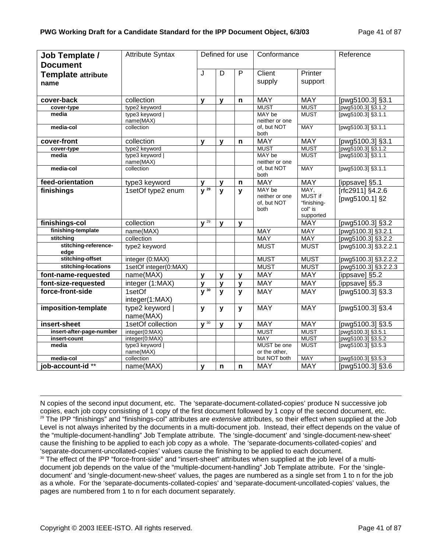| Job Template /               | <b>Attribute Syntax</b>      |              | Defined for use |              | Conformance                                     |                                           | Reference                          |
|------------------------------|------------------------------|--------------|-----------------|--------------|-------------------------------------------------|-------------------------------------------|------------------------------------|
| <b>Document</b>              |                              |              |                 |              |                                                 |                                           |                                    |
| <b>Template attribute</b>    |                              | J            | D               | $\mathsf{P}$ | Client                                          | Printer                                   |                                    |
| name                         |                              |              |                 |              | supply                                          | support                                   |                                    |
|                              |                              |              |                 |              |                                                 |                                           |                                    |
| cover-back                   | collection                   | $\mathbf{v}$ | $\mathbf{v}$    | n            | <b>MAY</b>                                      | <b>MAY</b>                                | [pwg5100.3] §3.1                   |
| cover-type                   | type2 keyword                |              |                 |              | <b>MUST</b>                                     | <b>MUST</b>                               | [pwg5100.3] §3.1.2                 |
| media                        | type3 keyword  <br>name(MAX) |              |                 |              | MAY be<br>neither or one                        | <b>MUST</b>                               | [pwg5100.3] §3.1.1                 |
| media-col                    | collection                   |              |                 |              | of, but NOT<br>both                             | <b>MAY</b>                                | [pwg5100.3] §3.1.1                 |
| cover-front                  | collection                   | y            | $\mathbf{y}$    | n            | <b>MAY</b>                                      | <b>MAY</b>                                | [pwg5100.3] §3.1                   |
| cover-type                   | type2 keyword                |              |                 |              | <b>MUST</b>                                     | <b>MUST</b>                               | [pwg5100.3] §3.1.2                 |
| media                        | type3 keyword  <br>name(MAX) |              |                 |              | MAY be<br>neither or one                        | <b>MUST</b>                               | [pwg5100.3] §3.1.1                 |
| media-col                    | collection                   |              |                 |              | of, but NOT<br>both                             | <b>MAY</b>                                | [pwg5100.3] §3.1.1                 |
| feed-orientation             | type3 keyword                | y            | $\mathbf{y}$    | $\mathsf{n}$ | <b>MAY</b>                                      | <b>MAY</b>                                | [ippsave] §5.1                     |
| finishings                   | 1setOf type2 enum            | $y^{29}$     | $\mathbf{y}$    | $\mathbf{y}$ | MAY be<br>neither or one<br>of, but NOT<br>both | MAY,<br>MUST if<br>"finishing-<br>col" is | [rfc2911] §4.2.6<br>[pwg5100.1] §2 |
| finishings-col               | collection                   | $\sqrt{29}$  | $\mathbf{v}$    | $\mathbf{v}$ |                                                 | supported<br><b>MAY</b>                   | [pwg5100.3] §3.2                   |
| finishing-template           | name(MAX)                    |              |                 |              | MAY                                             | <b>MAY</b>                                | [pwg5100.3] §3.2.1                 |
| stitching                    | collection                   |              |                 |              | <b>MAY</b>                                      | <b>MAY</b>                                | [pwg5100.3] §3.2.2                 |
| stitching-reference-<br>edge | type2 keyword                |              |                 |              | <b>MUST</b>                                     | <b>MUST</b>                               | [pwg5100.3] §3.2.2.1               |
| stitching-offset             | integer (0:MAX)              |              |                 |              | <b>MUST</b>                                     | <b>MUST</b>                               | [pwg5100.3] §3.2.2.2               |
| stitching-locations          | 1setOf integer(0:MAX)        |              |                 |              | <b>MUST</b>                                     | <b>MUST</b>                               | [pwg5100.3] §3.2.2.3               |
| font-name-requested          | name(MAX)                    | y            | y               | $\mathbf{y}$ | <b>MAY</b>                                      | <b>MAY</b>                                | [ippsave] §5.2                     |
| font-size-requested          | integer (1:MAX)              | $\mathbf{v}$ | $\mathbf{y}$    | $\mathbf{y}$ | <b>MAY</b>                                      | <b>MAY</b>                                | $T$ ippsave] §5.3                  |
| force-front-side             | 1setOf                       | $y^{30}$     | $\mathbf{y}$    | $\mathbf{y}$ | <b>MAY</b>                                      | <b>MAY</b>                                | [pwg5100.3] §3.3                   |
|                              | integer(1:MAX)               |              |                 |              |                                                 |                                           |                                    |
| imposition-template          | type2 keyword  <br>name(MAX) | y            | y               | y            | <b>MAY</b>                                      | <b>MAY</b>                                | [pwg5100.3] §3.4                   |
| insert-sheet                 | 1setOf collection            | $\sqrt{30}$  | $\mathbf{y}$    | $\mathbf v$  | <b>MAY</b>                                      | <b>MAY</b>                                | [pwg5100.3] §3.5                   |
| insert-after-page-number     | integer(0:MAX)               |              |                 |              | <b>MUST</b>                                     | <b>MUST</b>                               | [pwg5100.3] §3.5.1                 |
| insert-count                 | integer(0:MAX)               |              |                 |              | <b>MAY</b>                                      | <b>MUST</b>                               | pwg5100.3] §3.5.2                  |
| media                        | type3 keyword  <br>name(MAX) |              |                 |              | MUST be one<br>or the other,                    | <b>MUST</b>                               | [pwg5100.3] §3.5.3                 |
| media-col                    | collection                   |              |                 |              | but NOT both                                    | <b>MAY</b>                                | [pwg5100.3] §3.5.3                 |
| job-account-id**             | name(MAX)                    | $\mathbf v$  | n               | $\mathbf n$  | <b>MAY</b>                                      | <b>MAY</b>                                | [pwg5100.3] §3.6                   |

N copies of the second input document, etc. The 'separate-document-collated-copies' produce N successive job copies, each job copy consisting of 1 copy of the first document followed by 1 copy of the second document, etc. 29 The IPP "finishings" and "finishings-col" attributes are *extensive* attributes, so their effect when supplied at the Job Level is not always inherited by the documents in a multi-document job. Instead, their effect depends on the value of the "multiple-document-handling" Job Template attribute. The 'single-document' and 'single-document-new-sheet' cause the finishing to be applied to each job copy as a whole. The 'separate-documents-collated-copies' and 'separate-document-uncollated-copies' values cause the finishing to be applied to each document.

30 The effect of the IPP "force-front-side" and "insert-sheet" attributes when supplied at the job level of a multidocument job depends on the value of the "multiple-document-handling" Job Template attribute. For the 'singledocument' and 'single-document-new-sheet' values, the pages are numbered as a single set from 1 to n for the job as a whole. For the 'separate-documents-collated-copies' and 'separate-document-uncollated-copies' values, the pages are numbered from 1 to n for each document separately.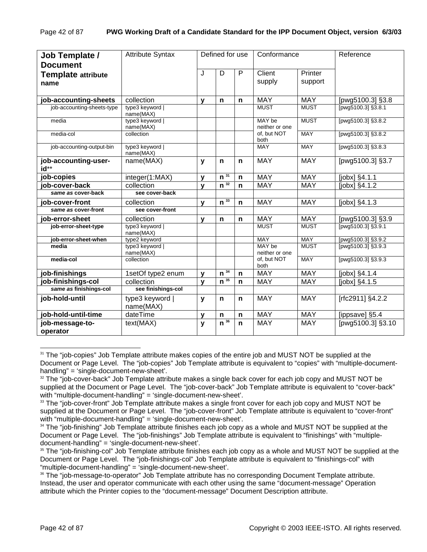| Job Template /<br><b>Document</b> | <b>Attribute Syntax</b>      |              | Defined for use              |              | Conformance              |                    | Reference          |
|-----------------------------------|------------------------------|--------------|------------------------------|--------------|--------------------------|--------------------|--------------------|
| <b>Template attribute</b><br>name |                              | J            | D                            | P            | Client<br>supply         | Printer<br>support |                    |
| job-accounting-sheets             | collection                   | $\mathbf{v}$ | n                            | n            | <b>MAY</b>               | <b>MAY</b>         | [pwg5100.3] §3.8   |
| job-accounting-sheets-type        | type3 keyword  <br>name(MAX) |              |                              |              | <b>MUST</b>              | <b>MUST</b>        | [pwg5100.3] §3.8.1 |
| media                             | type3 keyword  <br>name(MAX) |              |                              |              | MAY be<br>neither or one | <b>MUST</b>        | [pwg5100.3] §3.8.2 |
| media-col                         | collection                   |              |                              |              | of, but NOT<br>both      | <b>MAY</b>         | [pwg5100.3] §3.8.2 |
| job-accounting-output-bin         | type3 keyword  <br>name(MAX) |              |                              |              | <b>MAY</b>               | <b>MAY</b>         | [pwg5100.3] §3.8.3 |
| job-accounting-user-<br>id**      | name(MAX)                    | y            | n                            | n            | <b>MAY</b>               | <b>MAY</b>         | [pwg5100.3] §3.7   |
| job-copies                        | integer(1:MAX)               | $\mathbf{v}$ | $\overline{n}$ <sup>31</sup> | n            | <b>MAY</b>               | <b>MAY</b>         | $[jobx]$ §4.1.1    |
| iob-cover-back                    | collection                   | $\mathbf{v}$ | $\overline{n^{32}}$          | $\mathsf{n}$ | <b>MAY</b>               | <b>MAY</b>         | [jobx] §4.1.2      |
| same as cover-back                | see cover-back               |              |                              |              |                          |                    |                    |
| job-cover-front                   | collection                   | $\mathbf{v}$ | $n^{\overline{33}}$          | $\mathbf n$  | <b>MAY</b>               | <b>MAY</b>         | $[jobx]$ §4.1.3    |
| same as cover-front               | see cover-front              |              |                              |              |                          |                    |                    |
| job-error-sheet                   | collection                   | $\mathbf{v}$ | n                            | n            | <b>MAY</b>               | <b>MAY</b>         | [pwg5100.3] §3.9   |
| job-error-sheet-type              | type3 keyword  <br>name(MAX) |              |                              |              | <b>MUST</b>              | <b>MUST</b>        | [pwg5100.3] §3.9.1 |
| job-error-sheet-when              | type2 keyword                |              |                              |              | <b>MAY</b>               | <b>MAY</b>         | [pwg5100.3] §3.9.2 |
| media                             | type3 keyword  <br>name(MAX) |              |                              |              | MAY be<br>neither or one | <b>MUST</b>        | [pwg5100.3] §3.9.3 |
| media-col                         | collection                   |              |                              |              | of. but NOT<br>both      | <b>MAY</b>         | [pwg5100.3] §3.9.3 |
| job-finishings                    | 1setOf type2 enum            | $\mathbf{v}$ | $n^{34}$                     | n            | <b>MAY</b>               | <b>MAY</b>         | $[jobx]$ §4.1.4    |
| job-finishings-col                | collection                   | $\mathbf{v}$ | $n^{35}$                     | $\mathsf{n}$ | <b>MAY</b>               | <b>MAY</b>         | [jobx] §4.1.5      |
| same as finishings-col            | see finishings-col           |              |                              |              |                          |                    |                    |
| job-hold-until                    | type3 keyword  <br>name(MAX) | y            | n                            | n            | <b>MAY</b>               | <b>MAY</b>         | [rfc2911] §4.2.2   |
| job-hold-until-time               | dateTime                     | $\mathbf{v}$ | n                            | $\mathsf{n}$ | <b>MAY</b>               | <b>MAY</b>         | [ippsave] §5.4     |
| job-message-to-                   | text(MAX)                    | y            | $n^{36}$                     | n            | <b>MAY</b>               | <b>MAY</b>         | [pwg5100.3] §3.10  |
| operator                          |                              |              |                              |              |                          |                    |                    |

l <sup>31</sup> The "job-copies" Job Template attribute makes copies of the entire job and MUST NOT be supplied at the Document or Page Level. The "job-copies" Job Template attribute is equivalent to "copies" with "multiple-documenthandling" = 'single-document-new-sheet'.

 $32$  The "job-cover-back" Job Template attribute makes a single back cover for each job copy and MUST NOT be supplied at the Document or Page Level. The "job-cover-back" Job Template attribute is equivalent to "cover-back" with "multiple-document-handling" = 'single-document-new-sheet'.

<sup>&</sup>lt;sup>33</sup> The "job-cover-front" Job Template attribute makes a single front cover for each job copy and MUST NOT be supplied at the Document or Page Level. The "job-cover-front" Job Template attribute is equivalent to "cover-front" with "multiple-document-handling" = 'single-document-new-sheet'.

<sup>&</sup>lt;sup>34</sup> The "job-finishing" Job Template attribute finishes each job copy as a whole and MUST NOT be supplied at the Document or Page Level. The "job-finishings" Job Template attribute is equivalent to "finishings" with "multipledocument-handling" = 'single-document-new-sheet'.

<sup>&</sup>lt;sup>35</sup> The "job-finishing-col" Job Template attribute finishes each job copy as a whole and MUST NOT be supplied at the Document or Page Level. The "job-finishings-col" Job Template attribute is equivalent to "finishings-col" with "multiple-document-handling" = 'single-document-new-sheet'.

<sup>&</sup>lt;sup>36</sup> The "job-message-to-operator" Job Template attribute has no corresponding Document Template attribute. Instead, the user and operator communicate with each other using the same "document-message" Operation attribute which the Printer copies to the "document-message" Document Description attribute.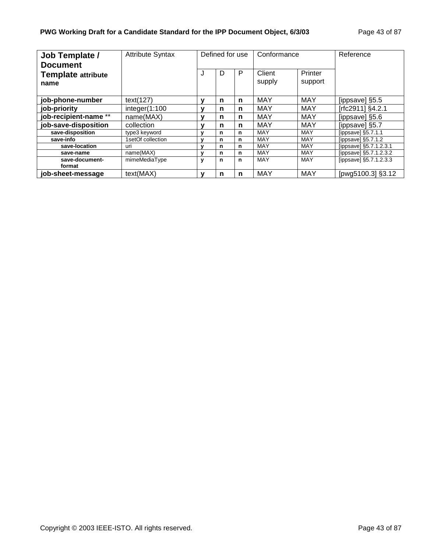| Job Template /<br><b>Document</b> | <b>Attribute Syntax</b> | Defined for use |   | Conformance |                  | Reference          |                        |
|-----------------------------------|-------------------------|-----------------|---|-------------|------------------|--------------------|------------------------|
| <b>Template attribute</b><br>name |                         | J               | D | P           | Client<br>supply | Printer<br>support |                        |
| job-phone-number                  | text(127)               |                 | n | n           | MAY              | <b>MAY</b>         | [ippsave] §5.5         |
| job-priority                      | integer(1:100           |                 | n | n           | MAY              | <b>MAY</b>         | [rfc2911] §4.2.1       |
| job-recipient-name **             | name(MAX)               |                 | n | n           | <b>MAY</b>       | <b>MAY</b>         | [ippsave] §5.6         |
| job-save-disposition              | collection              | v               | n | n           | MAY              | MAY                | [ippsave] §5.7         |
| save-disposition                  | type3 keyword           |                 | n | n           | MAY              | <b>MAY</b>         | [ippsave] $§5.7.1.1$   |
| save-info                         | 1setOf collection       |                 | n | n           | MAY              | <b>MAY</b>         | [ippsave] $§5.7.1.2$   |
| save-location                     | uri                     |                 | n | n           | MAY              | MAY                | [ippsave] §5.7.1.2.3.1 |
| save-name                         | name(MAX)               | v               | n | n           | MAY              | MAY                | [ippsave] §5.7.1.2.3.2 |
| save-document-<br>format          | mimeMediaType           | ٧               | n | n           | MAY              | <b>MAY</b>         | [ippsave] §5.7.1.2.3.3 |
| iob-sheet-message                 | text(MAX)               | v               | n | n           | MAY              | <b>MAY</b>         | [pwg5100.3] §3.12      |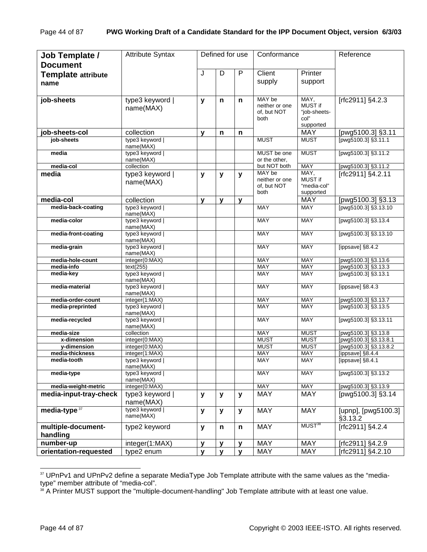| Job Template /<br><b>Document</b>     | <b>Attribute Syntax</b>         |   | Defined for use |   | Conformance                                     |                                                      | Reference                                  |
|---------------------------------------|---------------------------------|---|-----------------|---|-------------------------------------------------|------------------------------------------------------|--------------------------------------------|
| <b>Template attribute</b>             |                                 | J | D               | P | Client                                          | Printer                                              |                                            |
| name                                  |                                 |   |                 |   | supply                                          | support                                              |                                            |
| job-sheets                            | type3 keyword  <br>name(MAX)    | y | n               | n | MAY be<br>neither or one<br>of, but NOT<br>both | MAY,<br>MUST if<br>"job-sheets-<br>col"<br>supported | [rfc2911] §4.2.3                           |
| job-sheets-col                        | collection                      | v | n               | n |                                                 | <b>MAY</b>                                           | [pwg5100.3] §3.11                          |
| job-sheets                            | type3 keyword  <br>name(MAX)    |   |                 |   | <b>MUST</b>                                     | <b>MUST</b>                                          | [pwg5100.3] §3.11.1                        |
| media                                 | type3 keyword  <br>name(MAX)    |   |                 |   | MUST be one<br>or the other.                    | <b>MUST</b>                                          | [pwg5100.3] §3.11.2                        |
| media-col                             | collection                      |   |                 |   | but NOT both                                    | <b>MAY</b>                                           | [pwg5100.3] §3.11.2                        |
| media                                 | type3 keyword  <br>name(MAX)    | y | $\mathbf{y}$    | y | MAY be<br>neither or one<br>of. but NOT<br>both | MAY,<br><b>MUST if</b><br>"media-col"<br>supported   | [rfc2911] §4.2.11                          |
| media-col                             | collection                      | y | $\mathbf{v}$    | y |                                                 | <b>MAY</b>                                           | [pwg5100.3] §3.13                          |
| media-back-coating                    | type3 keyword  <br>name(MAX)    |   |                 |   | <b>MAY</b>                                      | <b>MAY</b>                                           | [pwg5100.3] §3.13.10                       |
| media-color                           | type3 keyword  <br>name(MAX)    |   |                 |   | <b>MAY</b>                                      | <b>MAY</b>                                           | [pwg5100.3] §3.13.4                        |
| media-front-coating                   | type3 keyword  <br>name(MAX)    |   |                 |   | <b>MAY</b>                                      | <b>MAY</b>                                           | [pwg5100.3] §3.13.10                       |
| media-grain                           | type3 keyword  <br>name(MAX)    |   |                 |   | <b>MAY</b>                                      | <b>MAY</b>                                           | [ippsave] §8.4.2                           |
| media-hole-count                      | integer(0:MAX)                  |   |                 |   | <b>MAY</b>                                      | <b>MAY</b>                                           | [pwg5100.3] §3.13.6                        |
| media-info<br>media-key               | text(255)<br>type3 keyword      |   |                 |   | <b>MAY</b><br><b>MAY</b>                        | <b>MAY</b><br>MAY                                    | [pwg5100.3] §3.13.3<br>[pwg5100.3] §3.13.1 |
| media-material                        | name(MAX)<br>type3 keyword      |   |                 |   | <b>MAY</b>                                      | <b>MAY</b>                                           | [ippsave] §8.4.3                           |
|                                       | name(MAX)                       |   |                 |   |                                                 |                                                      |                                            |
| media-order-count<br>media-preprinted | integer(1:MAX)<br>type3 keyword |   |                 |   | MAY<br><b>MAY</b>                               | MAY<br><b>MAY</b>                                    | [pwg5100.3] §3.13.7<br>[pwg5100.3] §3.13.5 |
| media-recycled                        | name(MAX)<br>type3 keyword      |   |                 |   | <b>MAY</b>                                      | <b>MAY</b>                                           | [pwg5100.3] §3.13.11                       |
|                                       | name(MAX)                       |   |                 |   |                                                 |                                                      |                                            |
| media-size                            | collection                      |   |                 |   | <b>MAY</b>                                      | <b>MUST</b>                                          | [pwg5100.3] §3.13.8                        |
| x-dimension                           | integer(0:MAX)                  |   |                 |   | <b>MUST</b>                                     | <b>MUST</b>                                          | [pwg5100.3] §3.13.8.1                      |
| y-dimension                           | integer(0:MAX)                  |   |                 |   | <b>MUST</b>                                     | <b>MUST</b>                                          | [pwg5100.3] §3.13.8.2                      |
| media-thickness<br>media-tooth        | integer(1:MAX)<br>type3 keyword |   |                 |   | MAY<br><b>MAY</b>                               | <b>MAY</b><br><b>MAY</b>                             | [ippsave] §8.4.4<br>[ippsave] §8.4.1       |
|                                       | name(MAX)                       |   |                 |   |                                                 |                                                      | [pwg5100.3] §3.13.2                        |
| media-type                            | type3 keyword  <br>name(MAX)    |   |                 |   | <b>MAY</b>                                      | <b>MAY</b>                                           |                                            |
| media-weight-metric                   | integer(0:MAX)                  |   |                 |   | <b>MAY</b>                                      | <b>MAY</b>                                           | [pwg5100.3] §3.13.9                        |
| media-input-tray-check                | type3 keyword  <br>name(MAX)    | y | y               | y | <b>MAY</b>                                      | <b>MAY</b>                                           | [pwg5100.3] §3.14                          |
| media-type $37$                       | type3 keyword  <br>name(MAX)    | y | y               | y | <b>MAY</b>                                      | <b>MAY</b>                                           | [upnp], [pwg5100.3]<br>§3.13.2             |
| multiple-document-                    | type2 keyword                   | y | n               | n | <b>MAY</b>                                      | MUST <sup>38</sup>                                   | [rfc2911] $§4.\overline{2.4}$              |
| handling                              |                                 |   |                 |   |                                                 |                                                      |                                            |
| number-up                             | integer(1:MAX)                  | v | y               | y | <b>MAY</b>                                      | <b>MAY</b>                                           | [rfc2911] §4.2.9                           |
| orientation-requested                 | type2 enum                      | y | $\mathbf{y}$    | y | <b>MAY</b>                                      | MAY                                                  | [rfc2911] §4.2.10                          |

<sup>&</sup>lt;sup>37</sup> UPnPv1 and UPnPv2 define a separate MediaType Job Template attribute with the same values as the "mediatype" member attribute of "media-col".

<sup>&</sup>lt;sup>38</sup> A Printer MUST support the "multiple-document-handling" Job Template attribute with at least one value.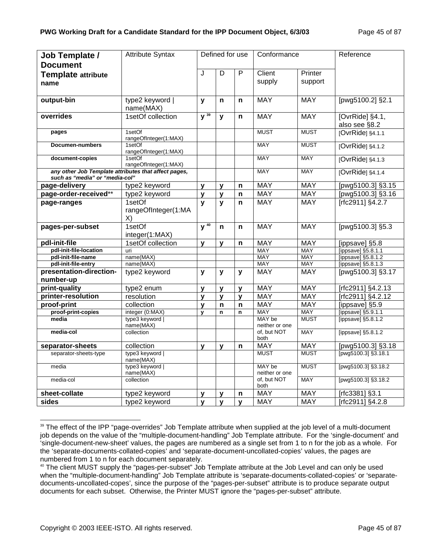| Job Template /                                                                         | <b>Attribute Syntax</b>         |                     |              | Defined for use | Conformance              |             | Reference                        |
|----------------------------------------------------------------------------------------|---------------------------------|---------------------|--------------|-----------------|--------------------------|-------------|----------------------------------|
| <b>Document</b>                                                                        |                                 |                     |              |                 |                          |             |                                  |
| <b>Template attribute</b>                                                              |                                 | J                   | D            | $\overline{P}$  | Client                   | Printer     |                                  |
| name                                                                                   |                                 |                     |              |                 | supply                   | support     |                                  |
|                                                                                        |                                 |                     |              |                 |                          |             |                                  |
| output-bin                                                                             | type2 keyword                   | y                   | n            | n               | <b>MAY</b>               | <b>MAY</b>  | [pwg5100.2] §2.1                 |
|                                                                                        | name(MAX)                       |                     |              |                 |                          |             |                                  |
| overrides                                                                              | 1setOf collection               | $\overline{y^{39}}$ | $\mathbf{y}$ | n               | <b>MAY</b>               | <b>MAY</b>  | [OvrRide] §4.1,<br>also see §8.2 |
| pages                                                                                  | 1setOf<br>rangeOfInteger(1:MAX) |                     |              |                 | <b>MUST</b>              | <b>MUST</b> | [OvrRide] §4.1.1                 |
| Documen-numbers                                                                        | 1setOf<br>rangeOfInteger(1:MAX) |                     |              |                 | <b>MAY</b>               | <b>MUST</b> | [OvrRide] §4.1.2                 |
| document-copies                                                                        | 1setOf<br>rangeOfInteger(1:MAX) |                     |              |                 | <b>MAY</b>               | <b>MAY</b>  | [OvrRide] §4.1.3                 |
| any other Job Template attributes that affect pages,<br>such as "media" or "media-col" |                                 |                     |              |                 | <b>MAY</b>               | <b>MAY</b>  | [OvrRide] §4.1.4                 |
| page-delivery                                                                          | type2 keyword                   | $\mathbf{v}$        | y            | $\mathsf{n}$    | <b>MAY</b>               | <b>MAY</b>  | [pwg5100.3] §3.15                |
| page-order-received**                                                                  | type2 keyword                   | y                   | y            | n               | <b>MAY</b>               | <b>MAY</b>  | [pwg5100.3] §3.16                |
| page-ranges                                                                            | 1setOf                          | y                   | $\mathbf{y}$ | n               | <b>MAY</b>               | <b>MAY</b>  | [rfc2911] §4.2.7                 |
|                                                                                        | rangeOfInteger(1:MA<br>X)       |                     |              |                 |                          |             |                                  |
| pages-per-subset                                                                       | 1setOf<br>integer(1:MAX)        | $V^{40}$            | n            | n               | <b>MAY</b>               | <b>MAY</b>  | [pwg5100.3] §5.3                 |
| pdl-init-file                                                                          | 1setOf collection               | $\mathbf{v}$        | $\mathbf{y}$ | n               | <b>MAY</b>               | <b>MAY</b>  | [ippsave] §5.8                   |
| pdl-init-file-location                                                                 | uri                             |                     |              |                 | <b>MAY</b>               | <b>MAY</b>  | [ippsave] §5.8.1.1               |
| pdl-init-file-name                                                                     | name(MAX)                       |                     |              |                 | <b>MAY</b>               | <b>MAY</b>  | [ippsave] §5.8.1.2               |
| pdl-init-file-entry                                                                    | name(MAX)                       |                     |              |                 | MAY                      | MAY         | [ippsave] §5.8.1.3               |
| presentation-direction-                                                                | type2 keyword                   | y                   | y            | y               | <b>MAY</b>               | <b>MAY</b>  | [pwg5100.3] §3.17                |
| number-up                                                                              |                                 |                     |              |                 |                          |             |                                  |
| print-quality                                                                          | type2 enum                      | v                   | $\mathbf{v}$ | $\mathbf{V}$    | <b>MAY</b>               | <b>MAY</b>  | [rfc2911] §4.2.13                |
| printer-resolution                                                                     | resolution                      | y                   | $\mathbf{y}$ | y               | <b>MAY</b>               | <b>MAY</b>  | [rfc2911] §4.2.12                |
| proof-print                                                                            | collection                      | v                   | n            | $\mathsf{n}$    | <b>MAY</b>               | <b>MAY</b>  | [ippsave] §5.9                   |
| proof-print-copies                                                                     | integer (0:MAX)                 | $\mathbf{v}$        | $\mathsf{n}$ | n               | <b>MAY</b>               | <b>MAY</b>  | [ippsave] §5.9.1.1               |
| media                                                                                  | type3 keyword<br>name(MAX)      |                     |              |                 | MAY be<br>neither or one | <b>MUST</b> | [ippsave] §5.8.1.2               |
| media-col                                                                              | collection                      |                     |              |                 | of, but NOT<br>both      | <b>MAY</b>  | [ippsave] §5.8.1.2               |
| separator-sheets                                                                       | collection                      | $\mathbf{v}$        | $\mathbf{v}$ | n               | <b>MAY</b>               | <b>MAY</b>  | [pwg5100.3] §3.18                |
| separator-sheets-type                                                                  | type3 keyword  <br>name(MAX)    |                     |              |                 | <b>MUST</b>              | <b>MUST</b> | [pwg5100.3] $\S3.18.1$           |
| media                                                                                  | type3 keyword  <br>name(MAX)    |                     |              |                 | MAY be<br>neither or one | <b>MUST</b> | [pwg5100.3] §3.18.2              |
| media-col                                                                              | collection                      |                     |              |                 | of, but NOT<br>both      | <b>MAY</b>  | [pwg5100.3] §3.18.2              |
| sheet-collate                                                                          | type2 keyword                   | y                   | y            | n               | <b>MAY</b>               | MAY         | [rfc3381] §3.1                   |
| sides                                                                                  | type2 keyword                   | $\mathbf{y}$        | $\mathbf{y}$ | y               | <b>MAY</b>               | <b>MAY</b>  | [rfc2911] §4.2.8                 |

l <sup>39</sup> The effect of the IPP "page-overrides" Job Template attribute when supplied at the job level of a multi-document job depends on the value of the "multiple-document-handling" Job Template attribute. For the 'single-document' and 'single-document-new-sheet' values, the pages are numbered as a single set from 1 to n for the job as a whole. For the 'separate-documents-collated-copies' and 'separate-document-uncollated-copies' values, the pages are numbered from 1 to n for each document separately.

<sup>40</sup> The client MUST supply the "pages-per-subset" Job Template attribute at the Job Level and can only be used when the "multiple-document-handling" Job Template attribute is 'separate-documents-collated-copies' or 'separatedocuments-uncollated-copes', since the purpose of the "pages-per-subset" attribute is to produce separate output documents for each subset. Otherwise, the Printer MUST ignore the "pages-per-subset" attribute.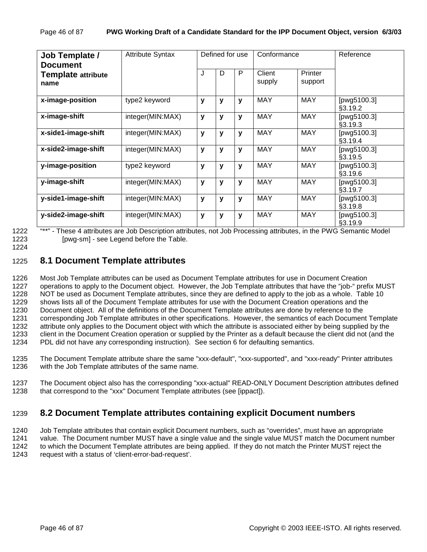| Job Template /<br><b>Document</b> | <b>Attribute Syntax</b> |              |   | Defined for use | Conformance      |                    | Reference              |
|-----------------------------------|-------------------------|--------------|---|-----------------|------------------|--------------------|------------------------|
| <b>Template attribute</b><br>name |                         | J            | D | P               | Client<br>supply | Printer<br>support |                        |
| x-image-position                  | type2 keyword           | y            | y | $\mathbf{V}$    | <b>MAY</b>       | <b>MAY</b>         | [pwg5100.3]<br>§3.19.2 |
| x-image-shift                     | integer(MIN:MAX)        | v            | y | $\mathbf{V}$    | <b>MAY</b>       | <b>MAY</b>         | [pwg5100.3]<br>§3.19.3 |
| x-side1-image-shift               | integer(MIN:MAX)        | v            | y | $\mathbf{V}$    | <b>MAY</b>       | <b>MAY</b>         | [pwg5100.3]<br>§3.19.4 |
| x-side2-image-shift               | integer(MIN:MAX)        | v            | y | $\mathbf{V}$    | <b>MAY</b>       | <b>MAY</b>         | [pwg5100.3]<br>§3.19.5 |
| y-image-position                  | type2 keyword           | v            | y | $\mathbf{V}$    | <b>MAY</b>       | <b>MAY</b>         | [pwg5100.3]<br>§3.19.6 |
| y-image-shift                     | integer(MIN:MAX)        | y            | y | $\mathbf{V}$    | <b>MAY</b>       | <b>MAY</b>         | [pwg5100.3]<br>§3.19.7 |
| y-side1-image-shift               | integer(MIN:MAX)        | $\mathbf{v}$ | y | $\mathbf{v}$    | <b>MAY</b>       | <b>MAY</b>         | [pwg5100.3]<br>§3.19.8 |
| y-side2-image-shift               | integer(MIN:MAX)        | y            | v | $\mathbf{V}$    | <b>MAY</b>       | <b>MAY</b>         | [pwg5100.3]<br>§3.19.9 |

1222 "\*\*" - These 4 attributes are Job Description attributes, not Job Processing attributes, in the PWG Semantic Model 1223 [pwg-sm] - see Legend before the Table.

1224

### 1225 **8.1 Document Template attributes**

1226 Most Job Template attributes can be used as Document Template attributes for use in Document Creation 1227 operations to apply to the Document object. However, the Job Template attributes that have the "job-" prefix MUST 1228 NOT be used as Document Template attributes, since they are defined to apply to the job as a whole. Table 10 1229 shows lists all of the Document Template attributes for use with the Document Creation operations and the 1230 Document object. All of the definitions of the Document Template attributes are done by reference to the 1231 corresponding Job Template attributes in other specifications. However, the semantics of each Document Template 1232 attribute only applies to the Document object with which the attribute is associated either by being supplied by the 1233 client in the Document Creation operation or supplied by the Printer as a default because the client did not (and the 1234 PDL did not have any corresponding instruction). See section 6 for defaulting semantics.

1235 The Document Template attribute share the same "xxx-default", "xxx-supported", and "xxx-ready" Printer attributes 1236 with the Job Template attributes of the same name.

1237 The Document object also has the corresponding "xxx-actual" READ-ONLY Document Description attributes defined 1238 that correspond to the "xxx" Document Template attributes (see [ippact]).

## 1239 **8.2 Document Template attributes containing explicit Document numbers**

1240 Job Template attributes that contain explicit Document numbers, such as "overrides", must have an appropriate 1241 value. The Document number MUST have a single value and the single value MUST match the Document number 1242 to which the Document Template attributes are being applied. If they do not match the Printer MUST reject the 1243 request with a status of 'client-error-bad-request'.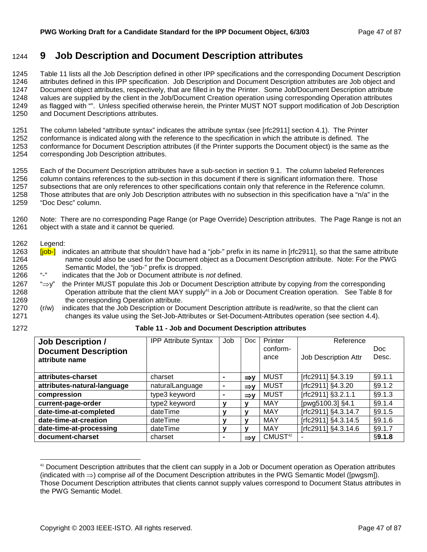# 1244 **9 Job Description and Document Description attributes**

1245 Table 11 lists all the Job Description defined in other IPP specifications and the corresponding Document Description 1246 attributes defined in this IPP specification. Job Description and Document Description attributes are Job object and 1247 Document object attributes, respectively, that are filled in by the Printer. Some Job/Document Description attribute 1248 values are supplied by the client in the Job/Document Creation operation using corresponding Operation attributes 1249 as flagged with "". Unless specified otherwise herein, the Printer MUST NOT support modification of Job Description 1250 and Document Descriptions attributes.

1251 The column labeled "attribute syntax" indicates the attribute syntax (see [rfc2911] section 4.1). The Printer 1252 conformance is indicated along with the reference to the specification in which the attribute is defined. The 1253 conformance for Document Description attributes (if the Printer supports the Document object) is the same as the

1254 corresponding Job Description attributes.

1255 Each of the Document Description attributes have a sub-section in section 9.1. The column labeled References 1256 column contains references to the sub-section in this document if there is significant information there. Those 1257 subsections that are only references to other specifications contain only that reference in the Reference column. 1258 Those attributes that are only Job Description attributes with no subsection in this specification have a "n/a" in the

1259 "Doc Desc" column.

1260 Note: There are no corresponding Page Range (or Page Override) Description attributes. The Page Range is not an 1261 object with a state and it cannot be queried.

1262 Legend:

l

- 1263 **[job-]** indicates an attribute that shouldn't have had a "job-" prefix in its name in [rfc2911], so that the same attribute 1264 name could also be used for the Document object as a Document Description attribute. Note: For the PWG 1265 Semantic Model, the "job-" prefix is dropped.
- 1266 "-" indicates that the Job or Document attribute is *not* defined.
- 1267 "⇒y" the Printer MUST populate this Job or Document Description attribute by copying *from* the corresponding 1268 Operation attribute that the client MAY supply<sup>41</sup> in a Job or Document Creation operation. See Table 8 for 1269 the corresponding Operation attribute.
- 1270 (r/w) indicates that the Job Description or Document Description attribute is read/write, so that the client can 1271 changes its value using the Set-Job-Attributes or Set-Document-Attributes operation (see section 4.4).
- 

#### 1272 **Table 11 - Job and Document Description attributes**

| <b>Job Description /</b>                      | <b>IPP Attribute Syntax</b> | Job | <b>Doc</b>      | Printer             | Reference            |               |
|-----------------------------------------------|-----------------------------|-----|-----------------|---------------------|----------------------|---------------|
| <b>Document Description</b><br>attribute name |                             |     |                 | conform-<br>ance    | Job Description Attr | Doc.<br>Desc. |
| attributes-charset                            | charset                     |     | $\Rightarrow$ v | <b>MUST</b>         | [rfc2911] §4.3.19    | §9.1.1        |
| attributes-natural-language                   | naturalLanguage             |     | $\Rightarrow$ y | <b>MUST</b>         | [rfc2911] §4.3.20    | §9.1.2        |
| compression                                   | type3 keyword               |     | $\Rightarrow$ y | <b>MUST</b>         | [rfc2911] §3.2.1.1   | \$9.1.3       |
| current-page-order                            | type2 keyword               | v   | v               | <b>MAY</b>          | [pwg5100.3] §4.1     | \$9.1.4       |
| date-time-at-completed                        | dateTime                    | v   | v               | <b>MAY</b>          | [rfc2911] §4.3.14.7  | §9.1.5        |
| date-time-at-creation                         | dateTime                    | v   | v               | <b>MAY</b>          | [rfc2911] §4.3.14.5  | §9.1.6        |
| date-time-at-processing                       | dateTime                    | v   | v               | <b>MAY</b>          | [rfc2911] §4.3.14.6  | §9.1.7        |
| document-charset                              | charset                     |     | $\Rightarrow$ y | CMUST <sup>42</sup> |                      | §9.1.8        |

<sup>41</sup> Document Description attributes that the client can supply in a Job or Document operation as Operation attributes (indicated with ⇒) comprise *all* of the Document Description attributes in the PWG Semantic Model ([pwgsm]). Those Document Description attributes that clients cannot supply values correspond to Document Status attributes in the PWG Semantic Model.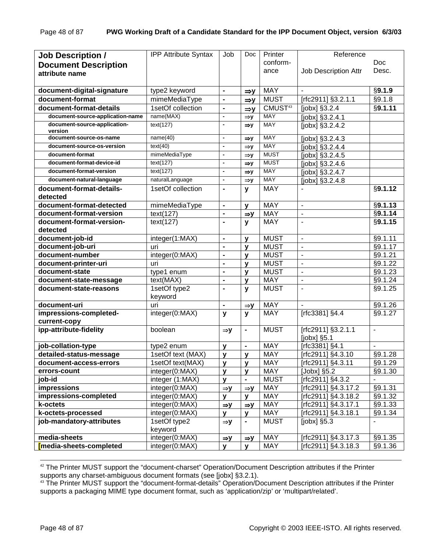| <b>Job Description /</b>                      | <b>IPP Attribute Syntax</b> | Job                      | Doc             | Printer             | Reference                |                          |
|-----------------------------------------------|-----------------------------|--------------------------|-----------------|---------------------|--------------------------|--------------------------|
|                                               |                             |                          |                 | conform-            |                          | Doc                      |
| <b>Document Description</b><br>attribute name |                             |                          |                 | ance                | Job Description Attr     | Desc.                    |
|                                               |                             |                          |                 |                     |                          |                          |
| document-digital-signature                    | type2 keyword               | $\blacksquare$           | $\Rightarrow y$ | <b>MAY</b>          |                          | §9.1.9                   |
| document-format                               | mimeMediaType               | $\blacksquare$           | $\Rightarrow$ y | <b>MUST</b>         | [rfc2911] §3.2.1.1       | $\overline{\$9.1.8}$     |
| document-format-details                       | 1setOf collection           | $\blacksquare$           | $\Rightarrow y$ | CMUST <sup>43</sup> | [jobx] §3.2.4            | §9.1.11                  |
| document-source-application-name              | name(MAX)                   | $\overline{\phantom{a}}$ | $\Rightarrow y$ | <b>MAY</b>          | [jobx] §3.2.4.1          |                          |
| document-source-application-                  | text(127)                   | $\overline{\phantom{a}}$ | $\Rightarrow y$ | <b>MAY</b>          | [jobx] §3.2.4.2          |                          |
| version                                       |                             |                          |                 |                     |                          |                          |
| document-source-os-name                       | name(40)                    | $\blacksquare$           | $\Rightarrow$ y | <b>MAY</b>          | [jobx] §3.2.4.3          |                          |
| document-source-os-version                    | text(40)                    | $\blacksquare$           | $\Rightarrow y$ | <b>MAY</b>          | [jobx] §3.2.4.4          |                          |
| document-format                               | mimeMediaType               | $\blacksquare$           | $\Rightarrow y$ | <b>MUST</b>         | [jobx] §3.2.4.5          |                          |
| document-format-device-id                     | text(127)                   | $\blacksquare$           | $\Rightarrow$ y | <b>MUST</b>         | [jobx] §3.2.4.6          |                          |
| document-format-version                       | text(127)                   | $\blacksquare$           | $\Rightarrow$ y | <b>MAY</b>          | [jobx] §3.2.4.7          |                          |
| document-natural-language                     | naturalLanguage             | $\blacksquare$           | $\Rightarrow y$ | <b>MAY</b>          | [jobx] §3.2.4.8          |                          |
| document-format-details-<br>detected          | 1setOf collection           | $\blacksquare$           | $\mathbf{y}$    | <b>MAY</b>          |                          | §9.1.12                  |
| document-format-detected                      | mimeMediaType               | $\blacksquare$           | $\mathbf{V}$    | <b>MAY</b>          | $\frac{1}{2}$            | §9.1.13                  |
| document-format-version                       | text(127)                   | $\blacksquare$           | $\Rightarrow$ y | <b>MAY</b>          | $\overline{a}$           | §9.1.14                  |
| document-format-version-                      | text(127)                   | $\blacksquare$           | $\mathbf{y}$    | <b>MAY</b>          | $\overline{a}$           | §9.1.15                  |
| detected                                      |                             |                          |                 |                     |                          |                          |
| document-job-id                               | integer(1:MAX)              | $\blacksquare$           | $\mathbf{v}$    | <b>MUST</b>         | $\mathbf{r}$             | §9.1.11                  |
| document-job-uri                              | uri                         | $\blacksquare$           | $\mathbf{v}$    | <b>MUST</b>         | $\overline{\phantom{a}}$ | §9.1.17                  |
| document-number                               | integer(0:MAX)              | $\blacksquare$           | $\mathbf{v}$    | <b>MUST</b>         | $\mathbf{r}$             | $\overline{\$9.1.21}$    |
| document-printer-uri                          | uri                         | $\blacksquare$           | $\mathbf{v}$    | <b>MUST</b>         | $\blacksquare$           | §9.1.22                  |
| document-state                                | type1 enum                  | $\blacksquare$           | $\mathbf{v}$    | <b>MUST</b>         | $\blacksquare$           | §9.1.23                  |
| document-state-message                        | text(MAX)                   | $\blacksquare$           | $\mathbf{v}$    | <b>MAY</b>          | $\overline{a}$           | $\sqrt{$9.1.24}$         |
| document-state-reasons                        | 1setOf type2<br>keyword     | $\blacksquare$           | y               | <b>MUST</b>         | $\overline{a}$           | §9.1.25                  |
| document-uri                                  | uri                         | $\blacksquare$           | $\Rightarrow y$ | <b>MAY</b>          |                          | §9.1.26                  |
| impressions-completed-                        | integer(0:MAX)              | y                        | $\mathbf{y}$    | <b>MAY</b>          | [rfc3381] §4.4           | §9.1.27                  |
| current-copy                                  |                             |                          |                 |                     |                          |                          |
| ipp-attribute-fidelity                        | boolean                     | $\Rightarrow$ y          | $\blacksquare$  | <b>MUST</b>         | [rfc2911] §3.2.1.1       | $\overline{\phantom{a}}$ |
|                                               |                             |                          |                 |                     | [ $jobx$ ] $§5.1$        |                          |
| job-collation-type                            | type2 enum                  | у                        | $\blacksquare$  | <b>MAY</b>          | Trfc3381] §4.1           | $\blacksquare$           |
| detailed-status-message                       | 1setOf text (MAX)           | y                        | $\mathbf{v}$    | <b>MAY</b>          | [rfc2911] §4.3.10        | §9.1.28                  |
| document-access-errors                        | 1setOf text(MAX)            | y                        | $\mathbf{V}$    | <b>MAY</b>          | [rfc2911] §4.3.11        | §9.1.29                  |
| errors-count                                  | integer(0:MAX)              | y                        | $\mathbf{v}$    | <b>MAY</b>          | [Jobx] §5.2              | §9.1.30                  |
| job-id                                        | integer (1:MAX)             | y                        | $\blacksquare$  | <b>MUST</b>         | [rfc2911] §4.3.2         | $\blacksquare$           |
| impressions                                   | integer(0:MAX)              | $\Rightarrow$ y          | $\Rightarrow$ y | <b>MAY</b>          | [rfc2911] §4.3.17.2      | §9.1.31                  |
| impressions-completed                         | integer(0:MAX)              | У                        | $\mathbf{y}$    | <b>MAY</b>          | [rfc2911] §4.3.18.2      | §9.1.32                  |
| k-octets                                      | integer(0:MAX)              | $\Rightarrow$ y          | $\Rightarrow$ y | <b>MAY</b>          | [rfc2911] §4.3.17.1      | §9.1.33                  |
| k-octets-processed                            | integer(0:MAX)              | y                        | $\mathbf{y}$    | <b>MAY</b>          | [rfc2911] §4.3.18.1      | §9.1.34                  |
| job-mandatory-attributes                      | 1setOf type2                | $\Rightarrow$ y          | $\blacksquare$  | <b>MUST</b>         | $[jobx]$ §5.3            | ÷                        |
|                                               | keyword                     |                          |                 |                     |                          |                          |
| media-sheets                                  | integer(0:MAX)              | $\Rightarrow y$          | $\Rightarrow y$ | <b>MAY</b>          | [rfc2911] §4.3.17.3      | §9.1.35                  |
| media-sheets-completed                        | integer(0:MAX)              | v                        | $\mathbf{V}$    | <b>MAY</b>          | [rfc2911] §4.3.18.3      | §9.1.36                  |

 42 The Printer MUST support the "document-charset" Operation/Document Description attributes if the Printer supports any charset-ambiguous document formats (see [jobx] §3.2.1).

43 The Printer MUST support the "document-format-details" Operation/Document Description attributes if the Printer supports a packaging MIME type document format, such as 'application/zip' or 'multipart/related'.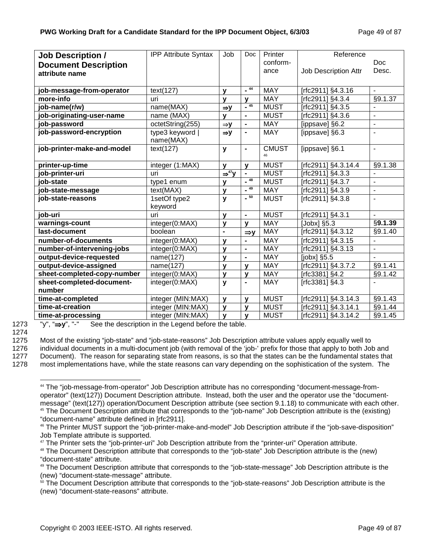| <b>Job Description /</b>    | <b>IPP Attribute Syntax</b> | Job                           | Doc             | Printer      | Reference                   |                      |
|-----------------------------|-----------------------------|-------------------------------|-----------------|--------------|-----------------------------|----------------------|
| <b>Document Description</b> |                             |                               |                 | conform-     |                             | Doc                  |
| attribute name              |                             |                               |                 | ance         | <b>Job Description Attr</b> | Desc.                |
|                             |                             |                               |                 |              |                             |                      |
| job-message-from-operator   | text(127)                   | y                             | $-44$           | <b>MAY</b>   | [rfc2911] §4.3.16           |                      |
| more-info                   | uri                         | $\mathbf{v}$                  | $\mathbf{V}$    | <b>MAY</b>   | [rfc2911] §4.3.4            | §9.1.37              |
| job-name(r/w)               | name(MAX)                   | $\Rightarrow$ y               | $-45$           | <b>MUST</b>  | [rfc2911] §4.3.5            |                      |
| job-originating-user-name   | name (MAX)                  | v                             | $\blacksquare$  | <b>MUST</b>  | [rfc2911] §4.3.6            | ÷,                   |
| job-password                | octetString(255)            | $\Rightarrow$ y               | $\blacksquare$  | <b>MAY</b>   | [ippsave] §6.2              | $\blacksquare$       |
| job-password-encryption     | type3 keyword               | $\Rightarrow$ y               | $\blacksquare$  | <b>MAY</b>   | [ippsave] §6.3              |                      |
|                             | name(MAX)                   |                               |                 |              |                             |                      |
| job-printer-make-and-model  | text(127)                   | y                             | $\blacksquare$  | <b>CMUST</b> | [ippsave] §6.1              | $\blacksquare$       |
|                             |                             |                               |                 | 46           |                             |                      |
| printer-up-time             | integer (1:MAX)             | y                             | $\mathbf{v}$    | <b>MUST</b>  | [rfc2911] §4.3.14.4         | §9.1.38              |
| job-printer-uri             | uri                         | $\Rightarrow$ <sup>47</sup> y | $\blacksquare$  | <b>MUST</b>  | [rfc2911] §4.3.3            |                      |
| job-state                   | type1 enum                  | y                             | $-48$           | <b>MUST</b>  | [rfc2911] §4.3.7            | $\blacksquare$       |
| job-state-message           | text(MAX)                   | y                             | $-49$           | <b>MAY</b>   | [rfc2911] §4.3.9            | $\blacksquare$       |
| job-state-reasons           | 1setOf type2                | y                             | $-50$           | <b>MUST</b>  | [rfc2911] §4.3.8            | $\blacksquare$       |
|                             | keyword                     |                               |                 |              |                             |                      |
| job-uri                     | uri                         | y                             | $\blacksquare$  | <b>MUST</b>  | [rfc2911] §4.3.1            | ÷                    |
| warnings-count              | integer(0:MAX)              | y                             | $\mathbf{V}$    | <b>MAY</b>   | [ $Jobx$ ] $§5.3$           | §9.1.39              |
| last-document               | boolean                     | $\blacksquare$                | $\Rightarrow$ y | <b>MAY</b>   | [rfc2911] §4.3.12           | §9.1.40              |
| number-of-documents         | integer(0:MAX)              | y                             | $\blacksquare$  | <b>MAY</b>   | [rfc2911] §4.3.15           |                      |
| number-of-intervening-jobs  | integer(0:MAX)              | У                             | $\blacksquare$  | <b>MAY</b>   | [rfc2911] §4.3.13           |                      |
| output-device-requested     | name(127)                   | y                             | $\blacksquare$  | <b>MAY</b>   | $[jobx]$ §5.5               |                      |
| output-device-assigned      | name(127)                   | y                             | $\mathbf{v}$    | <b>MAY</b>   | [rfc2911] §4.3.7.2          | $§9.1.\overline{41}$ |
| sheet-completed-copy-number | integer(0:MAX)              | $\mathbf{v}$                  | $\mathbf{v}$    | <b>MAY</b>   | [rfc3381] §4.2              | §9.1.42              |
| sheet-completed-document-   | integer(0:MAX)              | y                             | $\blacksquare$  | <b>MAY</b>   | [rfc3381] §4.3              |                      |
| number                      |                             |                               |                 |              |                             |                      |
| time-at-completed           | integer (MIN:MAX)           | y                             | y               | <b>MUST</b>  | [rfc2911] §4.3.14.3         | §9.1.43              |
| time-at-creation            | integer (MIN:MAX)           | y                             | $\mathbf{v}$    | <b>MUST</b>  | [rfc2911] §4.3.14.1         | §9.1.44              |
| time-at-processing          | integer (MIN:MAX)           | $\mathbf{y}$                  | $\mathbf{v}$    | <b>MUST</b>  | [rfc2911] §4.3.14.2         | §9.1.45              |

1273 "y", "⇒**y**", "-" See the description in the Legend before the table.

1274

1275 Most of the existing "job-state" and "job-state-reasons" Job Description attribute values apply equally well to

1276 individual documents in a multi-document job (with removal of the 'job-' prefix for those that apply to both Job and

1277 Document). The reason for separating state from reasons, is so that the states can be the fundamental states that

1278 most implementations have, while the state reasons can vary depending on the sophistication of the system. The

l 44 The "job-message-from-operator" Job Description attribute has no corresponding "document-message-fromoperator" (text(127)) Document Description attribute. Instead, both the user and the operator use the "documentmessage" (text(127)) operation/Document Description attribute (see section 9.1.18) to communicate with each other. 45 The Document Description attribute that corresponds to the "job-name" Job Description attribute is the (existing) "document-name" attribute defined in [rfc2911].

<sup>46</sup> The Printer MUST support the "job-printer-make-and-model" Job Description attribute if the "job-save-disposition" Job Template attribute is supported.

<sup>&</sup>lt;sup>47</sup> The Printer sets the "job-printer-uri" Job Description attribute from the "printer-uri" Operation attribute.

<sup>48</sup> The Document Description attribute that corresponds to the "job-state" Job Description attribute is the (new) "document-state" attribute.

<sup>&</sup>lt;sup>49</sup> The Document Description attribute that corresponds to the "job-state-message" Job Description attribute is the (new) "document-state-message" attribute.

<sup>&</sup>lt;sup>50</sup> The Document Description attribute that corresponds to the "job-state-reasons" Job Description attribute is the (new) "document-state-reasons" attribute.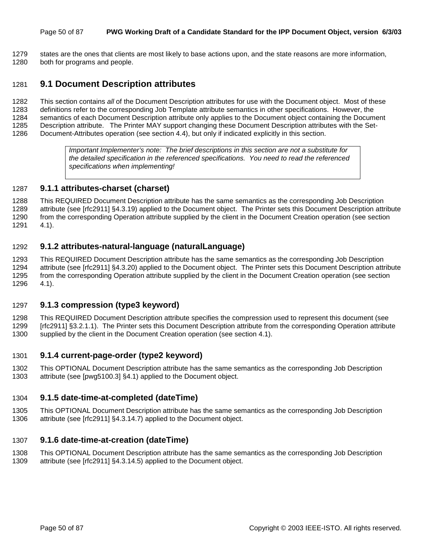#### Page 50 of 87 **PWG Working Draft of a Candidate Standard for the IPP Document Object, version 6/3/03**

1279 states are the ones that clients are most likely to base actions upon, and the state reasons are more information, 1280 both for programs and people.

### 1281 **9.1 Document Description attributes**

1282 This section contains *all* of the Document Description attributes for use with the Document object. Most of these 1283 definitions refer to the corresponding Job Template attribute semantics in other specifications. However, the 1284 semantics of each Document Description attribute only applies to the Document object containing the Document 1285 Description attribute. The Printer MAY support changing these Document Description attributes with the Set-1286 Document-Attributes operation (see section 4.4), but only if indicated explicitly in this section.

> *Important Implementer's note: The brief descriptions in this section are not a substitute for the detailed specification in the referenced specifications. You need to read the referenced specifications when implementing!*

#### 1287 **9.1.1 attributes-charset (charset)**

1288 This REQUIRED Document Description attribute has the same semantics as the corresponding Job Description 1289 attribute (see [rfc2911] §4.3.19) applied to the Document object. The Printer sets this Document Description attribute 1290 from the corresponding Operation attribute supplied by the client in the Document Creation operation (see section 1291 4.1).

#### 1292 **9.1.2 attributes-natural-language (naturalLanguage)**

1293 This REQUIRED Document Description attribute has the same semantics as the corresponding Job Description 1294 attribute (see [rfc2911] §4.3.20) applied to the Document object. The Printer sets this Document Description attribute 1295 from the corresponding Operation attribute supplied by the client in the Document Creation operation (see section 1296 4.1).

#### 1297 **9.1.3 compression (type3 keyword)**

1298 This REQUIRED Document Description attribute specifies the compression used to represent this document (see 1299 [rfc2911] §3.2.1.1). The Printer sets this Document Description attribute from the corresponding Operation attribute 1300 supplied by the client in the Document Creation operation (see section 4.1).

#### 1301 **9.1.4 current-page-order (type2 keyword)**

1302 This OPTIONAL Document Description attribute has the same semantics as the corresponding Job Description 1303 attribute (see [pwg5100.3] §4.1) applied to the Document object.

#### 1304 **9.1.5 date-time-at-completed (dateTime)**

1305 This OPTIONAL Document Description attribute has the same semantics as the corresponding Job Description 1306 attribute (see [rfc2911] §4.3.14.7) applied to the Document object.

#### 1307 **9.1.6 date-time-at-creation (dateTime)**

1308 This OPTIONAL Document Description attribute has the same semantics as the corresponding Job Description 1309 attribute (see [rfc2911] §4.3.14.5) applied to the Document object.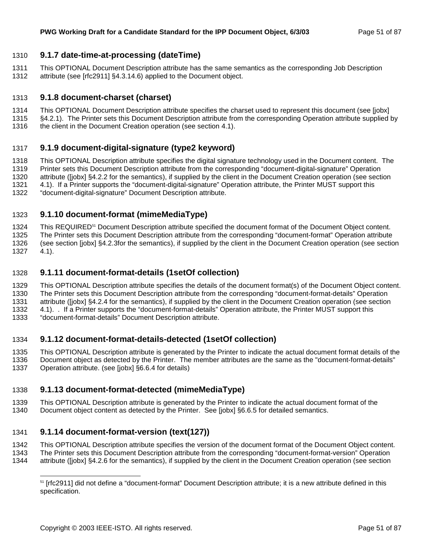### 1310 **9.1.7 date-time-at-processing (dateTime)**

- 1311 This OPTIONAL Document Description attribute has the same semantics as the corresponding Job Description 1312 attribute (see [rfc2911] §4.3.14.6) applied to the Document object.
- 

### 1313 **9.1.8 document-charset (charset)**

- 1314 This OPTIONAL Document Description attribute specifies the charset used to represent this document (see [jobx]
- 1315 §4.2.1). The Printer sets this Document Description attribute from the corresponding Operation attribute supplied by
- 1316 the client in the Document Creation operation (see section 4.1).

### 1317 **9.1.9 document-digital-signature (type2 keyword)**

- 1318 This OPTIONAL Description attribute specifies the digital signature technology used in the Document content. The
- 1319 Printer sets this Document Description attribute from the corresponding "document-digital-signature" Operation 1320 attribute ([jobx] §4.2.2 for the semantics), if supplied by the client in the Document Creation operation (see section
- 1321 4.1). If a Printer supports the "document-digital-signature" Operation attribute, the Printer MUST support this 1322 "document-digital-signature" Document Description attribute.

### 1323 **9.1.10 document-format (mimeMediaType)**

1324 This REQUIRED<sup>51</sup> Document Description attribute specified the document format of the Document Object content. 1325 The Printer sets this Document Description attribute from the corresponding "document-format" Operation attribute 1326 (see section [jobx] §4.2.3for the semantics), if supplied by the client in the Document Creation operation (see section

1327 4.1).

l

### 1328 **9.1.11 document-format-details (1setOf collection)**

- 1329 This OPTIONAL Description attribute specifies the details of the document format(s) of the Document Object content. 1330 The Printer sets this Document Description attribute from the corresponding "document-format-details" Operation 1331 attribute ([jobx] §4.2.4 for the semantics), if supplied by the client in the Document Creation operation (see section 1332 4.1). . If a Printer supports the "document-format-details" Operation attribute, the Printer MUST support this
- 1333 "document-format-details" Document Description attribute.

### 1334 **9.1.12 document-format-details-detected (1setOf collection)**

- 1335 This OPTIONAL Description attribute is generated by the Printer to indicate the actual document format details of the 1336 Document object as detected by the Printer. The member attributes are the same as the "document-format-details"
- 1337 Operation attribute. (see [jobx] §6.6.4 for details)

### 1338 **9.1.13 document-format-detected (mimeMediaType)**

1339 This OPTIONAL Description attribute is generated by the Printer to indicate the actual document format of the 1340 Document object content as detected by the Printer. See [jobx] §6.6.5 for detailed semantics.

### 1341 **9.1.14 document-format-version (text(127))**

- 1342 This OPTIONAL Description attribute specifies the version of the document format of the Document Object content.
- 1343 The Printer sets this Document Description attribute from the corresponding "document-format-version" Operation
- 1344 attribute ([jobx] §4.2.6 for the semantics), if supplied by the client in the Document Creation operation (see section

<sup>&</sup>lt;sup>51</sup> [rfc2911] did not define a "document-format" Document Description attribute; it is a new attribute defined in this specification.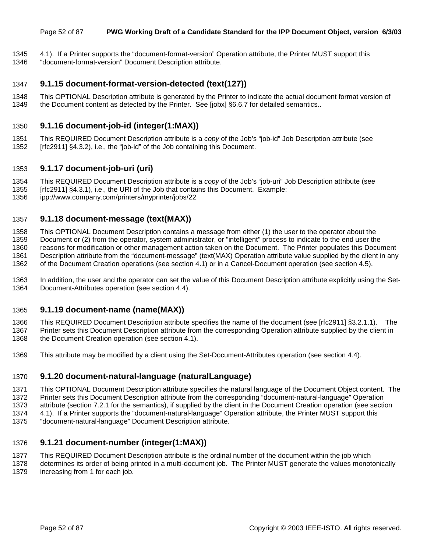#### Page 52 of 87 **PWG Working Draft of a Candidate Standard for the IPP Document Object, version 6/3/03**

- 1345 4.1). If a Printer supports the "document-format-version" Operation attribute, the Printer MUST support this
- 1346 "document-format-version" Document Description attribute.

### 1347 **9.1.15 document-format-version-detected (text(127))**

1348 This OPTIONAL Description attribute is generated by the Printer to indicate the actual document format version of 1349 the Document content as detected by the Printer. See [jobx] §6.6.7 for detailed semantics..

### 1350 **9.1.16 document-job-id (integer(1:MAX))**

1351 This REQUIRED Document Description attribute is a *copy* of the Job's "job-id" Job Description attribute (see 1352 [rfc2911] §4.3.2), i.e., the "job-id" of the Job containing this Document.

### 1353 **9.1.17 document-job-uri (uri)**

- 1354 This REQUIRED Document Description attribute is a *copy* of the Job's "job-uri" Job Description attribute (see
- 1355 [rfc2911] §4.3.1), i.e., the URI of the Job that contains this Document. Example:

1356 ipp://www.company.com/printers/myprinter/jobs/22

### 1357 **9.1.18 document-message (text(MAX))**

1358 This OPTIONAL Document Description contains a message from either (1) the user to the operator about the 1359 Document or (2) from the operator, system administrator, or "intelligent" process to indicate to the end user the 1360 reasons for modification or other management action taken on the Document. The Printer populates this Document 1361 Description attribute from the "document-message" (text(MAX) Operation attribute value supplied by the client in any 1362 of the Document Creation operations (see section 4.1) or in a Cancel-Document operation (see section 4.5).

1363 In addition, the user and the operator can set the value of this Document Description attribute explicitly using the Set-1364 Document-Attributes operation (see section 4.4).

#### 1365 **9.1.19 document-name (name(MAX))**

1366 This REQUIRED Document Description attribute specifies the name of the document (see [rfc2911] §3.2.1.1). The 1367 Printer sets this Document Description attribute from the corresponding Operation attribute supplied by the client in 1368 the Document Creation operation (see section 4.1).

1369 This attribute may be modified by a client using the Set-Document-Attributes operation (see section 4.4).

### 1370 **9.1.20 document-natural-language (naturalLanguage)**

- 1371 This OPTIONAL Document Description attribute specifies the natural language of the Document Object content. The 1372 Printer sets this Document Description attribute from the corresponding "document-natural-language" Operation 1373 attribute (section 7.2.1 for the semantics), if supplied by the client in the Document Creation operation (see section
- 1374 4.1). If a Printer supports the "document-natural-language" Operation attribute, the Printer MUST support this
- 1375 "document-natural-language" Document Description attribute.

#### 1376 **9.1.21 document-number (integer(1:MAX))**

1377 This REQUIRED Document Description attribute is the ordinal number of the document within the job which

1378 determines its order of being printed in a multi-document job. The Printer MUST generate the values monotonically 1379 increasing from 1 for each job.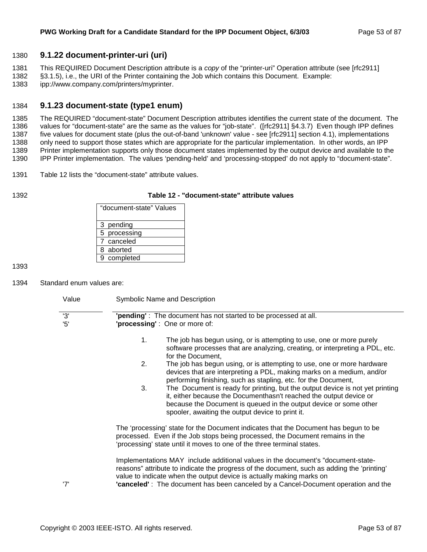### 1380 **9.1.22 document-printer-uri (uri)**

1381 This REQUIRED Document Description attribute is a *copy* of the "printer-uri" Operation attribute (see [rfc2911]

1382 §3.1.5), i.e., the URI of the Printer containing the Job which contains this Document. Example:

1383 ipp://www.company.com/printers/myprinter.

### 1384 **9.1.23 document-state (type1 enum)**

1385 The REQUIRED "document-state" Document Description attributes identifies the current state of the document. The 1386 values for "document-state" are the same as the values for "job-state". ([rfc2911] §4.3.7) Even though IPP defines 1387 five values for document state (plus the out-of-band 'unknown' value - see [rfc2911] section 4.1), implementations 1388 only need to support those states which are appropriate for the particular implementation. In other words, an IPP 1389 Printer implementation supports only those document states implemented by the output device and available to the 1390 IPP Printer implementation. The values 'pending-held' and 'processing-stopped' do not apply to "document-state".

1391 Table 12 lists the "document-state" attribute values.

#### 1392 **Table 12 - "document-state" attribute values**

| "document-state" Values |
|-------------------------|
| 3 pending               |
| 5 processing            |
| 7 canceled              |
| 8 aborted               |
| 9 completed             |

1393

1394 Standard enum values are:

Value Symbolic Name and Description

| '3' | " <b>pending</b> ": The document has not started to be processed at all.                                                                                                                                                                                                                                                                    |
|-----|---------------------------------------------------------------------------------------------------------------------------------------------------------------------------------------------------------------------------------------------------------------------------------------------------------------------------------------------|
| 5'  | 'processing': One or more of:                                                                                                                                                                                                                                                                                                               |
|     |                                                                                                                                                                                                                                                                                                                                             |
|     | 1.<br>The job has begun using, or is attempting to use, one or more purely<br>software processes that are analyzing, creating, or interpreting a PDL, etc.<br>for the Document,                                                                                                                                                             |
|     | 2.<br>The job has begun using, or is attempting to use, one or more hardware<br>devices that are interpreting a PDL, making marks on a medium, and/or<br>performing finishing, such as stapling, etc. for the Document,                                                                                                                     |
|     | 3.<br>The Document is ready for printing, but the output device is not yet printing<br>it, either because the Documenthasn't reached the output device or<br>because the Document is queued in the output device or some other<br>spooler, awaiting the output device to print it.                                                          |
|     | The 'processing' state for the Document indicates that the Document has begun to be<br>processed. Even if the Job stops being processed, the Document remains in the<br>'processing' state until it moves to one of the three terminal states.                                                                                              |
| '7' | Implementations MAY include additional values in the document's "document-state-<br>reasons" attribute to indicate the progress of the document, such as adding the 'printing'<br>value to indicate when the output device is actually making marks on<br>"canceled": The document has been canceled by a Cancel-Document operation and the |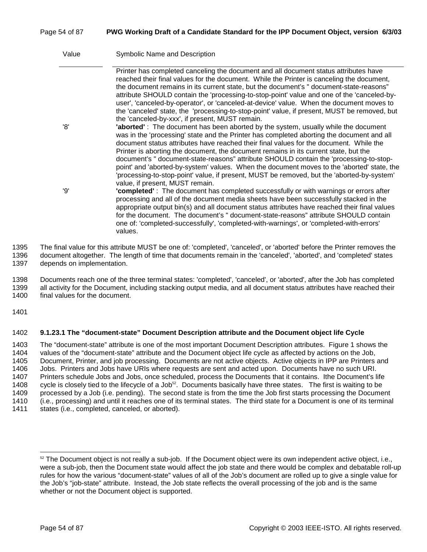#### Page 54 of 87 **PWG Working Draft of a Candidate Standard for the IPP Document Object, version 6/3/03**

| Value | <b>Symbolic Name and Description</b>                                                                                                                                                                                                                                                                                                                                                                                                                                                                                                                                                                                                                                                       |
|-------|--------------------------------------------------------------------------------------------------------------------------------------------------------------------------------------------------------------------------------------------------------------------------------------------------------------------------------------------------------------------------------------------------------------------------------------------------------------------------------------------------------------------------------------------------------------------------------------------------------------------------------------------------------------------------------------------|
|       | Printer has completed canceling the document and all document status attributes have<br>reached their final values for the document. While the Printer is canceling the document,<br>the document remains in its current state, but the document's " document-state-reasons"<br>attribute SHOULD contain the 'processing-to-stop-point' value and one of the 'canceled-by-<br>user', 'canceled-by-operator', or 'canceled-at-device' value. When the document moves to<br>the 'canceled' state, the 'processing-to-stop-point' value, if present, MUST be removed, but<br>the 'canceled-by-xxx', if present, MUST remain.                                                                  |
| '8'   | 'aborted': The document has been aborted by the system, usually while the document<br>was in the 'processing' state and the Printer has completed aborting the document and all<br>document status attributes have reached their final values for the document. While the<br>Printer is aborting the document, the document remains in its current state, but the<br>document's " document-state-reasons" attribute SHOULD contain the 'processing-to-stop-<br>point' and 'aborted-by-system' values. When the document moves to the 'aborted' state, the<br>'processing-to-stop-point' value, if present, MUST be removed, but the 'aborted-by-system'<br>value, if present, MUST remain. |
| פי'   | "completed": The document has completed successfully or with warnings or errors after<br>processing and all of the document media sheets have been successfully stacked in the<br>appropriate output bin(s) and all document status attributes have reached their final values<br>for the document. The document's " document-state-reasons" attribute SHOULD contain<br>one of: 'completed-successfully', 'completed-with-warnings', or 'completed-with-errors'<br>values.                                                                                                                                                                                                                |

1395 The final value for this attribute MUST be one of: 'completed', 'canceled', or 'aborted' before the Printer removes the 1396 document altogether. The length of time that documents remain in the 'canceled', 'aborted', and 'completed' states 1397 depends on implementation.

1398 Documents reach one of the three terminal states: 'completed', 'canceled', or 'aborted', after the Job has completed 1399 all activity for the Document, including stacking output media, and all document status attributes have reached their 1400 final values for the document.

1401

#### 1402 **9.1.23.1 The "document-state" Document Description attribute and the Document object life Cycle**

1403 The "document-state" attribute is one of the most important Document Description attributes. Figure 1 shows the 1404 values of the "document-state" attribute and the Document object life cycle as affected by actions on the Job, 1405 Document, Printer, and job processing. Documents are not active objects. Active objects in IPP are Printers and 1406 Jobs. Printers and Jobs have URIs where requests are sent and acted upon. Documents have no such URI. 1407 Printers schedule Jobs and Jobs, once scheduled, process the Documents that it contains. Ithe Document's life 1408 cycle is closely tied to the lifecycle of a Job $^{52}$ . Documents basically have three states. The first is waiting to be 1409 processed by a Job (i.e. pending). The second state is from the time the Job first starts processing the Document 1410 (i.e., processing) and until it reaches one of its terminal states. The third state for a Document is one of its terminal 1411 states (i.e., completed, canceled, or aborted).

 $52$  The Document object is not really a sub-job. If the Document object were its own independent active object, i.e., were a sub-job, then the Document state would affect the job state and there would be complex and debatable roll-up rules for how the various "document-state" values of all of the Job's document are rolled up to give a single value for the Job's "job-state" attribute. Instead, the Job state reflects the overall processing of the job and is the same whether or not the Document object is supported.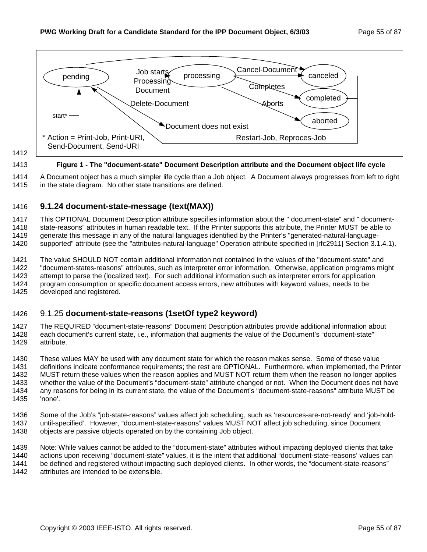

1412

#### 1413 **Figure 1 - The "document-state" Document Description attribute and the Document object life cycle**

1414 A Document object has a much simpler life cycle than a Job object. A Document always progresses from left to right 1415 in the state diagram. No other state transitions are defined.

### 1416 **9.1.24 document-state-message (text(MAX))**

1417 This OPTIONAL Document Description attribute specifies information about the " document-state" and " document-1418 state-reasons" attributes in human readable text. If the Printer supports this attribute, the Printer MUST be able to 1419 generate this message in any of the natural languages identified by the Printer's "generated-natural-language-

1420 supported" attribute (see the "attributes-natural-language" Operation attribute specified in [rfc2911] Section 3.1.4.1).

1421 The value SHOULD NOT contain additional information not contained in the values of the "document-state" and 1422 "document-states-reasons" attributes, such as interpreter error information. Otherwise, application programs might 1423 attempt to parse the (localized text). For such additional information such as interpreter errors for application 1424 program consumption or specific document access errors, new attributes with keyword values, needs to be 1425 developed and registered.

### 1426 9.1.25 **document-state-reasons (1setOf type2 keyword)**

1427 The REQUIRED "document-state-reasons" Document Description attributes provide additional information about 1428 each document's current state, i.e., information that augments the value of the Document's "document-state" 1429 attribute.

1430 These values MAY be used with any document state for which the reason makes sense. Some of these value 1431 definitions indicate conformance requirements; the rest are OPTIONAL. Furthermore, when implemented, the Printer 1432 MUST return these values when the reason applies and MUST NOT return them when the reason no longer applies 1433 whether the value of the Document's "document-state" attribute changed or not. When the Document does not have 1434 any reasons for being in its current state, the value of the Document's "document-state-reasons" attribute MUST be 1435 'none'.

1436 Some of the Job's "job-state-reasons" values affect job scheduling, such as 'resources-are-not-ready' and 'job-hold-1437 until-specified'. However, "document-state-reasons" values MUST NOT affect job scheduling, since Document 1438 objects are passive objects operated on by the containing Job object.

1439 Note: While values cannot be added to the "document-state" attributes without impacting deployed clients that take 1440 actions upon receiving "document-state" values, it is the intent that additional "document-state-reasons' values can 1441 be defined and registered without impacting such deployed clients. In other words, the "document-state-reasons" 1442 attributes are intended to be extensible.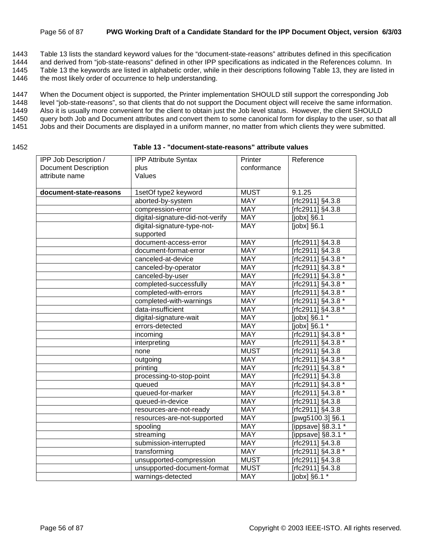#### Page 56 of 87 **PWG Working Draft of a Candidate Standard for the IPP Document Object, version 6/3/03**

1443 Table 13 lists the standard keyword values for the "document-state-reasons" attributes defined in this specification

1444 and derived from "job-state-reasons" defined in other IPP specifications as indicated in the References column. In

1445 Table 13 the keywords are listed in alphabetic order, while in their descriptions following Table 13, they are listed in

1446 the most likely order of occurrence to help understanding.

1447 When the Document object is supported, the Printer implementation SHOULD still support the corresponding Job

1448 level "job-state-reasons", so that clients that do not support the Document object will receive the same information.

1449 Also it is usually more convenient for the client to obtain just the Job level status. However, the client SHOULD

1450 query both Job and Document attributes and convert them to some canonical form for display to the user, so that all

- 1451 Jobs and their Documents are displayed in a uniform manner, no matter from which clients they were submitted.
- 

#### 1452 **Table 13 - "document-state-reasons" attribute values**

| IPP Job Description /       | <b>IPP Attribute Syntax</b>              | Printer     | Reference           |
|-----------------------------|------------------------------------------|-------------|---------------------|
| <b>Document Description</b> | plus                                     | conformance |                     |
| attribute name              | Values                                   |             |                     |
|                             |                                          |             |                     |
| document-state-reasons      | 1setOf type2 keyword                     | <b>MUST</b> | 9.1.25              |
|                             | aborted-by-system                        | <b>MAY</b>  | [rfc2911] §4.3.8    |
|                             | compression-error                        | <b>MAY</b>  | $Trc2911$ ] §4.3.8  |
|                             | digital-signature-did-not-verify         | <b>MAY</b>  | [ $j$ obx] $§6.1$   |
|                             | digital-signature-type-not-<br>supported | <b>MAY</b>  | $[jobx]$ §6.1       |
|                             | document-access-error                    | <b>MAY</b>  | [rfc2911] §4.3.8    |
|                             | document-format-error                    | <b>MAY</b>  | [rfc2911] §4.3.8    |
|                             | canceled-at-device                       | <b>MAY</b>  | [rfc2911] §4.3.8 *  |
|                             | canceled-by-operator                     | <b>MAY</b>  | [rfc2911] §4.3.8 *  |
|                             | canceled-by-user                         | <b>MAY</b>  | [rfc2911] §4.3.8 *  |
|                             | completed-successfully                   | <b>MAY</b>  | [rfc2911] §4.3.8 *  |
|                             | completed-with-errors                    | <b>MAY</b>  | [rfc2911] §4.3.8 *  |
|                             | completed-with-warnings                  | <b>MAY</b>  | [rfc2911] §4.3.8 *  |
|                             | data-insufficient                        | <b>MAY</b>  | [rfc2911] §4.3.8 *  |
|                             | digital-signature-wait                   | <b>MAY</b>  | [ $jobx$ ] §6.1 $*$ |
|                             | errors-detected                          | <b>MAY</b>  | [jobx] §6.1 *       |
|                             | incoming                                 | <b>MAY</b>  | [rfc2911] §4.3.8 *  |
|                             | interpreting                             | <b>MAY</b>  | [rfc2911] §4.3.8 *  |
|                             | none                                     | <b>MUST</b> | [rfc2911] §4.3.8    |
|                             | outgoing                                 | <b>MAY</b>  | [rfc2911] §4.3.8 *  |
|                             | printing                                 | <b>MAY</b>  | [rfc2911] §4.3.8 *  |
|                             | processing-to-stop-point                 | <b>MAY</b>  | [rfc2911] §4.3.8    |
|                             | queued                                   | <b>MAY</b>  | [rfc2911] §4.3.8 *  |
|                             | queued-for-marker                        | <b>MAY</b>  | [rfc2911] §4.3.8 *  |
|                             | queued-in-device                         | <b>MAY</b>  | [rfc2911] §4.3.8    |
|                             | resources-are-not-ready                  | <b>MAY</b>  | [rfc2911] §4.3.8    |
|                             | resources-are-not-supported              | <b>MAY</b>  | [pwg5100.3] §6.1    |
|                             | spooling                                 | <b>MAY</b>  | [ippsave] §8.3.1 *  |
|                             | streaming                                | <b>MAY</b>  | [ippsave] §8.3.1 *  |
|                             | submission-interrupted                   | <b>MAY</b>  | [rfc2911] §4.3.8    |
|                             | transforming                             | <b>MAY</b>  | [rfc2911] §4.3.8 *  |
|                             | unsupported-compression                  | <b>MUST</b> | [rfc2911] §4.3.8    |
|                             | unsupported-document-format              | <b>MUST</b> | [rfc2911] §4.3.8    |
|                             | warnings-detected                        | <b>MAY</b>  | [jobx] §6.1 *       |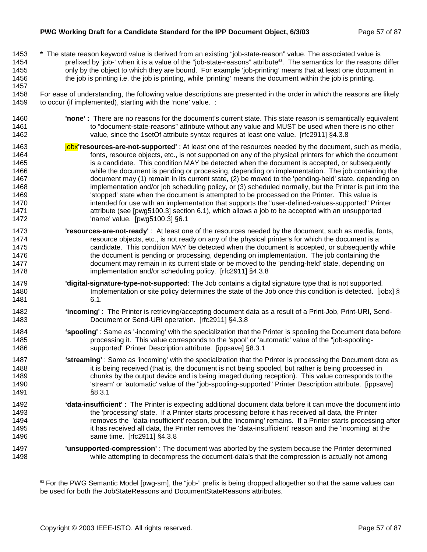#### **PWG Working Draft for a Candidate Standard for the IPP Document Object, 6/3/03** Page 57 of 87

1457

- 1453 **\*** The state reason keyword value is derived from an existing "job-state-reason" value. The associated value is 1454 prefixed by 'job-' when it is a value of the "job-state-reasons" attribute<sup>53</sup>. The semantics for the reasons differ 1455 only by the object to which they are bound. For example 'job-printing' means that at least one document in 1456 the job is printing i.e. the job is printing, while 'printing' means the document within the job is printing.
- 1458 For ease of understanding, the following value descriptions are presented in the order in which the reasons are likely 1459 to occur (if implemented), starting with the 'none' value. :
- 1460 **'none' :** There are no reasons for the document's current state. This state reason is semantically equivalent 1461 to "document-state-reasons" attribute without any value and MUST be used when there is no other 1462 value, since the 1setOf attribute syntax requires at least one value. [rfc2911] §4.3.8
- 1463 **jobx'resources-are-not-supported'** : At least one of the resources needed by the document, such as media, 1464 fonts, resource objects, etc., is not supported on any of the physical printers for which the document 1465 is a candidate. This condition MAY be detected when the document is accepted, or subsequently 1466 while the document is pending or processing, depending on implementation. The job containing the 1467 document may (1) remain in its current state, (2) be moved to the 'pending-held' state, depending on 1468 implementation and/or job scheduling policy, or (3) scheduled normally, but the Printer is put into the 1469  $\blacksquare$  'stopped' state when the document is attempted to be processed on the Printer. This value is 1470 intended for use with an implementation that supports the "user-defined-values-supported" Printer 1471 attribute (see [pwg5100.3] section 6.1), which allows a job to be accepted with an unsupported 1472 'name' value. [pwg5100.3] §6.1
- 1473 **'resources-are-not-ready'** : At least one of the resources needed by the document, such as media, fonts, 1474 resource objects, etc., is not ready on any of the physical printer's for which the document is a 1475 candidate. This condition MAY be detected when the document is accepted, or subsequently while 1476 the document is pending or processing, depending on implementation. The job containing the 1477 document may remain in its current state or be moved to the 'pending-held' state, depending on 1478 implementation and/or scheduling policy. [rfc2911] §4.3.8
- 1479 **'digital-signature-type-not-supported**: The Job contains a digital signature type that is not supported. 1480 Implementation or site policy determines the state of the Job once this condition is detected. [jobx] § 1481 6.1.
- 1482 **'incoming'** : The Printer is retrieving/accepting document data as a result of a Print-Job, Print-URI, Send-1483 Document or Send-URI operation. [rfc2911] §4.3.8
- 1484 **'spooling'** : Same as '-incoming' with the specialization that the Printer is spooling the Document data before 1485 processing it. This value corresponds to the 'spool' or 'automatic' value of the "job-spooling-1486 supported" Printer Description attribute. [ippsave] §8.3.1
- 1487 **'streaming'** : Same as 'incoming' with the specialization that the Printer is processing the Document data as 1488 it is being received (that is, the document is not being spooled, but rather is being processed in 1489 chunks by the output device and is being imaged during reception). This value corresponds to the 1490 'stream' or 'automatic' value of the "job-spooling-supported" Printer Description attribute. [ippsave] 1491 §8.3.1
- 1492 **'data-insufficient'** : The Printer is expecting additional document data before it can move the document into 1493 the 'processing' state. If a Printer starts processing before it has received all data, the Printer 1494 **removes the 'data-insufficient' reason**, but the 'incoming' remains. If a Printer starts processing after 1495 it has received all data, the Printer removes the 'data-insufficient' reason and the 'incoming' at the 1496 same time. [rfc2911] §4.3.8
- 1497 **'unsupported-compression'** : The document was aborted by the system because the Printer determined 1498 while attempting to decompress the document-data's that the compression is actually not among

<sup>&</sup>lt;sup>53</sup> For the PWG Semantic Model [pwg-sm], the "job-" prefix is being dropped altogether so that the same values can be used for both the JobStateReasons and DocumentStateReasons attributes.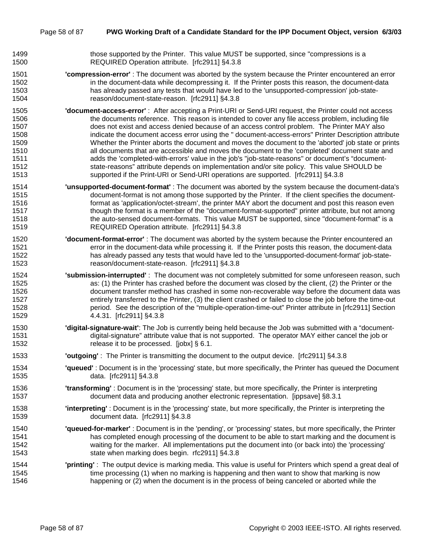- 1499 those supported by the Printer. This value MUST be supported, since "compressions is a 1500 REQUIRED Operation attribute. [rfc2911] §4.3.8
- 1501 **'compression-error'** : The document was aborted by the system because the Printer encountered an error 1502 in the document-data while decompressing it. If the Printer posts this reason, the document-data 1503 has already passed any tests that would have led to the 'unsupported-compression' job-state-1504 reason/document-state-reason. [rfc2911] §4.3.8
- 1505 **'document-access-error'** : After accepting a Print-URI or Send-URI request, the Printer could not access 1506 the documents reference. This reason is intended to cover any file access problem, including file 1507 does not exist and access denied because of an access control problem. The Printer MAY also 1508 indicate the document access error using the " document-access-errors" Printer Description attribute 1509 Whether the Printer aborts the document and moves the document to the 'aborted' job state or prints 1510 all documents that are accessible and moves the document to the 'completed' document state and 1511 adds the 'completed-with-errors' value in the job's "job-state-reasons" or document's "document-1512 state-reasons" attribute depends on implementation and/or site policy. This value SHOULD be 1513 supported if the Print-URI or Send-URI operations are supported. [rfc2911] §4.3.8
- 1514 **'unsupported-document-format'** : The document was aborted by the system because the document-data's 1515 document-format is not among those supported by the Printer. If the client specifies the document-1516 format as 'application/octet-stream', the printer MAY abort the document and post this reason even 1517 though the format is a member of the "document-format-supported" printer attribute, but not among 1518 the auto-sensed document-formats. This value MUST be supported, since "document-format" is a 1519 REQUIRED Operation attribute. [rfc2911] §4.3.8
- 1520 **'document-format-error'** : The document was aborted by the system because the Printer encountered an 1521 error in the document-data while processing it. If the Printer posts this reason, the document-data 1522 has already passed any tests that would have led to the 'unsupported-document-format' job-state-1523 reason/document-state-reason. [rfc2911] §4.3.8
- 1524 **'submission-interrupted'** : The document was not completely submitted for some unforeseen reason, such 1525 **as: (1) the Printer has crashed before the document was closed by the client, (2) the Printer or the** 1526 document transfer method has crashed in some non-recoverable way before the document data was 1527 entirely transferred to the Printer, (3) the client crashed or failed to close the job before the time-out 1528 period. See the description of the "multiple-operation-time-out" Printer attribute in [rfc2911] Section 1529 4.4.31. [rfc2911] §4.3.8
- 1530 **'digital-signature-wait'**: The Job is currently being held because the Job was submitted with a "document-1531 digital-signature" attribute value that is not supported. The operator MAY either cancel the job or 1532 release it to be processed. [jobx] § 6.1.
- 1533 **'outgoing'** : The Printer is transmitting the document to the output device. [rfc2911] §4.3.8
- 1534 **'queued'** : Document is in the 'processing' state, but more specifically, the Printer has queued the Document 1535 data. [rfc2911] §4.3.8
- 1536 **'transforming'** : Document is in the 'processing' state, but more specifically, the Printer is interpreting 1537 document data and producing another electronic representation. [ippsave] §8.3.1
- 1538 **'interpreting'** : Document is in the 'processing' state, but more specifically, the Printer is interpreting the 1539 document data. [rfc2911] §4.3.8
- 1540 **'queued-for-marker'** : Document is in the 'pending', or 'processing' states, but more specifically, the Printer 1541 has completed enough processing of the document to be able to start marking and the document is 1542 waiting for the marker. All implementations put the document into (or back into) the 'processing' 1543 state when marking does begin. rfc2911] §4.3.8
- 1544 **'printing'** : The output device is marking media. This value is useful for Printers which spend a great deal of 1545 time processing (1) when no marking is happening and then want to show that marking is now 1546 happening or (2) when the document is in the process of being canceled or aborted while the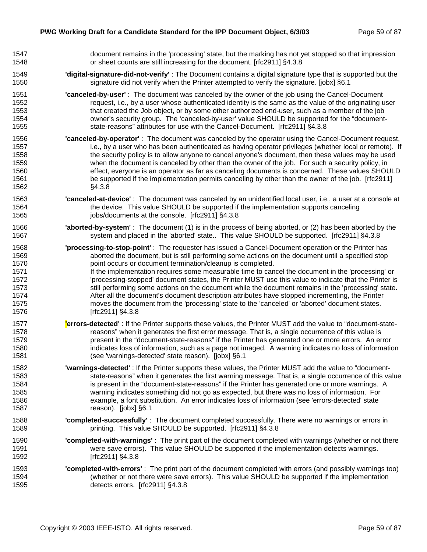| 1547 | document remains in the 'processing' state, but the marking has not yet stopped so that impression           |
|------|--------------------------------------------------------------------------------------------------------------|
| 1548 | or sheet counts are still increasing for the document. [rfc2911] §4.3.8                                      |
| 1549 | 'digital-signature-did-not-verify': The Document contains a digital signature type that is supported but the |
| 1550 | signature did not verify when the Printer attempted to verify the signature. [jobx] §6.1                     |
| 1551 | "canceled-by-user": The document was canceled by the owner of the job using the Cancel-Document              |
| 1552 | request, i.e., by a user whose authenticated identity is the same as the value of the originating user       |
| 1553 | that created the Job object, or by some other authorized end-user, such as a member of the job               |
| 1554 | owner's security group. The 'canceled-by-user' value SHOULD be supported for the "document-                  |
| 1555 | state-reasons" attributes for use with the Cancel-Document. [rfc2911] §4.3.8                                 |
| 1556 | "canceled-by-operator": The document was canceled by the operator using the Cancel-Document request,         |
| 1557 | i.e., by a user who has been authenticated as having operator privileges (whether local or remote). If       |
| 1558 | the security policy is to allow anyone to cancel anyone's document, then these values may be used            |
| 1559 | when the document is canceled by other than the owner of the job. For such a security policy, in             |
| 1560 | effect, everyone is an operator as far as canceling documents is concerned. These values SHOULD              |
| 1561 | be supported if the implementation permits canceling by other than the owner of the job. [rfc2911]           |
| 1562 | §4.3.8                                                                                                       |
| 1563 | "canceled-at-device": The document was canceled by an unidentified local user, i.e., a user at a console at  |
| 1564 | the device. This value SHOULD be supported if the implementation supports canceling                          |
| 1565 | jobs/documents at the console. [rfc2911] §4.3.8                                                              |
| 1566 | 'aborted-by-system': The document (1) is in the process of being aborted, or (2) has been aborted by the     |
| 1567 | system and placed in the 'aborted' state This value SHOULD be supported. [rfc2911] §4.3.8                    |
| 1568 | 'processing-to-stop-point': The requester has issued a Cancel-Document operation or the Printer has          |
| 1569 | aborted the document, but is still performing some actions on the document until a specified stop            |
| 1570 | point occurs or document termination/cleanup is completed.                                                   |
| 1571 | If the implementation requires some measurable time to cancel the document in the 'processing' or            |
| 1572 | 'processing-stopped' document states, the Printer MUST use this value to indicate that the Printer is        |
| 1573 | still performing some actions on the document while the document remains in the 'processing' state.          |
| 1574 | After all the document's document description attributes have stopped incrementing, the Printer              |
| 1575 | moves the document from the 'processing' state to the 'canceled' or 'aborted' document states.               |
| 1576 | [rfc2911] §4.3.8                                                                                             |
| 1577 | lerrors-detected': If the Printer supports these values, the Printer MUST add the value to "document-state-  |
| 1578 | reasons" when it generates the first error message. That is, a single occurrence of this value is            |
| 1579 | present in the "document-state-reasons" if the Printer has generated one or more errors. An error            |
| 1580 | indicates loss of information, such as a page not imaged. A warning indicates no loss of information         |
| 1581 | (see 'warnings-detected' state reason). [jobx] §6.1                                                          |
| 1582 | 'warnings-detected': If the Printer supports these values, the Printer MUST add the value to "document-      |
| 1583 | state-reasons" when it generates the first warning message. That is, a single occurrence of this value       |
| 1584 | is present in the "document-state-reasons" if the Printer has generated one or more warnings. A              |
| 1585 | warning indicates something did not go as expected, but there was no loss of information. For                |
| 1586 | example, a font substitution. An error indicates loss of information (see 'errors-detected' state            |
| 1587 | reason). [jobx] §6.1                                                                                         |
| 1588 | "completed-successfully": The document completed successfully. There were no warnings or errors in           |
| 1589 | printing. This value SHOULD be supported. [rfc2911] §4.3.8                                                   |
| 1590 | "completed-with-warnings": The print part of the document completed with warnings (whether or not there      |
| 1591 | were save errors). This value SHOULD be supported if the implementation detects warnings.                    |
| 1592 | [rfc2911] §4.3.8                                                                                             |
| 1593 | "completed-with-errors": The print part of the document completed with errors (and possibly warnings too)    |
| 1594 | (whether or not there were save errors). This value SHOULD be supported if the implementation                |
| 1595 | detects errors. [rfc2911] §4.3.8                                                                             |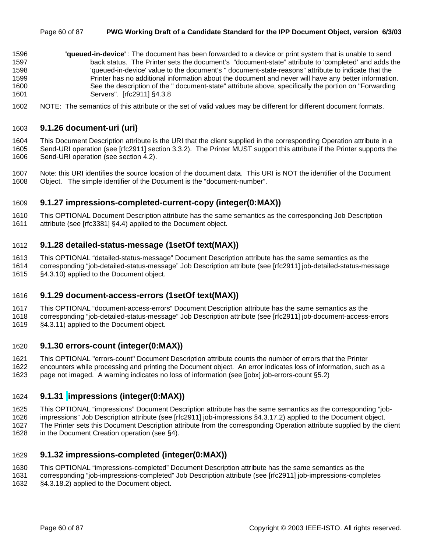- 1596 **'queued-in-device'** : The document has been forwarded to a device or print system that is unable to send 1597 back status. The Printer sets the document's "document-state" attribute to 'completed' and adds the 1598 'queued-in-device' value to the document's " document-state-reasons" attribute to indicate that the 1599 Printer has no additional information about the document and never will have any better information. 1600 See the description of the " document-state" attribute above, specifically the portion on "Forwarding 1601 Servers". [rfc2911] §4.3.8
- 1602 NOTE: The semantics of this attribute or the set of valid values may be different for different document formats.

#### 1603 **9.1.26 document-uri (uri)**

1604 This Document Description attribute is the URI that the client supplied in the corresponding Operation attribute in a 1605 Send-URI operation (see [rfc2911] section 3.3.2). The Printer MUST support this attribute if the Printer supports the 1606 Send-URI operation (see section 4.2).

1607 Note: this URI identifies the source location of the document data. This URI is NOT the identifier of the Document 1608 Object. The simple identifier of the Document is the "document-number".

### 1609 **9.1.27 impressions-completed-current-copy (integer(0:MAX))**

1610 This OPTIONAL Document Description attribute has the same semantics as the corresponding Job Description 1611 attribute (see [rfc3381] §4.4) applied to the Document object.

#### 1612 **9.1.28 detailed-status-message (1setOf text(MAX))**

1613 This OPTIONAL "detailed-status-message" Document Description attribute has the same semantics as the 1614 corresponding "job-detailed-status-message" Job Description attribute (see [rfc2911] job-detailed-status-message 1615 §4.3.10) applied to the Document object.

#### 1616 **9.1.29 document-access-errors (1setOf text(MAX))**

- 1617 This OPTIONAL "document-access-errors" Document Description attribute has the same semantics as the
- 1618 corresponding "job-detailed-status-message" Job Description attribute (see [rfc2911] job-document-access-errors 1619 §4.3.11) applied to the Document object.

#### 1620 **9.1.30 errors-count (integer(0:MAX))**

1621 This OPTIONAL "errors-count" Document Description attribute counts the number of errors that the Printer 1622 encounters while processing and printing the Document object. An error indicates loss of information, such as a 1623 page not imaged. A warning indicates no loss of information (see [jobx] job-errors-count §5.2)

### 1624 **9.1.31 impressions (integer(0:MAX))**

1625 This OPTIONAL "impressions" Document Description attribute has the same semantics as the corresponding "job-

1626 impressions" Job Description attribute (see [rfc2911] job-impressions §4.3.17.2) applied to the Document object.

1627 The Printer sets this Document Description attribute from the corresponding Operation attribute supplied by the client 1628 in the Document Creation operation (see §4).

#### 1629 **9.1.32 impressions-completed (integer(0:MAX))**

1630 This OPTIONAL "impressions-completed" Document Description attribute has the same semantics as the

1631 corresponding "job-impressions-completed" Job Description attribute (see [rfc2911] job-impressions-completes 1632 §4.3.18.2) applied to the Document object.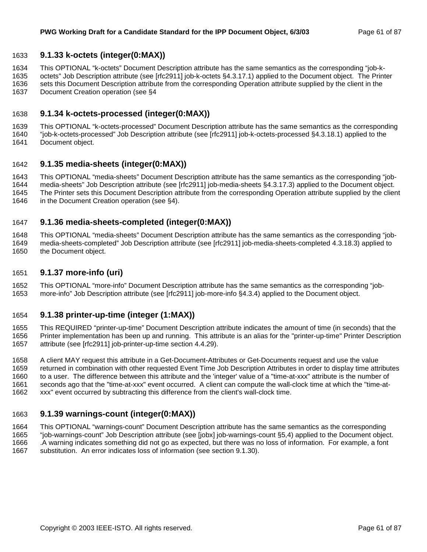### 1633 **9.1.33 k-octets (integer(0:MAX))**

1634 This OPTIONAL "k-octets" Document Description attribute has the same semantics as the corresponding "job-k-

1635 octets" Job Description attribute (see [rfc2911] job-k-octets §4.3.17.1) applied to the Document object. The Printer 1636 sets this Document Description attribute from the corresponding Operation attribute supplied by the client in the 1637 Document Creation operation (see §4

### 1638 **9.1.34 k-octets-processed (integer(0:MAX))**

1639 This OPTIONAL "k-octets-processed" Document Description attribute has the same semantics as the corresponding 1640 "job-k-octets-processed" Job Description attribute (see [rfc2911] job-k-octets-processed §4.3.18.1) applied to the

1641 Document object.

### 1642 **9.1.35 media-sheets (integer(0:MAX))**

1643 This OPTIONAL "media-sheets" Document Description attribute has the same semantics as the corresponding "job-1644 media-sheets" Job Description attribute (see [rfc2911] job-media-sheets §4.3.17.3) applied to the Document object. 1645 The Printer sets this Document Description attribute from the corresponding Operation attribute supplied by the client

1646 in the Document Creation operation (see §4).

### 1647 **9.1.36 media-sheets-completed (integer(0:MAX))**

1648 This OPTIONAL "media-sheets" Document Description attribute has the same semantics as the corresponding "job-1649 media-sheets-completed" Job Description attribute (see [rfc2911] job-media-sheets-completed 4.3.18.3) applied to 1650 the Document object.

### 1651 **9.1.37 more-info (uri)**

1652 This OPTIONAL "more-info" Document Description attribute has the same semantics as the corresponding "job-1653 more-info" Job Description attribute (see [rfc2911] job-more-info §4.3.4) applied to the Document object.

#### 1654 **9.1.38 printer-up-time (integer (1:MAX))**

1655 This REQUIRED "printer-up-time" Document Description attribute indicates the amount of time (in seconds) that the 1656 Printer implementation has been up and running. This attribute is an alias for the "printer-up-time" Printer Description 1657 attribute (see [rfc2911] job-printer-up-time section 4.4.29).

1658 A client MAY request this attribute in a Get-Document-Attributes or Get-Documents request and use the value 1659 returned in combination with other requested Event Time Job Description Attributes in order to display time attributes 1660 to a user. The difference between this attribute and the 'integer' value of a "time-at-xxx" attribute is the number of 1661 seconds ago that the "time-at-xxx" event occurred. A client can compute the wall-clock time at which the "time-at-1662 xxx" event occurred by subtracting this difference from the client's wall-clock time.

### 1663 **9.1.39 warnings-count (integer(0:MAX))**

1664 This OPTIONAL "warnings-count" Document Description attribute has the same semantics as the corresponding 1665 "job-warnings-count" Job Description attribute (see [jobx] job-warnings-count §5,4) applied to the Document object. 1666 .A warning indicates something did not go as expected, but there was no loss of information. For example, a font 1667 substitution. An error indicates loss of information (see section 9.1.30).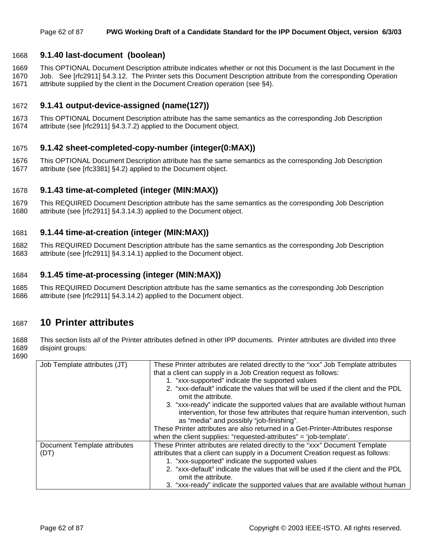### 1668 **9.1.40 last-document (boolean)**

1669 This OPTIONAL Document Description attribute indicates whether or not this Document is the last Document in the 1670 Job. See [rfc2911] §4.3.12. The Printer sets this Document Description attribute from the corresponding Operation 1671 attribute supplied by the client in the Document Creation operation (see §4).

### 1672 **9.1.41 output-device-assigned (name(127))**

1673 This OPTIONAL Document Description attribute has the same semantics as the corresponding Job Description 1674 attribute (see [rfc2911] §4.3.7.2) applied to the Document object.

#### 1675 **9.1.42 sheet-completed-copy-number (integer(0:MAX))**

1676 This OPTIONAL Document Description attribute has the same semantics as the corresponding Job Description 1677 attribute (see [rfc3381] §4.2) applied to the Document object.

#### 1678 **9.1.43 time-at-completed (integer (MIN:MAX))**

1679 This REQUIRED Document Description attribute has the same semantics as the corresponding Job Description 1680 attribute (see [rfc2911] §4.3.14.3) applied to the Document object.

#### 1681 **9.1.44 time-at-creation (integer (MIN:MAX))**

1682 This REQUIRED Document Description attribute has the same semantics as the corresponding Job Description 1683 attribute (see [rfc2911] §4.3.14.1) applied to the Document object.

#### 1684 **9.1.45 time-at-processing (integer (MIN:MAX))**

1685 This REQUIRED Document Description attribute has the same semantics as the corresponding Job Description 1686 attribute (see [rfc2911] §4.3.14.2) applied to the Document object.

### 1687 **10 Printer attributes**

1688 This section lists *all* of the Printer attributes defined in other IPP documents. Printer attributes are divided into three 1689 disjoint groups:

1690

| Job Template attributes (JT) | These Printer attributes are related directly to the "xxx" Job Template attributes                                                                                                                        |
|------------------------------|-----------------------------------------------------------------------------------------------------------------------------------------------------------------------------------------------------------|
|                              | that a client can supply in a Job Creation request as follows:                                                                                                                                            |
|                              | 1. "xxx-supported" indicate the supported values                                                                                                                                                          |
|                              | 2. "xxx-default" indicate the values that will be used if the client and the PDL<br>omit the attribute.                                                                                                   |
|                              | 3. "xxx-ready" indicate the supported values that are available without human<br>intervention, for those few attributes that require human intervention, such<br>as "media" and possibly "job-finishing". |
|                              | These Printer attributes are also returned in a Get-Printer-Attributes response                                                                                                                           |
|                              | when the client supplies: "requested-attributes" = 'job-template'.                                                                                                                                        |
| Document Template attributes | These Printer attributes are related directly to the "xxx" Document Template                                                                                                                              |
| (DT)                         | attributes that a client can supply in a Document Creation request as follows:                                                                                                                            |
|                              | 1. "xxx-supported" indicate the supported values                                                                                                                                                          |
|                              | 2. "xxx-default" indicate the values that will be used if the client and the PDL                                                                                                                          |
|                              | omit the attribute.                                                                                                                                                                                       |
|                              | 3. "xxx-ready" indicate the supported values that are available without human                                                                                                                             |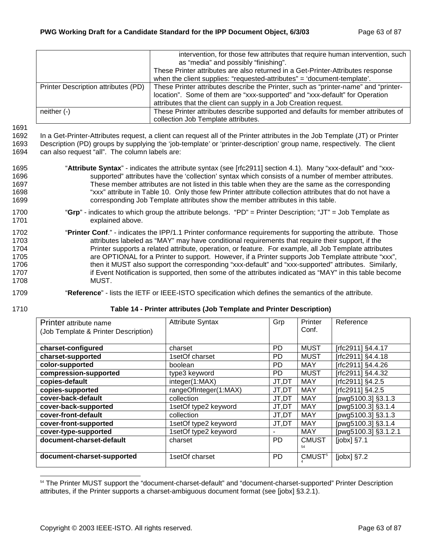|                                     | intervention, for those few attributes that require human intervention, such        |
|-------------------------------------|-------------------------------------------------------------------------------------|
|                                     | as "media" and possibly "finishing".                                                |
|                                     | These Printer attributes are also returned in a Get-Printer-Attributes response     |
|                                     | when the client supplies: "requested-attributes" = 'document-template'.             |
| Printer Description attributes (PD) | These Printer attributes describe the Printer, such as "printer-name" and "printer- |
|                                     | location". Some of them are "xxx-supported" and "xxx-default" for Operation         |
|                                     | attributes that the client can supply in a Job Creation request.                    |
| neither $(-)$                       | These Printer attributes describe supported and defaults for member attributes of   |
|                                     | collection Job Template attributes.                                                 |

1691

1692 In a Get-Printer-Attributes request, a client can request all of the Printer attributes in the Job Template (JT) or Printer 1693 Description (PD) groups by supplying the 'job-template' or 'printer-description' group name, respectively. The client 1694 can also request "all". The column labels are:

- 1695 "**Attribute Syntax**" indicates the attribute syntax (see [rfc2911] section 4.1). Many "xxx-default" and "xxx-1696 supported" attributes have the 'collection' syntax which consists of a number of member attributes. 1697 These member attributes are not listed in this table when they are the same as the corresponding 1698 "xxx" attribute in Table 10. Only those few Printer attribute collection attributes that do not have a 1699 corresponding Job Template attributes show the member attributes in this table.
- 1700 "**Grp**" indicates to which group the attribute belongs. "PD" = Printer Description; "JT" = Job Template as 1701 explained above.
- 1702 "**Printer Conf**." indicates the IPP/1.1 Printer conformance requirements for supporting the attribute. Those 1703 1703 attributes labeled as "MAY" may have conditional requirements that require their support, if the 1704 **Printer supports a related attribute, operation, or feature.** For example, all Job Template attributes 1705 are OPTIONAL for a Printer to support. However, if a Printer supports Job Template attribute "xxx", 1706 then it MUST also support the corresponding "xxx-default" and "xxx-supported" attributes. Similarly, 1707 **if Event Notification is supported, then some of the attributes indicated as "MAY" in this table become** 1708 MUST.
- 1709 "**Reference**" lists the IETF or IEEE-ISTO specification which defines the semantics of the attribute.
- 

l

#### 1710 **Table 14 - Printer attributes (Job Template and Printer Description)**

| Printer attribute name               | <b>Attribute Syntax</b> | Grp       | Printer            | Reference            |
|--------------------------------------|-------------------------|-----------|--------------------|----------------------|
| (Job Template & Printer Description) |                         |           | Conf.              |                      |
|                                      |                         |           |                    |                      |
| charset-configured                   | charset                 | <b>PD</b> | <b>MUST</b>        | [rfc2911] §4.4.17    |
| charset-supported                    | 1setOf charset          | <b>PD</b> | <b>MUST</b>        | [rfc2911] §4.4.18    |
| color-supported                      | boolean                 | <b>PD</b> | <b>MAY</b>         | [rfc2911] §4.4.26    |
| compression-supported                | type3 keyword           | PD.       | <b>MUST</b>        | [rfc2911] §4.4.32    |
| copies-default                       | integer(1:MAX)          | JT,DT     | <b>MAY</b>         | [rfc2911] §4.2.5     |
| copies-supported                     | rangeOfInteger(1:MAX)   | JT,DT     | <b>MAY</b>         | [rfc2911] §4.2.5     |
| cover-back-default                   | collection              | JT,DT     | <b>MAY</b>         | [pwg5100.3] §3.1.3   |
| cover-back-supported                 | 1setOf type2 keyword    | JT,DT     | MAY                | [pwg5100.3] §3.1.4   |
| cover-front-default                  | collection              | JT,DT     | <b>MAY</b>         | [pwg5100.3] §3.1.3   |
| cover-front-supported                | 1setOf type2 keyword    | JT,DT     | <b>MAY</b>         | [pwg5100.3] §3.1.4   |
| cover-type-supported                 | 1setOf type2 keyword    |           | <b>MAY</b>         | Tpwg5100.3] §3.1.2.1 |
| document-charset-default             | charset                 | <b>PD</b> | <b>CMUST</b>       | $[jobx]$ §7.1        |
|                                      |                         |           | 54                 |                      |
| document-charset-supported           | 1setOf charset          | <b>PD</b> | CMUST <sup>5</sup> | $[jobx]$ §7.2        |

<sup>&</sup>lt;sup>54</sup> The Printer MUST support the "document-charset-default" and "document-charset-supported" Printer Description attributes, if the Printer supports a charset-ambiguous document format (see [jobx] §3.2.1).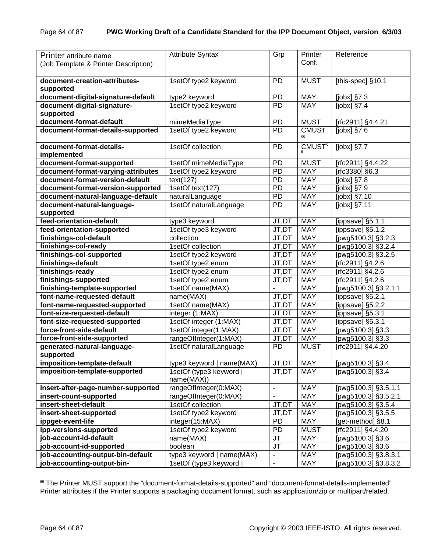|                                      |                           |                          | Printer            | Reference            |
|--------------------------------------|---------------------------|--------------------------|--------------------|----------------------|
| Printer attribute name               | <b>Attribute Syntax</b>   | Grp                      |                    |                      |
| (Job Template & Printer Description) |                           |                          | Conf.              |                      |
|                                      |                           |                          |                    |                      |
| document-creation-attributes-        | 1setOf type2 keyword      | <b>PD</b>                | <b>MUST</b>        | [this-spec] §10.1    |
| supported                            |                           |                          |                    |                      |
| document-digital-signature-default   | type2 keyword             | PD                       | <b>MAY</b>         | [jobx] §7.3          |
| document-digital-signature-          | 1setOf type2 keyword      | <b>PD</b>                | <b>MAY</b>         | $[jobx]$ §7.4        |
| supported                            |                           |                          |                    |                      |
| document-format-default              | mimeMediaType             | PD                       | <b>MUST</b>        | [rfc2911] §4.4.21    |
| document-format-details-supported    | 1setOf type2 keyword      | <b>PD</b>                | <b>CMUST</b>       | $[jobx]$ §7.6        |
|                                      |                           |                          | 55                 |                      |
| document-format-details-             | 1setOf collection         | <b>PD</b>                | CMUST <sup>5</sup> | [ $jobs$ ] $§7.7$    |
| implemented                          |                           |                          |                    |                      |
| document-format-supported            | 1setOf mimeMediaType      | PD                       | <b>MUST</b>        | [rfc2911] §4.4.22    |
| document-format-varying-attributes   | 1setOf type2 keyword      | PD                       | <b>MAY</b>         | [rfc3380] §6.3       |
| document-format-version-default      | text(127)                 | PD                       | <b>MAY</b>         | [ $jobs$ ] §7.8      |
| document-format-version-supported    | 1setOf text(127)          | PD                       | <b>MAY</b>         | [ $jobs$ ] §7.9      |
| document-natural-language-default    | naturalLanguage           | PD                       | <b>MAY</b>         | $[jobx]$ §7.10       |
| document-natural-language-           | 1setOf naturalLanguage    | <b>PD</b>                | <b>MAY</b>         | [jobx] §7.11         |
| supported                            |                           |                          |                    |                      |
| feed-orientation-default             | type3 keyword             | JT,DT                    | <b>MAY</b>         | [ippsave] §5.1.1     |
| feed-orientation-supported           | 1setOf type3 keyword      | JT,DT                    | <b>MAY</b>         | [ippsave] §5.1.2     |
| finishings-col-default               | collection                | JT,DT                    | <b>MAY</b>         | [pwg5100.3] §3.2.3   |
| finishings-col-ready                 | 1setOf collection         | JT,DT                    | <b>MAY</b>         | [pwg5100.3] §3.2.4   |
| finishings-col-supported             | 1setOf type2 keyword      | JT,DT                    | <b>MAY</b>         | [pwg5100.3] §3.2.5   |
| finishings-default                   | 1setOf type2 enum         | JT,DT                    | <b>MAY</b>         | [rfc2911] §4.2.6     |
| finishings-ready                     | 1setOf type2 enum         | JT,DT                    | <b>MAY</b>         | [rfc2911] §4.2.6     |
| finishings-supported                 | 1setOf type2 enum         | JT,DT                    | <b>MAY</b>         | [rfc2911] §4.2.6     |
| finishing-template-supported         | 1setOf name(MAX)          |                          | <b>MAY</b>         | [pwg5100.3] §3.2.1.1 |
| font-name-requested-default          | name(MAX)                 | JT,DT                    | <b>MAY</b>         | [ippsave] §5.2.1     |
| font-name-requested-supported        | 1setOf name(MAX)          | JT,DT                    | <b>MAY</b>         | [ippsave] §5.2.2     |
| font-size-requested-default          | integer (1:MAX)           | JT,DT                    | <b>MAY</b>         | [ippsave] §5.3.1     |
| font-size-requested-supported        | 1setOf integer (1:MAX)    | JT,DT                    | <b>MAY</b>         | [ippsave] §5.3.1     |
| force-front-side-default             | 1setOf integer(1:MAX)     | JT,DT                    | <b>MAY</b>         | [pwg5100.3] §3.3     |
| force-front-side-supported           | rangeOfInteger(1:MAX)     | JT,DT                    | <b>MAY</b>         | [pwg5100.3] §3.3     |
| generated-natural-language-          | 1setOf naturalLanguage    | PD                       | <b>MUST</b>        | [rfc2911] §4.4.20    |
| supported                            |                           |                          |                    |                      |
| imposition-template-default          | type3 keyword   name(MAX) | JT,DT                    | <b>MAY</b>         | [pwg5100.3] §3.4     |
| imposition-template-supported        | 1setOf (type3 keyword     | JT,DT                    | <b>MAY</b>         | [pwg5100.3] §3.4     |
|                                      | name(MAX))                |                          |                    |                      |
| insert-after-page-number-supported   | rangeOfInteger(0:MAX)     | $\overline{\phantom{a}}$ | <b>MAY</b>         | [pwg5100.3] §3.5.1.1 |
| insert-count-supported               | rangeOfInteger(0:MAX)     | $\blacksquare$           | MAY                | [pwg5100.3] §3.5.2.1 |
| insert-sheet-default                 | 1setOf collection         | JT,DT                    | MAY                | [pwg5100.3] §3.5.4   |
| insert-sheet-supported               | 1setOf type2 keyword      | JT,DT                    | MAY                | [pwg5100.3] §3.5.5   |
| ippget-event-life                    | integer(15:MAX)           | <b>PD</b>                | MAY                | [get-method] §8.1    |
| ipp-versions-supported               | 1setOf type2 keyword      | <b>PD</b>                | <b>MUST</b>        | [rfc2911] §4.4.20    |
| job-account-id-default               | name(MAX)                 | JT                       | MAY                | [pwg5100.3] §3.6     |
| job-account-id-supported             | boolean                   | JT                       | <b>MAY</b>         | [pwg5100.3] §3.6     |
| job-accounting-output-bin-default    | type3 keyword   name(MAX) | $\blacksquare$           | <b>MAY</b>         | [pwg5100.3] §3.8.3.1 |
| job-accounting-output-bin-           | 1setOf (type3 keyword     | $\overline{\phantom{a}}$ | MAY                | [pwg5100.3] §3.8.3.2 |

l <sup>55</sup> The Printer MUST support the "document-format-details-supported" and "document-format-details-implemented" Printer attributes if the Printer supports a packaging document format, such as application/zip or multipart/related.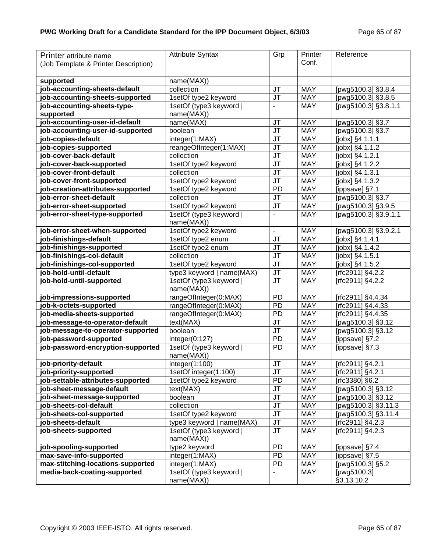| Printer attribute name               | <b>Attribute Syntax</b>               | Grp                      | Printer    | Reference                    |
|--------------------------------------|---------------------------------------|--------------------------|------------|------------------------------|
| (Job Template & Printer Description) |                                       |                          | Conf.      |                              |
|                                      |                                       |                          |            |                              |
| supported                            | name(MAX))                            |                          |            |                              |
| job-accounting-sheets-default        | collection                            | <b>JT</b>                | <b>MAY</b> | [pwg5100.3] §3.8.4           |
| job-accounting-sheets-supported      | 1setOf type2 keyword                  | JT                       | <b>MAY</b> | [pwg5100.3] §3.8.5           |
| job-accounting-sheets-type-          | 1setOf (type3 keyword                 | ÷,                       | <b>MAY</b> | [pwg5100.3] §3.8.1.1         |
| supported                            | name(MAX))                            |                          |            |                              |
| job-accounting-user-id-default       | name(MAX)                             | JT                       | <b>MAY</b> | [pwg5100.3] §3.7             |
| job-accounting-user-id-supported     | boolean                               | JT                       | <b>MAY</b> | [pwg5100.3] §3.7             |
| job-copies-default                   | integer(1:MAX)                        | <b>JT</b>                | <b>MAY</b> | [jobx] §4.1.1.1              |
| job-copies-supported                 | reangeOfInteger(1:MAX)                | JT                       | <b>MAY</b> | $\overline{[jobx]}$ §4.1.1.2 |
| job-cover-back-default               | collection                            | <b>JT</b>                | <b>MAY</b> | [jobx] §4.1.2.1              |
| job-cover-back-supported             | 1setOf type2 keyword                  | JT                       | <b>MAY</b> | [jobx] §4.1.2.2              |
| job-cover-front-default              | collection                            | <b>JT</b>                | <b>MAY</b> | [jobx] §4.1.3.1              |
| job-cover-front-supported            | 1setOf type2 keyword                  | <b>JT</b>                | <b>MAY</b> | [jobx] §4.1.3.2              |
| job-creation-attributes-supported    | 1setOf type2 keyword                  | <b>PD</b>                | <b>MAY</b> | [ippsave] §7.1               |
| iob-error-sheet-default              | collection                            | <b>JT</b>                | <b>MAY</b> | [pwg5100.3] §3.7             |
| job-error-sheet-supported            | 1setOf type2 keyword                  | <b>JT</b>                | <b>MAY</b> | [pwg5100.3] §3.9.5           |
| job-error-sheet-type-supported       | 1setOf (type3 keyword                 | $\blacksquare$           | <b>MAY</b> | [pwg5100.3] §3.9.1.1         |
|                                      | name(MAX))                            |                          |            |                              |
| job-error-sheet-when-supported       | 1setOf type2 keyword                  | $\blacksquare$           | <b>MAY</b> | [pwg5100.3] §3.9.2.1         |
| job-finishings-default               | 1setOf type2 enum                     | <b>JT</b>                | <b>MAY</b> | [jobx] §4.1.4.1              |
| job-finishings-supported             | 1setOf type2 enum                     | <b>JT</b>                | <b>MAY</b> | [jobx] §4.1.4.2              |
| job-finishings-col-default           | collection                            | J <sub>T</sub>           | <b>MAY</b> | [jobx] §4.1.5.1              |
| job-finishings-col-supported         | 1setOf type2 keyword                  | <b>JT</b>                | <b>MAY</b> | [jobx] §4.1.5.2              |
| job-hold-until-default               | type3 keyword   name(MAX)             | JT                       | <b>MAY</b> | [rfc2911] §4.2.2             |
| job-hold-until-supported             | 1setOf (type3 keyword                 | <b>JT</b>                | <b>MAY</b> | [rfc2911] §4.2.2             |
|                                      | name(MAX))                            |                          |            |                              |
| job-impressions-supported            | rangeOfInteger(0:MAX)                 | <b>PD</b>                | <b>MAY</b> | [rfc2911] §4.4.34            |
| job-k-octets-supported               | rangeOfInteger(0:MAX)                 | <b>PD</b>                | <b>MAY</b> | [rfc2911] §4.4.33            |
| job-media-sheets-supported           | rangeOfInteger(0:MAX)                 | <b>PD</b>                | <b>MAY</b> | [rfc2911] §4.4.35            |
| job-message-to-operator-default      | text(MAX)                             | JT                       | <b>MAY</b> | [pwg5100.3] §3.12            |
| job-message-to-operator-supported    | boolean                               | <b>JT</b>                | <b>MAY</b> | [pwg5100.3] §3.12            |
| job-password-supported               | integer(0:127)                        | <b>PD</b>                | <b>MAY</b> | [ippsave] §7.2               |
| job-password-encryption-supported    | 1setOf (type3 keyword  <br>name(MAX)) | PD                       | <b>MAY</b> | [ippsave] §7.3               |
| job-priority-default                 | integer(1:100)                        | JT                       | <b>MAY</b> | [rfc2911] §4.2.1             |
| job-priority-supported               | 1setOf integer(1:100)                 | <b>JT</b>                | <b>MAY</b> | [rfc2911] §4.2.1             |
| job-settable-attributes-supported    | 1setOf type2 keyword                  | <b>PD</b>                | <b>MAY</b> | [rfc3380] §6.2               |
| job-sheet-message-default            | text(MAX)                             | JT                       | <b>MAY</b> | [pwg5100.3] §3.12            |
| job-sheet-message-supported          | boolean                               | JT                       | <b>MAY</b> | [pwg5100.3] §3.12            |
| job-sheets-col-default               | collection                            | <b>JT</b>                | <b>MAY</b> | [pwg5100.3] §3.11.3          |
| job-sheets-col-supported             | 1setOf type2 keyword                  | JT                       | <b>MAY</b> | [pwg5100.3] §3.11.4          |
| job-sheets-default                   | type3 keyword   name(MAX)             | JT                       | <b>MAY</b> | [rfc2911] §4.2.3             |
| job-sheets-supported                 | 1setOf (type3 keyword                 | <b>JT</b>                | <b>MAY</b> | [rfc2911] §4.2.3             |
|                                      | name(MAX))                            |                          |            |                              |
| job-spooling-supported               | type2 keyword                         | PD                       | <b>MAY</b> | [ippsave] §7.4               |
| max-save-info-supported              | integer(1:MAX)                        | PD                       | <b>MAY</b> | [ippsave] §7.5               |
| max-stitching-locations-supported    | integer(1:MAX)                        | PD                       | <b>MAY</b> | [pwg5100.3] §5.2             |
| media-back-coating-supported         | 1setOf (type3 keyword                 | $\overline{\phantom{a}}$ | <b>MAY</b> | [pwg5100.3]                  |
|                                      | name(MAX))                            |                          |            | §3.13.10.2                   |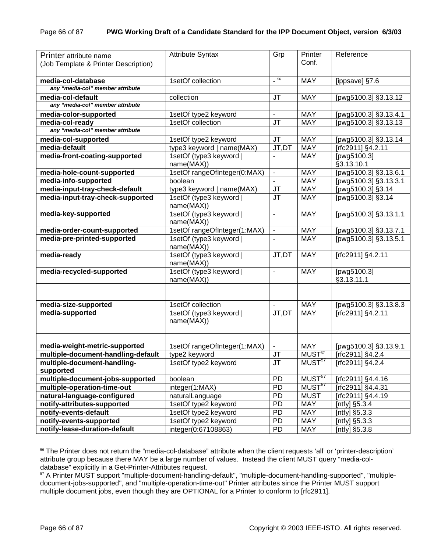| Printer attribute name<br>(Job Template & Printer Description) | <b>Attribute Syntax</b>               | Grp                      | Printer<br>Conf.   | Reference                     |
|----------------------------------------------------------------|---------------------------------------|--------------------------|--------------------|-------------------------------|
| media-col-database                                             | 1setOf collection                     | $\_56$                   | <b>MAY</b>         | [ippsave] §7.6                |
| any "media-col" member attribute                               |                                       |                          |                    |                               |
| media-col-default                                              | collection                            | <b>JT</b>                | <b>MAY</b>         | [pwg5100.3] §3.13.12          |
| any "media-col" member attribute                               |                                       |                          |                    |                               |
| media-color-supported                                          | 1setOf type2 keyword                  |                          | <b>MAY</b>         | [pwg5100.3] §3.13.4.1         |
| media-col-ready                                                | 1setOf collection                     | JT                       | <b>MAY</b>         | [pwg5100.3] §3.13.13          |
| any "media-col" member attribute                               |                                       |                          |                    |                               |
| media-col-supported                                            | 1setOf type2 keyword                  | <b>JT</b>                | <b>MAY</b>         | [pwg5100.3] §3.13.14          |
| media-default                                                  | type3 keyword   name(MAX)             | JT,DT                    | <b>MAY</b>         | [rfc2911] §4.2.11             |
| media-front-coating-supported                                  | 1setOf (type3 keyword<br>name(MAX))   |                          | <b>MAY</b>         | [pwg5100.3]<br>§3.13.10.1     |
| media-hole-count-supported                                     | 1setOf rangeOfInteger(0:MAX)          | $\blacksquare$           | <b>MAY</b>         | [pwg5100.3] §3.13.6.1         |
| media-info-supported                                           | boolean                               |                          | <b>MAY</b>         | [pwg5100.3] §3.13.3.1         |
| media-input-tray-check-default                                 | type3 keyword   name(MAX)             | <b>JT</b>                | <b>MAY</b>         | [pwg5100.3] §3.14             |
| media-input-tray-check-supported                               | 1setOf (type3 keyword<br>name(MAX))   | <b>JT</b>                | <b>MAY</b>         | [pwg5100.3] §3.14             |
| media-key-supported                                            | 1setOf (type3 keyword)<br>name(MAX))  | $\overline{\phantom{a}}$ | <b>MAY</b>         | [pwg5100.3] §3.13.1.1         |
| media-order-count-supported                                    | 1setOf rangeOfInteger(1:MAX)          | $\blacksquare$           | <b>MAY</b>         | [pwg5100.3] §3.13.7.1         |
| media-pre-printed-supported                                    | 1setOf (type3 keyword)<br>name(MAX))  |                          | <b>MAY</b>         | [pwg5100.3] §3.13.5.1         |
| media-ready                                                    | 1setOf (type3 keyword<br>name(MAX))   | JT,DT                    | <b>MAY</b>         | [rfc2911] §4.2.11             |
| media-recycled-supported                                       | 1setOf (type3 keyword<br>name(MAX))   | $\overline{\phantom{a}}$ | <b>MAY</b>         | [ $pwg5100.3$ ]<br>§3.13.11.1 |
|                                                                |                                       |                          |                    |                               |
|                                                                |                                       |                          |                    |                               |
| media-size-supported                                           | 1setOf collection                     | $\overline{\phantom{a}}$ | <b>MAY</b>         | [pwg5100.3] §3.13.8.3         |
| media-supported                                                | 1setOf (type3 keyword  <br>name(MAX)) | JT,DT                    | <b>MAY</b>         | [rfc2911] §4.2.11             |
|                                                                |                                       |                          |                    |                               |
|                                                                |                                       |                          |                    |                               |
| media-weight-metric-supported                                  | 1setOf rangeOfInteger(1:MAX)          | $\blacksquare$           | <b>MAY</b>         | [pwg5100.3] §3.13.9.1         |
| multiple-document-handling-default                             | type2 keyword                         | JT                       | MUST <sup>57</sup> | [rfc2911] §4.2.4              |
| multiple-document-handling-<br>supported                       | 1setOf type2 keyword                  | JT                       | MUST <sup>57</sup> | [rfc2911] §4.2.4              |
| multiple-document-jobs-supported                               | boolean                               | PD                       | MUST <sup>57</sup> | [rfc2911] §4.4.16             |
| multiple-operation-time-out                                    | integer(1:MAX)                        | PD                       | MUST <sup>57</sup> | [rfc2911] §4.4.31             |
| natural-language-configured                                    | naturalLanguage                       | PD                       | <b>MUST</b>        | [rfc2911] §4.4.19             |
| notify-attributes-supported                                    | 1setOf type2 keyword                  | PD                       | MAY                | [ntfy] §5.3.4                 |
| notify-events-default                                          | 1setOf type2 keyword                  | PD                       | MAY                | [ntfy] §5.3.3                 |
| notify-events-supported                                        | 1setOf type2 keyword                  | PD                       | MAY                | [ntfy] §5.3.3                 |
| notify-lease-duration-default                                  | integer(0:67108863)                   | PD                       | MAY                | [ntfy] $\S5.3.8$              |

<sup>56</sup> The Printer does not return the "media-col-database" attribute when the client requests 'all' or 'printer-description' attribute group because there MAY be a large number of values. Instead the client MUST query "media-coldatabase" explicitly in a Get-Printer-Attributes request.

<sup>57</sup> A Printer MUST support "multiple-document-handling-default", "multiple-document-handling-supported", "multipledocument-jobs-supported", and "multiple-operation-time-out" Printer attributes since the Printer MUST support multiple document jobs, even though they are OPTIONAL for a Printer to conform to [rfc2911].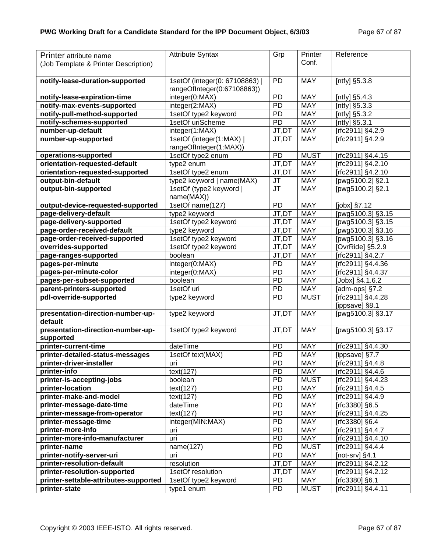| Printer attribute name                | <b>Attribute Syntax</b>      | Grp                  | Printer     | Reference          |
|---------------------------------------|------------------------------|----------------------|-------------|--------------------|
| (Job Template & Printer Description)  |                              |                      | Conf.       |                    |
|                                       |                              |                      |             |                    |
| notify-lease-duration-supported       | 1setOf (integer(0: 67108863) | PD                   | <b>MAY</b>  | [ntfy] §5.3.8      |
|                                       | rangeOfInteger(0:67108863))  |                      |             |                    |
| notify-lease-expiration-time          | integer(0:MAX)               | PD                   | <b>MAY</b>  | [ntfy] §5.4.3      |
| notify-max-events-supported           | integer(2:MAX)               | <b>PD</b>            | <b>MAY</b>  | [ntfy] §5.3.3      |
| notify-pull-method-supported          | 1setOf type2 keyword         | PD                   | <b>MAY</b>  | [ntfy] §5.3.2      |
| notify-schemes-supported              | 1setOf uriScheme             | PD                   | <b>MAY</b>  | [ntfy] §5.3.1      |
| number-up-default                     | integer(1:MAX)               | JT,DT                | <b>MAY</b>  | [rfc2911] §4.2.9   |
| number-up-supported                   | 1setOf (integer(1:MAX)       | JT,DT                | <b>MAY</b>  | [rfc2911] §4.2.9   |
|                                       | rangeOfInteger(1:MAX))       |                      |             |                    |
| operations-supported                  | 1setOf type2 enum            | PD                   | <b>MUST</b> | [rfc2911] §4.4.15  |
| orientation-requested-default         | type2 enum                   | $\overline{JT}$ , DT | <b>MAY</b>  | [rfc2911] §4.2.10  |
| orientation-requested-supported       | 1setOf type2 enum            | JT,DT                | <b>MAY</b>  | [rfc2911] §4.2.10  |
| output-bin-default                    | type2 keyword   name(MAX)    | <b>JT</b>            | <b>MAY</b>  | [pwg5100.2] §2.1   |
| output-bin-supported                  | 1setOf (type2 keyword        | <b>JT</b>            | <b>MAY</b>  | [pwg5100.2] §2.1   |
|                                       | name(MAX))                   |                      |             |                    |
| output-device-requested-supported     | 1setOf name(127)             | PD                   | <b>MAY</b>  | $[jobx]$ §7.12     |
| page-delivery-default                 | type2 keyword                | JT,DT                | <b>MAY</b>  | [pwg5100.3] §3.15  |
| page-delivery-supported               | 1setOf type2 keyword         | JT,DT                | <b>MAY</b>  | [pwg5100.3] §3.15  |
| page-order-received-default           | type2 keyword                | JT,DT                | <b>MAY</b>  | [pwg5100.3] §3.16  |
| page-order-received-supported         | 1setOf type2 keyword         | JT,DT                | <b>MAY</b>  | [pwg5100.3] §3.16  |
| overrides-supported                   | 1setOf type2 keyword         | JT,DT                | <b>MAY</b>  | [OvrRide] §5.2.9   |
| page-ranges-supported                 | boolean                      | JT,DT                | <b>MAY</b>  | [rfc2911] §4.2.7   |
| pages-per-minute                      | integer(0:MAX)               | <b>PD</b>            | <b>MAY</b>  | [rfc2911] §4.4.36  |
| pages-per-minute-color                | integer(0:MAX)               | <b>PD</b>            | <b>MAY</b>  | [rfc2911] §4.4.37  |
| pages-per-subset-supported            | boolean                      | <b>PD</b>            | <b>MAY</b>  | [Jobx] §4.1.6.2    |
| parent-printers-supported             | 1setOf uri                   | <b>PD</b>            | <b>MAY</b>  | [adm-ops] §7.2     |
| pdl-override-supported                | type2 keyword                | PD                   | <b>MUST</b> | [rfc2911] §4.4.28  |
|                                       |                              |                      |             | [ippsave] §8.1     |
| presentation-direction-number-up-     | type2 keyword                | JT,DT                | <b>MAY</b>  | [pwg5100.3] §3.17  |
| default                               |                              |                      |             |                    |
| presentation-direction-number-up-     | 1setOf type2 keyword         | JT,DT                | <b>MAY</b>  | [pwg5100.3] §3.17  |
| supported                             |                              |                      |             |                    |
| printer-current-time                  | dateTime                     | <b>PD</b>            | <b>MAY</b>  | [rfc2911] §4.4.30  |
| printer-detailed-status-messages      | 1setOf text(MAX)             | PD                   | <b>MAY</b>  | [ippsave] §7.7     |
| printer-driver-installer              | uri                          | $\overline{PD}$      | <b>MAY</b>  | $[rfc2911]$ §4.4.8 |
| printer-info                          | text(127)                    | <b>PD</b>            | <b>MAY</b>  | [rfc2911] §4.4.6   |
| printer-is-accepting-jobs             | boolean                      | PD                   | <b>MUST</b> | [rfc2911] §4.4.23  |
| printer-location                      | text(127)                    | PD                   | <b>MAY</b>  | [rfc2911] §4.4.5   |
| printer-make-and-model                | text(127)                    | PD                   | <b>MAY</b>  | [rfc2911] §4.4.9   |
| printer-message-date-time             | dateTime                     | PD                   | <b>MAY</b>  | [rfc3380] §6.5     |
| printer-message-from-operator         | text(127)                    | PD                   | MAY         | [rfc2911] §4.4.25  |
| printer-message-time                  | integer(MIN:MAX)             | PD                   | <b>MAY</b>  | [rfc3380] §6.4     |
| printer-more-info                     | uri                          | PD                   | <b>MAY</b>  | [rfc2911] §4.4.7   |
| printer-more-info-manufacturer        | uri                          | PD                   | <b>MAY</b>  | [rfc2911] §4.4.10  |
| printer-name                          | name(127)                    | PD                   | <b>MUST</b> | [rfc2911] §4.4.4   |
| printer-notify-server-uri             | uri                          | PD                   | <b>MAY</b>  | [not-srv] $§4.1$   |
| printer-resolution-default            | resolution                   | JT,DT                | <b>MAY</b>  | [rfc2911] §4.2.12  |
| printer-resolution-supported          | 1setOf resolution            | JT,DT                | <b>MAY</b>  | [rfc2911] §4.2.12  |
| printer-settable-attributes-supported | 1setOf type2 keyword         | PD                   | <b>MAY</b>  | [rfc3380] §6.1     |
| printer-state                         | type1 enum                   | PD                   | <b>MUST</b> | [rfc2911] §4.4.11  |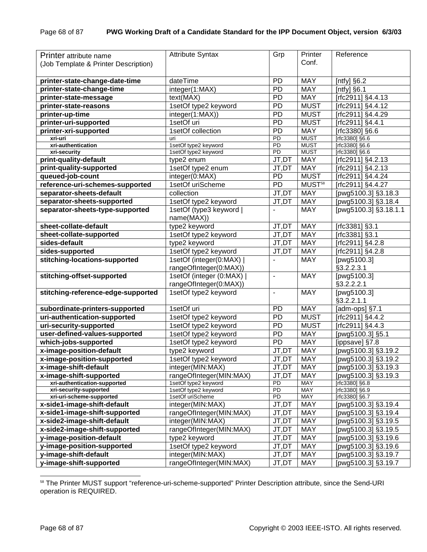| Printer attribute name               | <b>Attribute Syntax</b> | Grp                 | Printer            | Reference                  |
|--------------------------------------|-------------------------|---------------------|--------------------|----------------------------|
| (Job Template & Printer Description) |                         |                     | Conf.              |                            |
|                                      |                         |                     |                    |                            |
| printer-state-change-date-time       | dateTime                | <b>PD</b>           | <b>MAY</b>         | [ntfy] $§6.\overline{2}$   |
| printer-state-change-time            | integer(1:MAX)          | PD                  | <b>MAY</b>         | [ $n$ tfy] $§6.1$          |
| printer-state-message                | text(MAX)               | <b>PD</b>           | <b>MAY</b>         | [rfc2911] §4.4.13          |
| printer-state-reasons                | 1setOf type2 keyword    | <b>PD</b>           | <b>MUST</b>        | [rfc2911] §4.4.12          |
| printer-up-time                      | integer(1:MAX))         | PD                  | <b>MUST</b>        | [rfc2911] §4.4.29          |
| printer-uri-supported                | 1setOf uri              | <b>PD</b>           | <b>MUST</b>        | [rfc2911] §4.4.1           |
| printer-xri-supported                | 1setOf collection       | <b>PD</b>           | <b>MAY</b>         | [rfc3380] §6.6             |
| xri-uri                              | uri                     | PD                  | <b>MUST</b>        | [rfc3380] §6.6             |
| xri-authentication                   | 1setOf type2 keyword    | PD                  | <b>MUST</b>        | [rfc3380] §6.6             |
| xri-security                         | 1setOf type2 keyword    | $\overline{PD}$     | <b>MUST</b>        | [rfc3380] §6.6             |
| print-quality-default                | type2 enum              | JT,DT               | <b>MAY</b>         | [rfc2911] §4.2.13          |
| print-quality-supported              | 1setOf type2 enum       | $JT, D\overline{T}$ | <b>MAY</b>         | [rfc2911] §4.2.13          |
| queued-job-count                     | integer(0:MAX)          | PD                  | <b>MUST</b>        | [rfc2911] §4.4.24          |
| reference-uri-schemes-supported      | 1setOf uriScheme        | <b>PD</b>           | MUST <sup>58</sup> | [rfc2911] §4.4.27          |
| separator-sheets-default             | collection              | JT,DT               | <b>MAY</b>         | [pwg5100.3] §3.18.3        |
| separator-sheets-supported           | 1setOf type2 keyword    | JT,DT               | <b>MAY</b>         | [pwg5100.3] §3.18.4        |
| separator-sheets-type-supported      | 1setOf (type3 keyword)  |                     | <b>MAY</b>         | [pwg5100.3] §3.18.1.1      |
|                                      | name(MAX))              |                     |                    |                            |
| sheet-collate-default                | type2 keyword           | JT,DT               | <b>MAY</b>         | [rfc3381] §3.1             |
| sheet-collate-supported              | 1setOf type2 keyword    | JT,DT               | <b>MAY</b>         | [rfc3381] §3.1             |
| sides-default                        | type2 keyword           | JT,DT               | <b>MAY</b>         | $tri$ c2911] §4.2.8        |
| sides-supported                      | 1setOf type2 keyword    | JT,DT               | <b>MAY</b>         | [rfc2911] §4.2.8           |
| stitching-locations-supported        | 1setOf (integer(0:MAX)  | $\overline{a}$      | <b>MAY</b>         | [ $pvg5\overline{100.3}$ ] |
|                                      | rangeOfInteger(0:MAX))  |                     |                    | \$3.2.2.3.1                |
| stitching-offset-supported           | 1setOf (integer (0:MAX) | $\blacksquare$      | <b>MAY</b>         | [pwg5100.3]                |
|                                      | rangeOfInteger(0:MAX))  |                     |                    | \$3.2.2.2.1                |
| stitching-reference-edge-supported   | 1setOf type2 keyword    | $\blacksquare$      | <b>MAY</b>         | [pwg5100.3]                |
|                                      |                         |                     |                    | §3.2.2.1.1                 |
| subordinate-printers-supported       | 1setOf uri              | <b>PD</b>           | <b>MAY</b>         | [adm-ops] §7.1             |
| uri-authentication-supported         | 1setOf type2 keyword    | PD                  | <b>MUST</b>        | [rfc2911] §4.4.2           |
| uri-security-supported               | 1setOf type2 keyword    | PD                  | <b>MUST</b>        | [rfc2911] §4.4.3           |
| user-defined-values-supported        | 1setOf type2 keyword    | PD                  | <b>MAY</b>         | [pwg5100.3] §5.1           |
| which-jobs-supported                 | 1setOf type2 keyword    | <b>PD</b>           | <b>MAY</b>         | [ippsave] §7.8             |
| x-image-position-default             | type2 keyword           | JT,DT               | <b>MAY</b>         | [pwg5100.3] §3.19.2        |
| x-image-position-supported           | 1setOf type2 keyword    | JT,DT               | <b>MAY</b>         | [pwg5100.3] §3.19.2        |
| x-image-shift-default                | integer(MIN:MAX)        | JT,DT               | <b>MAY</b>         | [pwg5100.3] §3.19.3        |
| x-image-shift-supported              | rangeOfInteger(MIN:MAX) | JT,DT               | <b>MAY</b>         | [pwg5100.3] §3.19.3        |
| xri-authentication-supported         | 1setOf type2 keyword    | PD                  | MAY                | [rfc3380] §6.8             |
| xri-security-supported               | 1setOf type2 keyword    | PD                  | MAY                | [rfc3380] §6.9             |
| xri-uri-scheme-supported             | 1setOf uriScheme        | PD                  | MAY                | [rfc3380] §6.7             |
| x-side1-image-shift-default          | integer(MIN:MAX)        | JT,DT               | <b>MAY</b>         | [pwg5100.3] §3.19.4        |
| x-side1-image-shift-supported        | rangeOfInteger(MIN:MAX) | JT,DT               | <b>MAY</b>         | [pwg5100.3] §3.19.4        |
| x-side2-image-shift-default          | integer(MIN:MAX)        | JT,DT               | <b>MAY</b>         | [pwg5100.3] §3.19.5        |
| x-side2-image-shift-supported        | rangeOfInteger(MIN:MAX) | JT,DT               | <b>MAY</b>         | [pwg5100.3] §3.19.5        |
| y-image-position-default             | type2 keyword           | JT,DT               | <b>MAY</b>         | [pwg5100.3] §3.19.6        |
| y-image-position-supported           | 1setOf type2 keyword    | JT,DT               | <b>MAY</b>         | [pwg5100.3] §3.19.6        |
| y-image-shift-default                | integer(MIN:MAX)        | JT,DT               | MAY                | [pwg5100.3] §3.19.7        |
| y-image-shift-supported              | rangeOfInteger(MIN:MAX) | JT,DT               | MAY                | [pwg5100.3] §3.19.7        |

<sup>&</sup>lt;sup>58</sup> The Printer MUST support "reference-uri-scheme-supported" Printer Description attribute, since the Send-URI operation is REQUIRED.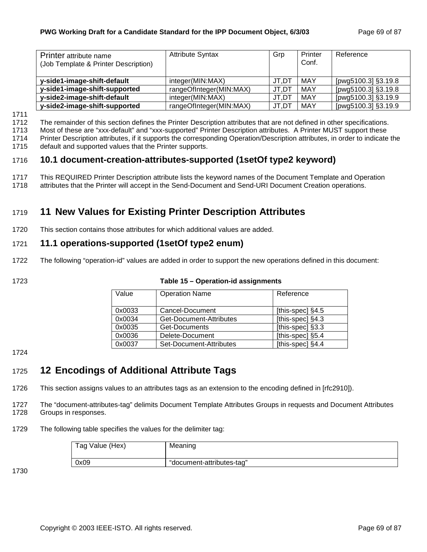| Printer attribute name<br>(Job Template & Printer Description) | <b>Attribute Syntax</b> | Grp   | Printer<br>Conf. | Reference           |
|----------------------------------------------------------------|-------------------------|-------|------------------|---------------------|
|                                                                |                         |       |                  |                     |
| y-side1-image-shift-default                                    | integer(MIN:MAX)        | JT.DT | MAY              | [pwg5100.3] §3.19.8 |
| y-side1-image-shift-supported                                  | rangeOfInteger(MIN:MAX) | JT,DT | MAY              | [pwg5100.3] §3.19.8 |
| y-side2-image-shift-default                                    | integer(MIN:MAX)        | JT.DT | MAY              | [pwg5100.3] §3.19.9 |
| y-side2-image-shift-supported                                  | rangeOfInteger(MIN:MAX) | JT,DT | MAY              | [pwg5100.3] §3.19.9 |

1711

1712 The remainder of this section defines the Printer Description attributes that are not defined in other specifications.

1713 Most of these are "xxx-default" and "xxx-supported" Printer Description attributes. A Printer MUST support these

1714 Printer Description attributes, if it supports the corresponding Operation/Description attributes, in order to indicate the 1715 default and supported values that the Printer supports.

# 1716 **10.1 document-creation-attributes-supported (1setOf type2 keyword)**

- 1717 This REQUIRED Printer Description attribute lists the keyword names of the Document Template and Operation
- 1718 attributes that the Printer will accept in the Send-Document and Send-URI Document Creation operations.

# 1719 **11 New Values for Existing Printer Description Attributes**

1720 This section contains those attributes for which additional values are added.

# 1721 **11.1 operations-supported (1setOf type2 enum)**

- 1722 The following "operation-id" values are added in order to support the new operations defined in this document:
- 

| 1723 | Table 15 – Operation-id assignments |
|------|-------------------------------------|
|------|-------------------------------------|

| Value  | <b>Operation Name</b>   | Reference          |
|--------|-------------------------|--------------------|
| 0x0033 | Cancel-Document         | [this-spec] $§4.5$ |
| 0x0034 | Get-Document-Attributes | [this-spec] §4.3   |
| 0x0035 | Get-Documents           | [this-spec] §3.3   |
| 0x0036 | Delete-Document         | [this-spec] §5.4   |
| 0x0037 | Set-Document-Attributes | [this-spec] §4.4   |

1724

# 1725 **12 Encodings of Additional Attribute Tags**

1726 This section assigns values to an attributes tags as an extension to the encoding defined in [rfc2910]).

1727 The "document-attributes-tag" delimits Document Template Attributes Groups in requests and Document Attributes 1728 Groups in responses.

#### 1729 The following table specifies the values for the delimiter tag:

| Tag Value (Hex) | Meaning                   |
|-----------------|---------------------------|
| 0x09            | "document-attributes-tag" |

1730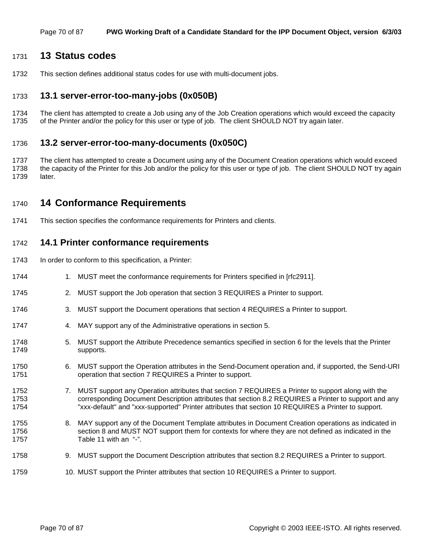### 1731 **13 Status codes**

1732 This section defines additional status codes for use with multi-document jobs.

### 1733 **13.1 server-error-too-many-jobs (0x050B)**

1734 The client has attempted to create a Job using any of the Job Creation operations which would exceed the capacity 1735 of the Printer and/or the policy for this user or type of job. The client SHOULD NOT try again later.

### 1736 **13.2 server-error-too-many-documents (0x050C)**

1737 The client has attempted to create a Document using any of the Document Creation operations which would exceed 1738 the capacity of the Printer for this Job and/or the policy for this user or type of job. The client SHOULD NOT try again 1739 later.

### 1740 **14 Conformance Requirements**

1741 This section specifies the conformance requirements for Printers and clients.

### 1742 **14.1 Printer conformance requirements**

- 1743 In order to conform to this specification, a Printer:
- 1744 1. MUST meet the conformance requirements for Printers specified in [rfc2911].
- 1745 2. MUST support the Job operation that section 3 REQUIRES a Printer to support.
- 1746 3. MUST support the Document operations that section 4 REQUIRES a Printer to support.
- 1747 4. MAY support any of the Administrative operations in section 5.
- 1748 5. MUST support the Attribute Precedence semantics specified in section 6 for the levels that the Printer 1749 supports.
- 1750 6. MUST support the Operation attributes in the Send-Document operation and, if supported, the Send-URI 1751 operation that section 7 REQUIRES a Printer to support.
- 1752 7. MUST support any Operation attributes that section 7 REQUIRES a Printer to support along with the 1753 corresponding Document Description attributes that section 8.2 REQUIRES a Printer to support and any 1754 "xxx-default" and "xxx-supported" Printer attributes that section 10 REQUIRES a Printer to support.
- 1755 8. MAY support any of the Document Template attributes in Document Creation operations as indicated in 1756 section 8 and MUST NOT support them for contexts for where they are not defined as indicated in the 1757 Table 11 with an "-".
- 1758 9. MUST support the Document Description attributes that section 8.2 REQUIRES a Printer to support.
- 1759 10. MUST support the Printer attributes that section 10 REQUIRES a Printer to support.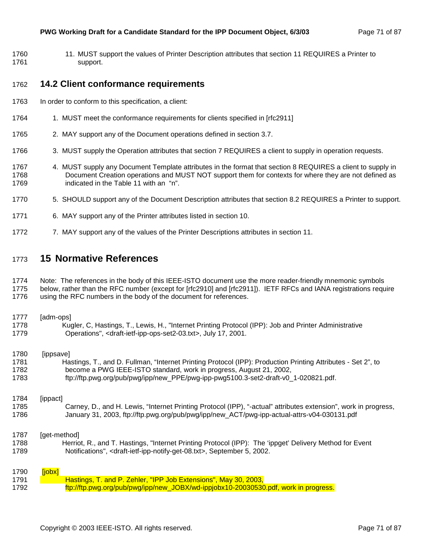1760 11. MUST support the values of Printer Description attributes that section 11 REQUIRES a Printer to 1761 support.

### 1762 **14.2 Client conformance requirements**

- 1763 In order to conform to this specification, a client:
- 1764 1. MUST meet the conformance requirements for clients specified in [rfc2911]
- 1765 2. MAY support any of the Document operations defined in section 3.7.
- 1766 3. MUST supply the Operation attributes that section 7 REQUIRES a client to supply in operation requests.
- 1767 4. MUST supply any Document Template attributes in the format that section 8 REQUIRES a client to supply in 1768 Document Creation operations and MUST NOT support them for contexts for where they are not defined as 1769 indicated in the Table 11 with an "n".
- 1770 5. SHOULD support any of the Document Description attributes that section 8.2 REQUIRES a Printer to support.
- 1771 6. MAY support any of the Printer attributes listed in section 10.
- 1772 7. MAY support any of the values of the Printer Descriptions attributes in section 11.

### 1773 **15 Normative References**

#### 1774 Note: The references in the body of this IEEE-ISTO document use the more reader-friendly mnemonic symbols

1775 below, rather than the RFC number (except for [rfc2910] and [rfc2911]). IETF RFCs and IANA registrations require 1776 using the RFC numbers in the body of the document for references.

| 1777 | [adm-ops]                                                                                                       |
|------|-----------------------------------------------------------------------------------------------------------------|
| 1778 | Kugler, C, Hastings, T., Lewis, H., "Internet Printing Protocol (IPP): Job and Printer Administrative           |
| 1779 | Operations", <draft-ietf-ipp-ops-set2-03.txt>, July 17, 2001.</draft-ietf-ipp-ops-set2-03.txt>                  |
| 1780 | [ippsave]                                                                                                       |
| 1781 | Hastings, T., and D. Fullman, "Internet Printing Protocol (IPP): Production Printing Attributes - Set 2", to    |
| 1782 | become a PWG IEEE-ISTO standard, work in progress, August 21, 2002,                                             |
| 1783 | ftp://ftp.pwg.org/pub/pwg/ipp/new_PPE/pwg-ipp-pwg5100.3-set2-draft-v0_1-020821.pdf.                             |
| 1784 | [ippact]                                                                                                        |
| 1785 | Carney, D., and H. Lewis, "Internet Printing Protocol (IPP), "-actual" attributes extension", work in progress, |
| 1786 | January 31, 2003, ftp://ftp.pwg.org/pub/pwg/ipp/new_ACT/pwg-ipp-actual-attrs-v04-030131.pdf                     |
| 1787 | [get-method]                                                                                                    |
| 1788 | Herriot, R., and T. Hastings, "Internet Printing Protocol (IPP): The 'ippget' Delivery Method for Event         |
| 1789 | Notifications", <draft-ietf-ipp-notify-get-08.txt>, September 5, 2002.</draft-ietf-ipp-notify-get-08.txt>       |
| 1790 | [jobx]                                                                                                          |
| 1791 | Hastings, T. and P. Zehler, "IPP Job Extensions", May 30, 2003,                                                 |
| 1792 | ftp://ftp.pwg.org/pub/pwg/ipp/new_JOBX/wd-ippjobx10-20030530.pdf, work in progress.                             |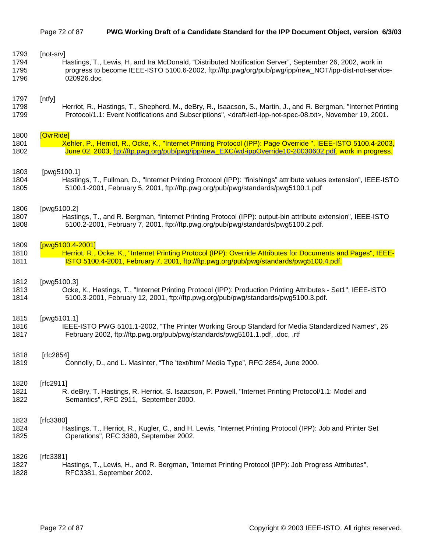### Page 72 of 87 **PWG Working Draft of a Candidate Standard for the IPP Document Object, version 6/3/03**

| 1793 | [not-srv]                                                                                                                                   |
|------|---------------------------------------------------------------------------------------------------------------------------------------------|
| 1794 | Hastings, T., Lewis, H, and Ira McDonald, "Distributed Notification Server", September 26, 2002, work in                                    |
| 1795 | progress to become IEEE-ISTO 5100.6-2002, ftp://ftp.pwg/org/pub/pwg/ipp/new_NOT/ipp-dist-not-service-                                       |
| 1796 | 020926.doc                                                                                                                                  |
| 1797 | [ntfy]                                                                                                                                      |
| 1798 | Herriot, R., Hastings, T., Shepherd, M., deBry, R., Isaacson, S., Martin, J., and R. Bergman, "Internet Printing                            |
| 1799 | Protocol/1.1: Event Notifications and Subscriptions", <draft-ietf-ipp-not-spec-08.txt>, November 19, 2001.</draft-ietf-ipp-not-spec-08.txt> |
| 1800 | [OvrRide]                                                                                                                                   |
| 1801 | Xehler, P., Herriot, R., Ocke, K., "Internet Printing Protocol (IPP): Page Override ", IEEE-ISTO 5100.4-2003,                               |
| 1802 | June 02, 2003, ftp://ftp.pwg.org/pub/pwg/ipp/new_EXC/wd-ippOverride10-20030602.pdf, work in progress.                                       |
| 1803 | [pwg5100.1]                                                                                                                                 |
| 1804 | Hastings, T., Fullman, D., "Internet Printing Protocol (IPP): "finishings" attribute values extension", IEEE-ISTO                           |
| 1805 | 5100.1-2001, February 5, 2001, ftp://ftp.pwg.org/pub/pwg/standards/pwg5100.1.pdf                                                            |
| 1806 | [pwg5100.2]                                                                                                                                 |
| 1807 | Hastings, T., and R. Bergman, "Internet Printing Protocol (IPP): output-bin attribute extension", IEEE-ISTO                                 |
| 1808 | 5100.2-2001, February 7, 2001, ftp://ftp.pwg.org/pub/pwg/standards/pwg5100.2.pdf.                                                           |
| 1809 | [pwg5100.4-2001]                                                                                                                            |
| 1810 | Herriot, R., Ocke, K., "Internet Printing Protocol (IPP): Override Attributes for Documents and Pages", IEEE-                               |
| 1811 | ISTO 5100.4-2001, February 7, 2001, ftp://ftp.pwg.org/pub/pwg/standards/pwg5100.4.pdf.                                                      |
| 1812 | [pwg5100.3]                                                                                                                                 |
| 1813 | Ocke, K., Hastings, T., "Internet Printing Protocol (IPP): Production Printing Attributes - Set1", IEEE-ISTO                                |
| 1814 | 5100.3-2001, February 12, 2001, ftp://ftp.pwg.org/pub/pwg/standards/pwg5100.3.pdf.                                                          |
| 1815 | [pwg5101.1]                                                                                                                                 |
| 1816 | IEEE-ISTO PWG 5101.1-2002, "The Printer Working Group Standard for Media Standardized Names", 26                                            |
| 1817 | February 2002, ftp://ftp.pwg.org/pub/pwg/standards/pwg5101.1.pdf, .doc, .rtf                                                                |
| 1818 | [rfc2854]                                                                                                                                   |
| 1819 | Connolly, D., and L. Masinter, "The 'text/html' Media Type", RFC 2854, June 2000.                                                           |
| 1820 | [ $rfc2911$ ]                                                                                                                               |
| 1821 | R. deBry, T. Hastings, R. Herriot, S. Isaacson, P. Powell, "Internet Printing Protocol/1.1: Model and                                       |
| 1822 | Semantics", RFC 2911, September 2000.                                                                                                       |
| 1823 | [ $rfc3380$ ]                                                                                                                               |
| 1824 | Hastings, T., Herriot, R., Kugler, C., and H. Lewis, "Internet Printing Protocol (IPP): Job and Printer Set                                 |
| 1825 | Operations", RFC 3380, September 2002.                                                                                                      |
| 1826 | [ $rfc3381$ ]                                                                                                                               |
| 1827 | Hastings, T., Lewis, H., and R. Bergman, "Internet Printing Protocol (IPP): Job Progress Attributes",                                       |
| 1828 | RFC3381, September 2002.                                                                                                                    |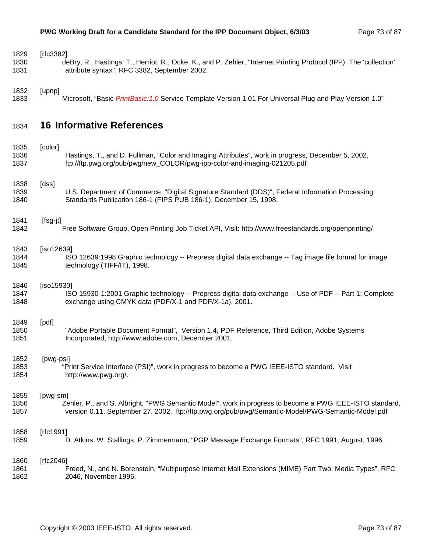| 1829 | [ $rfc3382$ ]                                                                                                      |
|------|--------------------------------------------------------------------------------------------------------------------|
| 1830 | deBry, R., Hastings, T., Herriot, R., Ocke, K., and P. Zehler, "Internet Printing Protocol (IPP): The 'collection' |
| 1831 | attribute syntax", RFC 3382, September 2002.                                                                       |
| 1832 | [upnp]                                                                                                             |
| 1833 | Microsoft, "Basic PrintBasic: 1.0 Service Template Version 1.01 For Universal Plug and Play Version 1.0"           |
| 1834 | <b>16 Informative References</b>                                                                                   |
| 1835 | [color]                                                                                                            |
| 1836 | Hastings, T., and D. Fullman, "Color and Imaging Attributes", work in progress, December 5, 2002,                  |
| 1837 | ftp://ftp.pwg.org/pub/pwg/new_COLOR/pwg-ipp-color-and-imaging-021205.pdf                                           |
| 1838 | [dss]                                                                                                              |
| 1839 | U.S. Department of Commerce, "Digital Signature Standard (DDS)", Federal Information Processing                    |
| 1840 | Standards Publication 186-1 (FIPS PUB 186-1), December 15, 1998.                                                   |
| 1841 | [fsg-jt]                                                                                                           |
| 1842 | Free Software Group, Open Printing Job Ticket API, Visit: http://www.freestandards.org/openprinting/               |
| 1843 | [ $iso12639$ ]                                                                                                     |
| 1844 | ISO 12639:1998 Graphic technology -- Prepress digital data exchange -- Tag image file format for image             |
| 1845 | technology (TIFF/IT), 1998.                                                                                        |
| 1846 | [iso15930]                                                                                                         |
| 1847 | ISO 15930-1:2001 Graphic technology -- Prepress digital data exchange -- Use of PDF -- Part 1: Complete            |
| 1848 | exchange using CMYK data (PDF/X-1 and PDF/X-1a), 2001.                                                             |
| 1849 | [pdf]                                                                                                              |
| 1850 | "Adobe Portable Document Format", Version 1.4, PDF Reference, Third Edition, Adobe Systems                         |
| 1851 | Incorporated, http://www.adobe.com, December 2001.                                                                 |
| 1852 | [pwg-psi]                                                                                                          |
| 1853 | "Print Service Interface (PSI)", work in progress to become a PWG IEEE-ISTO standard. Visit                        |
| 1854 | http://www.pwg.org/.                                                                                               |
| 1855 | [pwg-sm]                                                                                                           |
| 1856 | Zehler, P., and S. Albright, "PWG Semantic Model", work in progress to become a PWG IEEE-ISTO standard,            |
| 1857 | version 0.11, September 27, 2002. ftp://ftp.pwg.org/pub/pwg/Semantic-Model/PWG-Semantic-Model.pdf                  |
| 1858 | [ $rfc1991$ ]                                                                                                      |
| 1859 | D. Atkins, W. Stallings, P. Zimmermann, "PGP Message Exchange Formats", RFC 1991, August, 1996.                    |
| 1860 | [ $rfc2046$ ]                                                                                                      |
| 1861 | Freed, N., and N. Borenstein, "Multipurpose Internet Mail Extensions (MIME) Part Two: Media Types", RFC            |
| 1862 | 2046, November 1996.                                                                                               |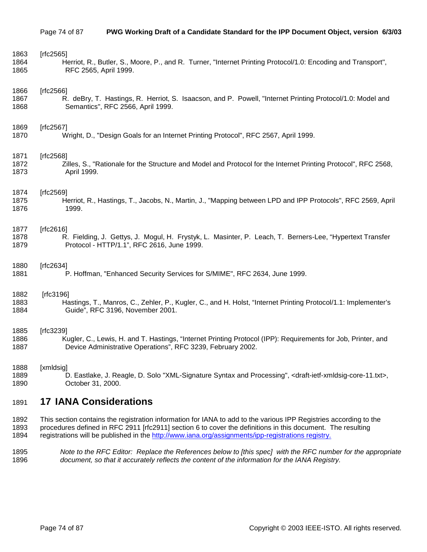| 1863 | [rfc2565]                                                                                                                                 |
|------|-------------------------------------------------------------------------------------------------------------------------------------------|
| 1864 | Herriot, R., Butler, S., Moore, P., and R. Turner, "Internet Printing Protocol/1.0: Encoding and Transport",                              |
| 1865 | RFC 2565, April 1999.                                                                                                                     |
| 1866 | [ $rfc2566$ ]                                                                                                                             |
| 1867 | R. deBry, T. Hastings, R. Herriot, S. Isaacson, and P. Powell, "Internet Printing Protocol/1.0: Model and                                 |
| 1868 | Semantics", RFC 2566, April 1999.                                                                                                         |
| 1869 | [ $rfc2567$ ]                                                                                                                             |
| 1870 | Wright, D., "Design Goals for an Internet Printing Protocol", RFC 2567, April 1999.                                                       |
| 1871 | [ $rfc2568$ ]                                                                                                                             |
| 1872 | Zilles, S., "Rationale for the Structure and Model and Protocol for the Internet Printing Protocol", RFC 2568,                            |
| 1873 | April 1999.                                                                                                                               |
| 1874 | [ $rfc2569$ ]                                                                                                                             |
| 1875 | Herriot, R., Hastings, T., Jacobs, N., Martin, J., "Mapping between LPD and IPP Protocols", RFC 2569, April                               |
| 1876 | 1999.                                                                                                                                     |
| 1877 | [ $rfc2616$ ]                                                                                                                             |
| 1878 | R. Fielding, J. Gettys, J. Mogul, H. Frystyk, L. Masinter, P. Leach, T. Berners-Lee, "Hypertext Transfer                                  |
| 1879 | Protocol - HTTP/1.1", RFC 2616, June 1999.                                                                                                |
| 1880 | [ $rfc2634$ ]                                                                                                                             |
| 1881 | P. Hoffman, "Enhanced Security Services for S/MIME", RFC 2634, June 1999.                                                                 |
| 1882 | [ $rfc3196$ ]                                                                                                                             |
| 1883 | Hastings, T., Manros, C., Zehler, P., Kugler, C., and H. Holst, "Internet Printing Protocol/1.1: Implementer's                            |
| 1884 | Guide", RFC 3196, November 2001.                                                                                                          |
| 1885 | [ $rfc3239$ ]                                                                                                                             |
| 1886 | Kugler, C., Lewis, H. and T. Hastings, "Internet Printing Protocol (IPP): Requirements for Job, Printer, and                              |
| 1887 | Device Administrative Operations", RFC 3239, February 2002.                                                                               |
| 1888 | [xmldsig]                                                                                                                                 |
| 1889 | D. Eastlake, J. Reagle, D. Solo "XML-Signature Syntax and Processing", <draft-ietf-xmldsig-core-11.txt>,</draft-ietf-xmldsig-core-11.txt> |
| 1890 | October 31, 2000.                                                                                                                         |
| 1891 | <b>17 IANA Considerations</b>                                                                                                             |
| 1892 | This section contains the registration information for IANA to add to the various IPP Registries according to the                         |
| 1893 | procedures defined in RFC 2911 [rfc2911] section 6 to cover the definitions in this document. The resulting                               |

- 1894 registrations will be published in the http://www.iana.org/assignments/ipp-registrations registry.
- 1895 *Note to the RFC Editor: Replace the References below to [this spec] with the RFC number for the appropriate*  1896 *document, so that it accurately reflects the content of the information for the IANA Registry.*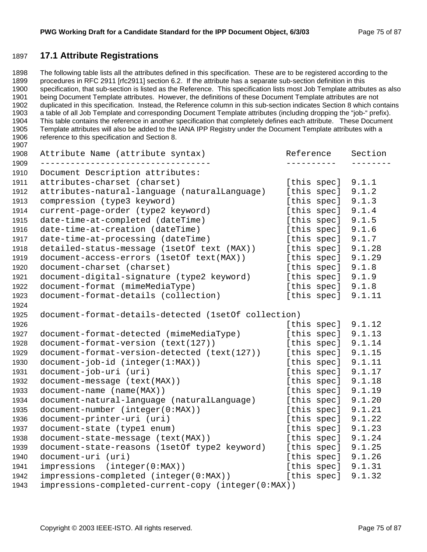### **17.1 Attribute Registrations**

1898 The following table lists all the attributes defined in this specification. These are to be registered according to the 1899 procedures in RFC 2911 [rfc2911] section 6.2. If the attribute has a separate sub-section definition in this 1900 specification, that sub-section is listed as the Reference. This specification lists most Job Template attributes as also 1901 being Document Template attributes. However, the definitions of these Document Template attributes are not 1902 duplicated in this specification. Instead, the Reference column in this sub-section indicates Section 8 which contains 1903 a table of all Job Template and corresponding Document Template attributes (including dropping the "job-" prefix). 1904 This table contains the reference in another specification that completely defines each attribute. These Document 1905 Template attributes will also be added to the IANA IPP Registry under the Document Template attributes with a 1906 reference to this specification and Section 8. 

| 1908         | Attribute Name (attribute syntax)                    | Reference   | Section |
|--------------|------------------------------------------------------|-------------|---------|
| 1909<br>1910 | Document Description attributes:                     |             |         |
| 1911         | attributes-charset (charset)                         | [this spec] | 9.1.1   |
| 1912         | attributes-natural-language (naturalLanguage)        | [this spec] | 9.1.2   |
| 1913         | compression (type3 keyword)                          | [this spec] | 9.1.3   |
| 1914         | current-page-order (type2 keyword)                   | [this spec] | 9.1.4   |
| 1915         | date-time-at-completed (dateTime)                    | [this spec] | 9.1.5   |
| 1916         | date-time-at-creation (dateTime)                     | [this spec] | 9.1.6   |
| 1917         | date-time-at-processing (dateTime)                   | [this spec] | 9.1.7   |
| 1918         | detailed-status-message (1setOf text (MAX))          | [this spec] | 9.1.28  |
| 1919         | document-access-errors (1setOf text(MAX))            | [this spec] | 9.1.29  |
| 1920         | document-charset (charset)                           | [this spec] | 9.1.8   |
| 1921         | document-digital-signature (type2 keyword)           | [this spec] | 9.1.9   |
| 1922         | document-format (mimeMediaType)                      | [this spec] | 9.1.8   |
| 1923         | document-format-details (collection)                 | [this spec] | 9.1.11  |
| 1924         |                                                      |             |         |
| 1925         | document-format-details-detected (1setOf collection) |             |         |
| 1926         |                                                      | [this spec] | 9.1.12  |
| 1927         | document-format-detected (mimeMediaType)             | [this spec] | 9.1.13  |
| 1928         | document-format-version (text(127))                  | [this spec] | 9.1.14  |
| 1929         | document-format-version-detected (text(127))         | [this spec] | 9.1.15  |
| 1930         | document-job-id (integer(1:MAX))                     | [this spec] | 9.1.11  |
| 1931         | document-job-uri (uri)                               | [this spec] | 9.1.17  |
| 1932         | document-message (text(MAX))                         | [this spec] | 9.1.18  |
| 1933         | document-name (name(MAX))                            | [this spec] | 9.1.19  |
| 1934         | document-natural-language (naturalLanguage)          | [this spec] | 9.1.20  |
| 1935         | document-number (integer(0:MAX))                     | [this spec] | 9.1.21  |
| 1936         | document-printer-uri (uri)                           | [this spec] | 9.1.22  |
| 1937         | document-state (type1 enum)                          | [this spec] | 9.1.23  |
| 1938         | document-state-message (text(MAX))                   | [this spec] | 9.1.24  |
| 1939         | document-state-reasons (1setOf type2 keyword)        | [this spec] | 9.1.25  |
| 1940         | document-uri (uri)                                   | [this spec] | 9.1.26  |
| 1941         | impressions (integer(0:MAX))                         | [this spec] | 9.1.31  |
| 1942         | impressions-completed (integer(0:MAX))               | [this spec] | 9.1.32  |
| 1943         | impressions-completed-current-copy (integer(0:MAX))  |             |         |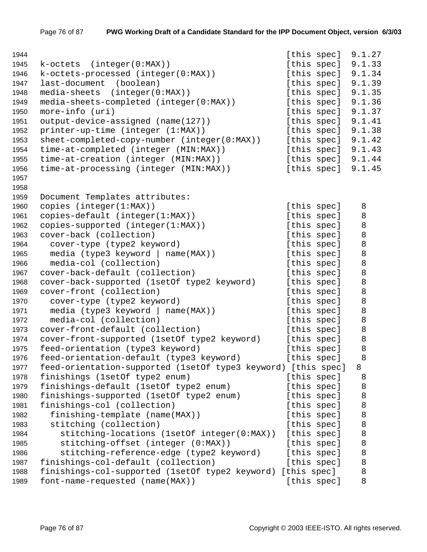| 1944 |                                                               | [this spec] |             | 9.1.27 |
|------|---------------------------------------------------------------|-------------|-------------|--------|
| 1945 | k-octets<br>(integer(0:MAX))                                  | [this spec] |             | 9.1.33 |
| 1946 | k-octets-processed (integer(0:MAX))                           |             | [this spec] | 9.1.34 |
| 1947 | last-document<br>(boolean)                                    | [this spec] |             | 9.1.39 |
| 1948 | (integer(0:MAX))<br>media-sheets                              | [this spec] |             | 9.1.35 |
| 1949 | media-sheets-completed (integer(0:MAX))                       | [this spec] |             | 9.1.36 |
| 1950 | more-info (uri)                                               | [this spec] |             | 9.1.37 |
| 1951 | output-device-assigned (name(127))                            | [this spec] |             | 9.1.41 |
| 1952 | printer-up-time (integer (1:MAX))                             | [this spec] |             | 9.1.38 |
| 1953 | $sheet-completed-copy-number (integer(0:MAX))$                |             | [this spec] | 9.1.42 |
| 1954 | time-at-completed (integer (MIN:MAX))                         |             | [this spec] | 9.1.43 |
| 1955 | time-at-creation (integer (MIN:MAX))                          |             | [this spec] | 9.1.44 |
| 1956 | time-at-processing (integer (MIN:MAX))                        | [this spec] |             | 9.1.45 |
| 1957 |                                                               |             |             |        |
| 1958 |                                                               |             |             |        |
| 1959 | Document Templates attributes:                                |             |             |        |
| 1960 | copies (integer(1:MAX))                                       | [this spec] |             | 8      |
| 1961 | copies-default (integer(1:MAX))                               | [this spec] |             | 8      |
| 1962 | copies-supported (integer(1:MAX))                             | [this spec] |             | $\, 8$ |
| 1963 | cover-back (collection)                                       | [this spec] |             | 8      |
| 1964 | cover-type (type2 keyword)                                    | [this spec] |             | 8      |
| 1965 | media (type3 keyword   name(MAX))                             | [this spec] |             | 8      |
| 1966 | media-col (collection)                                        | [this spec] |             | 8      |
| 1967 | cover-back-default (collection)                               | [this spec] |             | 8      |
| 1968 | cover-back-supported (1setOf type2 keyword)                   | [this spec] |             | 8      |
| 1969 | cover-front (collection)                                      | [this spec] |             | 8      |
| 1970 | cover-type (type2 keyword)                                    | [this spec] |             | 8      |
| 1971 | media (type3 keyword   name(MAX))                             | [this spec] |             | 8      |
| 1972 | media-col (collection)                                        | [this spec] |             | 8      |
| 1973 | cover-front-default (collection)                              | [this spec] |             | 8      |
| 1974 | cover-front-supported (1setOf type2 keyword)                  | [this spec] |             | 8      |
| 1975 | feed-orientation (type3 keyword)                              | [this spec] |             | 8      |
| 1976 | feed-orientation-default (type3 keyword)                      | [this spec] |             | 8      |
| 1977 | feed-orientation-supported (1setOf type3 keyword) [this spec] |             |             | 8      |
| 1978 | finishings (1setOf type2 enum)                                | [this spec] |             | 8      |
| 1979 | finishings-default (1setOf type2 enum)                        | [this spec] |             | 8      |
| 1980 | finishings-supported (1setOf type2 enum)                      | [this spec] |             | 8      |
| 1981 | finishings-col (collection)                                   | [this spec] |             | 8      |
| 1982 | finishing-template (name(MAX))                                | [this spec] |             | 8      |
| 1983 | stitching (collection)                                        | [this spec] |             | 8      |
| 1984 | stitching-locations (1setOf integer(0:MAX))                   | [this spec] |             | 8      |
| 1985 | stitching-offset (integer (0:MAX))                            | [this spec] |             | 8      |
| 1986 | stitching-reference-edge (type2 keyword)                      | [this spec] |             | 8      |
| 1987 | finishings-col-default (collection)                           | [this spec] |             | 8      |
| 1988 | finishings-col-supported (1setOf type2 keyword)               | [this spec] |             | 8      |
| 1989 | font-name-requested (name(MAX))                               | [this spec] |             | 8      |
|      |                                                               |             |             |        |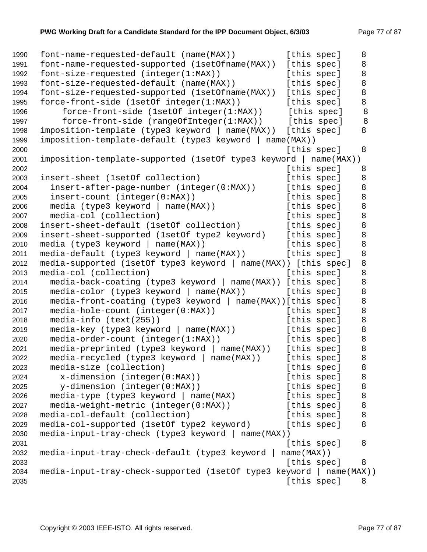```
1990 font-name-requested-default (name(MAX)) [this spec] 8 
1991 font-name-requested-supported (1setOfname(MAX)) [this spec] 8 
1992 font-size-requested (integer(1:MAX)) [this spec] 8
1993 font-size-requested-default (name(MAX)) [this spec] 8
1994 font-size-requested-supported (1setOfname(MAX)) [this spec] 8 
1995 force-front-side (1setOf integer(1:MAX)) [this spec] 8 
1996 force-front-side (1setOf integer(1:MAX)) [this spec] 8
1997 force-front-side (rangeOfInteger(1:MAX)) [this spec] 8
1998 imposition-template (type3 keyword | name(MAX)) [this spec] 8 
1999 imposition-template-default (type3 keyword | name(MAX)) 
2000 and 1.5 and 1.5 and 1.5 and 1.5 and 1.5 and 1.6 and 1.6 and 1.6 and 1.6 and 1.6 and 1.6 and 1.6 and 1.6 and 1.6 and 1.6 and 1.6 and 1.6 and 1.6 and 1.6 and 1.6 and 1.6 and 1.6 and 1.6 and 1.6 and 1.6 and 1.6 and 1.6 
2001 imposition-template-supported (1setOf type3 keyword | name(MAX)) 
2002 Example 2002 [this spec] 8
2003 insert-sheet (1setOf collection) [this spec] 8
2004 insert-after-page-number (integer(0:MAX)) [this spec] 8
2005 insert-count (integer(0:MAX)) [this spec] 8
2006 media (type3 keyword | name(MAX)) [this spec] 8
2007 media-col (collection) and this speclum species of this species of [this species 8
2008 insert-sheet-default (1setOf collection) [this spec] 8
2009 insert-sheet-supported (1setOf type2 keyword) [this spec] 8 
2010 media (type3 keyword | name(MAX)) [this spec] 8 
2011 media-default (type3 keyword | name(MAX)) [this spec] 8
2012 media-supported (1setOf type3 keyword | name(MAX)) [this spec] 8 
2013 media-col (collection) and the species of this species of [this species 8
2014 media-back-coating (type3 keyword | name(MAX)) [this spec] 8 
2015 media-color (type3 keyword | name(MAX)) [this spec] 8 
2016 media-front-coating (type3 keyword | name(MAX))[this spec] 8 
2017 media-hole-count (integer(0:MAX)) [this spec] 8
2018 media-info (text(255)) (this spec] 8
2019 media-key (type3 keyword | name(MAX)) [this spec] 8
2020 media-order-count (integer(1:MAX)) [this spec] 8 
2021 media-preprinted (type3 keyword | name(MAX)) [this spec] 8 
2022 media-recycled (type3 keyword | name(MAX)) [this spec] 8 
2023 media-size (collection) [this spec] 8 
2024 x-dimension (integer(0:MAX)) [this spec] 8 
2025 y-dimension (integer(0:MAX)) [this spec] 8
2026 media-type (type3 keyword | name(MAX) [this spec] 8 
2027 media-weight-metric (integer(0:MAX)) [this spec] 8 
2028 media-col-default (collection) [this spec] 8
2029 media-col-supported (1setOf type2 keyword) [this spec] 8
2030 media-input-tray-check (type3 keyword | name(MAX)) 
2031 [this spec] 8 
2032 media-input-tray-check-default (type3 keyword | name(MAX)) 
2033 [this spec] 8 
2034 media-input-tray-check-supported (1setOf type3 keyword | name(MAX)) 
2035 but the contract of the contract of the contract of the contract of the contract of the contract of the contract of the contract of the contract of the contract of the contract of the contract of the contract of the
```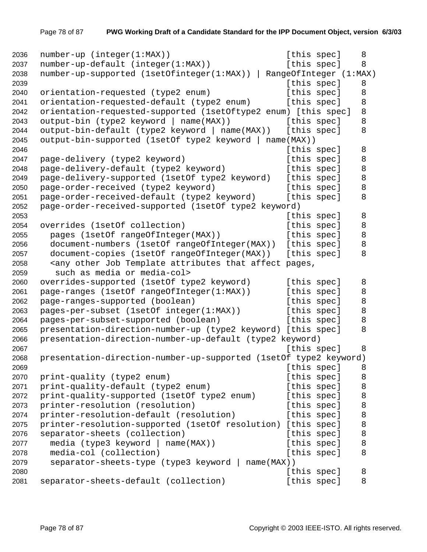```
2036 number-up (integer(1:MAX)) [this spec] 8 
2037 number-up-default (integer(1:MAX)) [this spec] 8
2038 number-up-supported (1setOfinteger(1:MAX)) | RangeOfInteger (1:MAX) 
2039 [this spec] 8 
2040 orientation-requested (type2 enum) [this spec] 8 
2041 orientation-requested-default (type2 enum) [this spec] 8 
2042 orientation-requested-supported (1setOftype2 enum) [this spec] 8 
2043 output-bin (type2 keyword | name(MAX)) [this spec] 8 
2044 output-bin-default (type2 keyword | name(MAX)) [this spec] 8 
2045 output-bin-supported (1setOf type2 keyword | name(MAX)) 
2046 [this spec] 8
2047 page-delivery (type2 keyword) [this spec] 8
2048 page-delivery-default (type2 keyword) [this spec] 8
2049 page-delivery-supported (1setOf type2 keyword) [this spec] 8 
2050 page-order-received (type2 keyword) [this spec] 8
2051 page-order-received-default (type2 keyword) [this spec] 8
2052 page-order-received-supported (1setOf type2 keyword) 
2053 [this spec] 8 
2054 overrides (1setOf collection) [this spec] 8
2055 pages (1setOf rangeOfInteger(MAX)) [this spec] 8 
2056 document-numbers (1setOf rangeOfInteger(MAX)) [this spec] 8 
2057 document-copies (1setOf rangeOfInteger(MAX)) [this spec] 8 
2058 <any other Job Template attributes that affect pages,
2059 such as media or media-col> 
2060 overrides-supported (1setOf type2 keyword) [this spec] 8
2061 page-ranges (1setOf rangeOfInteger(1:MAX)) [this spec] 8 
2062 page-ranges-supported (boolean) [this spec] 8
2063 pages-per-subset (1setOf integer(1:MAX)) [this spec] 8
2064 pages-per-subset-supported (boolean) [this spec] 8
2065 presentation-direction-number-up (type2 keyword) [this spec] 8 
2066 presentation-direction-number-up-default (type2 keyword) 
2067 but the contract of the contract of the contract of the contract of the contract of the contract of the contract of the contract of the contract of the contract of the contract of the contract of the contract of the 
2068 presentation-direction-number-up-supported (1setOf type2 keyword) 
2069 buying the contract of the contract of the contract of the contract of the contract of the contract of the contract of the contract of the contract of the contract of the contract of the contract of the contract of t
2070 print-quality (type2 enum) [this spec] 8
2071 print-quality-default (type2 enum) [this spec] 8
2072 print-quality-supported (1setOf type2 enum) [this spec] 8
2073 printer-resolution (resolution) [this spec] 8
2074 printer-resolution-default (resolution) [this spec] 8
2075 printer-resolution-supported (1setOf resolution) [this spec] 8 
2076 separator-sheets (collection) [this spec] 8
2077 media (type3 keyword | name(MAX)) [this spec] 8 
2078 media-col (collection) [this spec] 8
2079 separator-sheets-type (type3 keyword | name(MAX)) 
2080 [this spec] 8
2081 separator-sheets-default (collection) [this spec] 8
```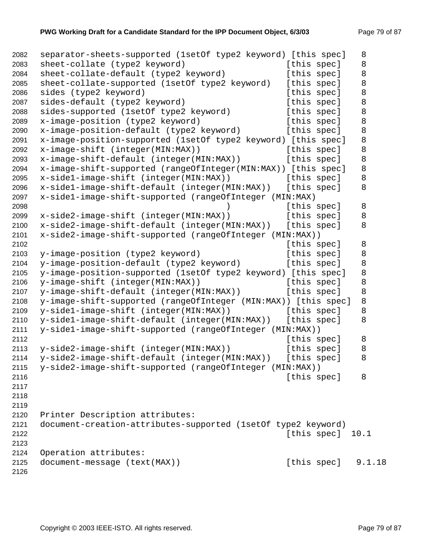```
2082 separator-sheets-supported (1setOf type2 keyword) [this spec] 8 
2083 sheet-collate (type2 keyword) [this spec] 8
2084 sheet-collate-default (type2 keyword) [this spec] 8
2085 sheet-collate-supported (1setOf type2 keyword) [this spec] 8 
2086 sides (type2 keyword) [this spec] 8 
2087 sides-default (type2 keyword) [this spec] 8
2088 sides-supported (1setOf type2 keyword) [this spec] 8
2089 x-image-position (type2 keyword) [this spec] 8 
2090 x-image-position-default (type2 keyword) [this spec] 8
2091 x-image-position-supported (1setOf type2 keyword) [this spec] 8 
2092 x-image-shift (integer(MIN:MAX)) [this spec] 8
2093 x-image-shift-default (integer(MIN:MAX)) [this spec] 8 
2094 x-image-shift-supported (rangeOfInteger(MIN:MAX)) [this spec] 8 
2095 x-side1-image-shift (integer(MIN:MAX)) [this spec] 8 
2096 x-side1-image-shift-default (integer(MIN:MAX)) [this spec] 8 
2097 x-side1-image-shift-supported (rangeOfInteger (MIN:MAX) 
2098 12098 (this spec) 8
2099 x-side2-image-shift (integer(MIN:MAX)) [this spec] 8 
2100 x-side2-image-shift-default (integer(MIN:MAX)) [this spec] 8 
2101 x-side2-image-shift-supported (rangeOfInteger (MIN:MAX)) 
2102 b a specific specific specific specific specific specific specific specific specific specific specific specific specific specific specific specific specific specific specific specific specific specific specific spec
2103 y-image-position (type2 keyword) [this spec] 8
2104 y-image-position-default (type2 keyword) [this spec] 8 
2105 y-image-position-supported (1setOf type2 keyword) [this spec] 8 
2106 y-image-shift (integer(MIN:MAX)) [this spec] 8
2107 y-image-shift-default (integer(MIN:MAX)) [this spec] 8 
2108 y-image-shift-supported (rangeOfInteger (MIN:MAX)) [this spec] 8 
2109 y-side1-image-shift (integer(MIN:MAX)) [this spec] 8
2110 y-side1-image-shift-default (integer(MIN:MAX)) [this spec] 8 
2111 y-side1-image-shift-supported (rangeOfInteger (MIN:MAX)) 
2112 Example 2112 Example 2112 Example 2112 Example 2112 Example 2112 Example 2112 Example 2112 Example 2112
2113 y-side2-image-shift (integer(MIN:MAX)) [this spec] 8
2114 y-side2-image-shift-default (integer(MIN:MAX)) [this spec] 8 
2115 y-side2-image-shift-supported (rangeOfInteger (MIN:MAX)) 
2116 Example 2116 Example 2116 Example 2116 Example 2116 Example 2116 Example 2116
2117 
2118 
2119 
2120 Printer Description attributes: 
2121 document-creation-attributes-supported (1setOf type2 keyword) 
2122 [this spec] 10.1 
2123 
2124 Operation attributes: 
2125 document-message (text(MAX)) [this spec] 9.1.18
2126
```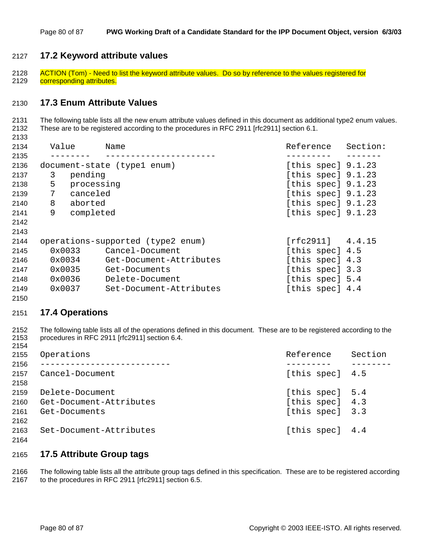#### **17.2 Keyword attribute values**

2128 ACTION (Tom) - Need to list the keyword attribute values. Do so by reference to the values registered for 2129 corresponding attributes.

#### **17.3 Enum Attribute Values**

2131 The following table lists all the new enum attribute values defined in this document as additional type2 enum values. 2132 These are to be registered according to the procedures in RFC 2911 [rfc2911] section 6.1.

| 2134 | Value          | Name                              | Reference            | Section: |
|------|----------------|-----------------------------------|----------------------|----------|
| 2135 |                |                                   |                      |          |
| 2136 |                | document-state (type1 enum)       | [this spec] $9.1.23$ |          |
| 2137 | 3<br>pending   |                                   | [this spec] $9.1.23$ |          |
| 2138 | 5              | processing                        | [this spec] $9.1.23$ |          |
| 2139 | 7<br>canceled  |                                   | [this spec] $9.1.23$ |          |
| 2140 | 8<br>aborted   |                                   | [this spec] $9.1.23$ |          |
| 2141 | 9<br>completed |                                   | [this spec] $9.1.23$ |          |
| 2142 |                |                                   |                      |          |
| 2143 |                |                                   |                      |          |
| 2144 |                | operations-supported (type2 enum) | [rfc2911] 4.4.15     |          |
| 2145 | 0x0033         | Cancel-Document                   | [this spec] 4.5      |          |
| 2146 | 0x0034         | Get-Document-Attributes           | [this spec] 4.3      |          |
| 2147 | 0x0035         | Get-Documents                     | [this spec] 3.3      |          |
| 2148 | 0x0036         | Delete-Document                   | [this spec] 5.4      |          |
| 2149 | 0x0037         | Set-Document-Attributes           | [this spec] 4.4      |          |
| 2150 |                |                                   |                      |          |

#### **17.4 Operations**

2152 The following table lists all of the operations defined in this document. These are to be registered according to the 2153 procedures in RFC 2911 [rfc2911] section 6.4. 

| 2155 | Operations              | Reference       | Section |
|------|-------------------------|-----------------|---------|
| 2156 |                         |                 |         |
| 2157 | Cancel-Document         | [this spec] 4.5 |         |
| 2158 |                         |                 |         |
| 2159 | Delete-Document         | [this spec] 5.4 |         |
| 2160 | Get-Document-Attributes | [this spec] 4.3 |         |
| 2161 | Get-Documents           | [this spec] 3.3 |         |
| 2162 |                         |                 |         |
| 2163 | Set-Document-Attributes | [this spec] 4.4 |         |
| 2164 |                         |                 |         |

#### **17.5 Attribute Group tags**

2166 The following table lists all the attribute group tags defined in this specification. These are to be registered according 2167 to the procedures in RFC 2911 [rfc2911] section 6.5.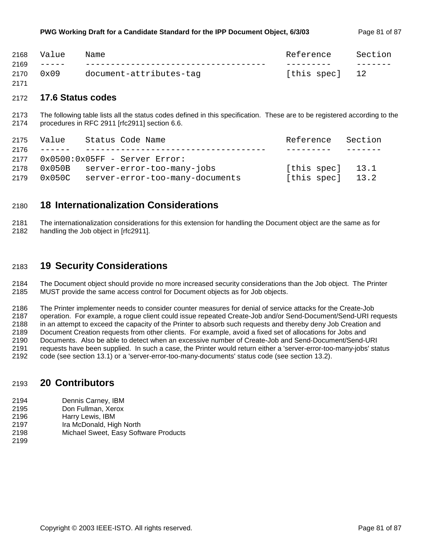| 2168 | Value | Name                         | Reference      | Section |
|------|-------|------------------------------|----------------|---------|
| 2169 |       | ____________________________ |                |         |
| 2170 | 0x09  | document-attributes-tag      | [this spec] 12 |         |

#### 2172 **17.6 Status codes**

2171

2173 The following table lists all the status codes defined in this specification. These are to be registered according to the 2174 procedures in RFC 2911 [rfc2911] section 6.6.

| 2175 | Value                                                                                                                                                                                                                                                                                                                                                                                                                                                                               | Status Code Name                | Reference          | Section |
|------|-------------------------------------------------------------------------------------------------------------------------------------------------------------------------------------------------------------------------------------------------------------------------------------------------------------------------------------------------------------------------------------------------------------------------------------------------------------------------------------|---------------------------------|--------------------|---------|
| 2176 | $\begin{tabular}{ccccccccc} \multicolumn{2}{c}{} & \multicolumn{2}{c}{} & \multicolumn{2}{c}{} & \multicolumn{2}{c}{} & \multicolumn{2}{c}{} & \multicolumn{2}{c}{} & \multicolumn{2}{c}{} & \multicolumn{2}{c}{} & \multicolumn{2}{c}{} & \multicolumn{2}{c}{} & \multicolumn{2}{c}{} & \multicolumn{2}{c}{} & \multicolumn{2}{c}{} & \multicolumn{2}{c}{} & \multicolumn{2}{c}{} & \multicolumn{2}{c}{} & \multicolumn{2}{c}{} & \multicolumn{2}{c}{} & \multicolumn{2}{c}{} & \$ |                                 |                    |         |
| 2177 |                                                                                                                                                                                                                                                                                                                                                                                                                                                                                     | $0x0500:0x05FF$ - Server Error: |                    |         |
| 2178 | 0x050B                                                                                                                                                                                                                                                                                                                                                                                                                                                                              | server-error-too-many-jobs      | [this spec] $13.1$ |         |
| 2179 | 0x050C                                                                                                                                                                                                                                                                                                                                                                                                                                                                              | server-error-too-many-documents | [this spec]        | 13.2    |

### 2180 **18 Internationalization Considerations**

2181 The internationalization considerations for this extension for handling the Document object are the same as for 2182 handling the Job object in [rfc2911].

## 2183 **19 Security Considerations**

2184 The Document object should provide no more increased security considerations than the Job object. The Printer 2185 MUST provide the same access control for Document objects as for Job objects.

2186 The Printer implementer needs to consider counter measures for denial of service attacks for the Create-Job 2187 operation. For example, a rogue client could issue repeated Create-Job and/or Send-Document/Send-URI requests 2188 in an attempt to exceed the capacity of the Printer to absorb such requests and thereby deny Job Creation and 2189 Document Creation requests from other clients. For example, avoid a fixed set of allocations for Jobs and 2190 Documents. Also be able to detect when an excessive number of Create-Job and Send-Document/Send-URI 2191 requests have been supplied. In such a case, the Printer would return either a 'server-error-too-many-jobs' status 2192 code (see section 13.1) or a 'server-error-too-many-documents' status code (see section 13.2).

## 2193 **20 Contributors**

- 2194 Dennis Carney, IBM
- 2195 Don Fullman, Xerox
- 2196 Harry Lewis, IBM
- 2197 Ira McDonald, High North
- 2198 Michael Sweet, Easy Software Products
- 2199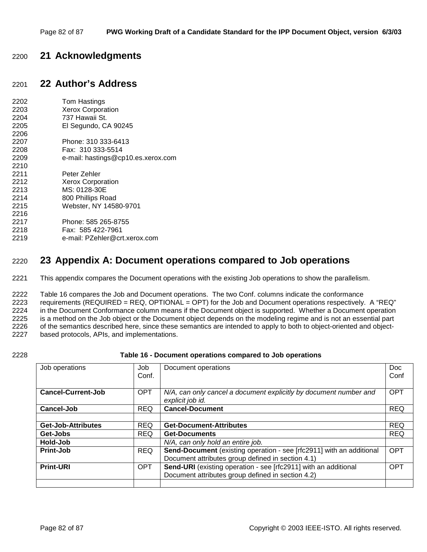# 2200 **21 Acknowledgments**

# 2201 **22 Author's Address**

| 2202 | Tom Hastings                       |
|------|------------------------------------|
| 2203 | <b>Xerox Corporation</b>           |
| 2204 | 737 Hawaii St.                     |
| 2205 | El Segundo, CA 90245               |
| 2206 |                                    |
| 2207 | Phone: 310 333-6413                |
| 2208 | Fax: 310 333-5514                  |
| 2209 | e-mail: hastings@cp10.es.xerox.com |
| 2210 |                                    |
| 2211 | Peter Zehler                       |
| 2212 | <b>Xerox Corporation</b>           |
| 2213 | MS: 0128-30E                       |
| 2214 | 800 Phillips Road                  |
| 2215 | Webster, NY 14580-9701             |
| 2216 |                                    |
| 2217 | Phone: 585 265-8755                |
| 2218 | Fax: 585 422-7961                  |
| 2219 | e-mail: PZehler@crt.xerox.com      |
|      |                                    |

# 2220 **23 Appendix A: Document operations compared to Job operations**

2221 This appendix compares the Document operations with the existing Job operations to show the parallelism.

2222 Table 16 compares the Job and Document operations. The two Conf. columns indicate the conformance 2223 requirements (REQUIRED = REQ, OPTIONAL = OPT) for the Job and Document operations respectively. A "REQ" 2224 in the Document Conformance column means if the Document object is supported. Whether a Document operation 2225 is a method on the Job object or the Document object depends on the modeling regime and is not an essential part 2226 of the semantics described here, since these semantics are intended to apply to both to object-oriented and object-2227 based protocols, APIs, and implementations.

#### 2228 **Table 16 - Document operations compared to Job operations**

| Job operations            | Job<br>Conf. | Document operations                                                                   | Doc.<br>Conf |
|---------------------------|--------------|---------------------------------------------------------------------------------------|--------------|
|                           |              |                                                                                       |              |
| <b>Cancel-Current-Job</b> | <b>OPT</b>   | N/A, can only cancel a document explicitly by document number and<br>explicit job id. | <b>OPT</b>   |
| <b>Cancel-Job</b>         | <b>REQ</b>   | <b>Cancel-Document</b>                                                                | <b>REQ</b>   |
|                           |              |                                                                                       |              |
| <b>Get-Job-Attributes</b> | <b>REQ</b>   | <b>Get-Document-Attributes</b>                                                        | <b>REQ</b>   |
| Get-Jobs                  | <b>REQ</b>   | <b>Get-Documents</b>                                                                  | <b>REQ</b>   |
| Hold-Job                  |              | N/A, can only hold an entire job.                                                     |              |
| <b>Print-Job</b>          | <b>REQ</b>   | Send-Document (existing operation - see [rfc2911] with an additional                  | <b>OPT</b>   |
|                           |              | Document attributes group defined in section 4.1)                                     |              |
| <b>Print-URI</b>          | <b>OPT</b>   | Send-URI (existing operation - see [rfc2911] with an additional                       | OPT          |
|                           |              | Document attributes group defined in section 4.2)                                     |              |
|                           |              |                                                                                       |              |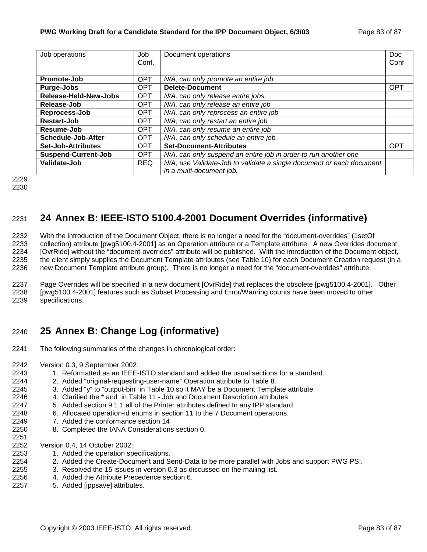| Job operations               | Job        | Document operations                                                  | Doc        |
|------------------------------|------------|----------------------------------------------------------------------|------------|
|                              | Conf.      |                                                                      | Conf       |
|                              |            |                                                                      |            |
| Promote-Job                  | <b>OPT</b> | N/A, can only promote an entire job                                  |            |
| Purge-Jobs                   | <b>OPT</b> | <b>Delete-Document</b>                                               | <b>OPT</b> |
| <b>Release-Held-New-Jobs</b> | <b>OPT</b> | N/A, can only release entire jobs                                    |            |
| Release-Job                  | <b>OPT</b> | N/A, can only release an entire job                                  |            |
| Reprocess-Job                | <b>OPT</b> | N/A, can only reprocess an entire job                                |            |
| Restart-Job                  | <b>OPT</b> | N/A, can only restart an entire job                                  |            |
| Resume-Job                   | <b>OPT</b> | N/A, can only resume an entire job                                   |            |
| Schedule-Job-After           | <b>OPT</b> | N/A, can only schedule an entire job                                 |            |
| Set-Job-Attributes           | <b>OPT</b> | <b>Set-Document-Attributes</b>                                       | <b>OPT</b> |
| <b>Suspend-Current-Job</b>   | <b>OPT</b> | N/A, can only suspend an entire job in order to run another one      |            |
| <b>Validate-Job</b>          | <b>REQ</b> | N/A, use Validate-Job to validate a single document or each document |            |
|                              |            | in a multi-document job.                                             |            |

2229 2230

# 2231 **24 Annex B: IEEE-ISTO 5100.4-2001 Document Overrides (informative)**

2232 With the introduction of the Document Object, there is no longer a need for the "document-overrides" (1setOf 2233 collection) attribute [pwg5100.4-2001] as an Operation attribute or a Template attribute. A new Overrides document 2234 [OvrRide] without the "document-overrides" attribute will be published. With the introduction of the Document object, 2235 the client simply supplies the Document Template attributes (see Table 10) for each Document Creation request (in a 2236 new Document Template attribute group). There is no longer a need for the "document-overrides" attribute.

2237 Page Overrides will be specified in a new document [OvrRide] that replaces the obsolete [pwg5100.4-2001]. Other 2238 [pwg5100.4-2001] features such as Subset Processing and Error/Warning counts have been moved to other 2239 specifications.

# 2240 **25 Annex B: Change Log (informative)**

- 2241 The following summaries of the changes in chronological order:
- 2242 Version 0.3, 9 September 2002:
- 2243 1. Reformatted as an IEEE-ISTO standard and added the usual sections for a standard.
- 2244 2. Added "original-requesting-user-name" Operation attribute to Table 8.
- 2245 3. Added "y" to "output-bin" in Table 10 so it MAY be a Document Template attribute.
- 2246 4. Clarified the \* and in Table 11 Job and Document Description attributes.
- 2247 5. Added section 9.1.1 all of the Printer attributes defined In any IPP standard.
- 2248 6. Allocated operation-id enums in section 11 to the 7 Document operations.
- 2249 7. Added the conformance section 14
- 2250 8. Completed the IANA Considerations section 0. 2251

2252 Version 0.4, 14 October 2002:

- 2253 1. Added the operation specifications.
- 2254 2. Added the Create-Document and Send-Data to be more parallel with Jobs and support PWG PSI.
- 2255 3. Resolved the 15 issues in version 0.3 as discussed on the mailing list.
- 2256 4. Added the Attribute Precedence section 6.
- 2257 5. Added [ippsave] attributes.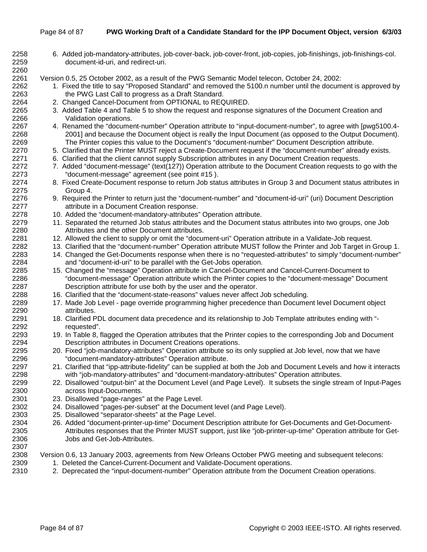#### Page 84 of 87 **PWG Working Draft of a Candidate Standard for the IPP Document Object, version 6/3/03**

- 2258 6. Added job-mandatory-attributes, job-cover-back, job-cover-front, job-copies, job-finishings, job-finishings-col. 2259 document-id-uri, and redirect-uri. 2260 2261 Version 0.5, 25 October 2002, as a result of the PWG Semantic Model telecon, October 24, 2002: 2262 1. Fixed the title to say "Proposed Standard" and removed the 5100.n number until the document is approved by 2263 the PWG Last Call to progress as a Draft Standard. 2264 2. Changed Cancel-Document from OPTIONAL to REQUIRED. 2265 3. Added Table 4 and Table 5 to show the request and response signatures of the Document Creation and 2266 Validation operations. 2267 4. Renamed the "document-number" Operation attribute to "input-document-number", to agree with [pwg5100.4- 2268 2001] and because the Document object is really the Input Document (as opposed to the Output Document). 2269 The Printer copies this value to the Document's "document-number" Document Description attribute. 2270 5. Clarified that the Printer MUST reject a Create-Document request if the "document-number" already exists. 2271 6. Clarified that the client cannot supply Subscription attributes in any Document Creation requests.<br>2272 7 Added "document-message" (text(127)) Operation attribute to the Document Creation requests to 7. Added "document-message" (text(127)) Operation attribute to the Document Creation requests to go with the 2273 "document-message" agreement (see point #15 ). 2274 8. Fixed Create-Document response to return Job status attributes in Group 3 and Document status attributes in 2275 Group 4. 2276 9. Required the Printer to return just the "document-number" and "document-id-uri" (uri) Document Description 2277 attribute in a Document Creation response. 2278 10. Added the "document-mandatory-attributes" Operation attribute. 2279 11. Separated the returned Job status attributes and the Document status attributes into two groups, one Job 2280 Attributes and the other Document attributes. 2281 12. Allowed the client to supply or omit the "document-uri" Operation attribute in a Validate-Job request. 2282 13. Clarified that the "document-number" Operation attribute MUST follow the Printer and Job Target in Group 1. 2283 14. Changed the Get-Documents response when there is no "requested-attributes" to simply "document-number" 2284 and "document-id-uri" to be parallel with the Get-Jobs operation. 2285 15. Changed the "message" Operation attribute in Cancel-Document and Cancel-Current-Document to 2286 "document-message" Operation attribute which the Printer copies to the "document-message" Document 2287 Description attribute for use both by the user and the operator. 2288 16. Clarified that the "document-state-reasons" values never affect Job scheduling. 2289 17. Made Job Level - page override programming higher precedence than Document level Document object 2290 attributes. 2291 18. Clarified PDL document data precedence and its relationship to Job Template attributes ending with "- 2292 requested". 2293 19. In Table 8, flagged the Operation attributes that the Printer copies to the corresponding Job and Document 2294 Description attributes in Document Creations operations. 2295 20. Fixed "job-mandatory-attributes" Operation attribute so its only supplied at Job level, now that we have 2296 "document-mandatory-attributes" Operation attribute. 2297 21. Clarified that "ipp-attribute-fidelity" can be supplied at both the Job and Document Levels and how it interacts 2298 with "job-mandatory-attributes" and "document-mandatory-attributes" Operation attributes. 2299 22. Disallowed "output-bin" at the Document Level (and Page Level). It subsets the single stream of Input-Pages 2300 across Input-Documents. 2301 23. Disallowed "page-ranges" at the Page Level. 2302 24. Disallowed "pages-per-subset" at the Document level (and Page Level). 2303 25. Disallowed "separator-sheets" at the Page Level. 2304 26. Added "document-printer-up-time" Document Description attribute for Get-Documents and Get-Document-2305 Attributes responses that the Printer MUST support, just like "job-printer-up-time" Operation attribute for Get-2306 Jobs and Get-Job-Attributes. 2307 2308 Version 0.6, 13 January 2003, agreements from New Orleans October PWG meeting and subsequent telecons: 2309 1. Deleted the Cancel-Current-Document and Validate-Document operations.
- 2310 2. Deprecated the "input-document-number" Operation attribute from the Document Creation operations.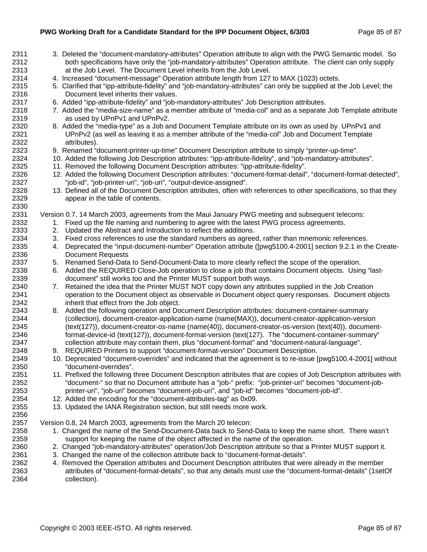- 2311 3. Deleted the "document-mandatory-attributes" Operation attribute to align with the PWG Semantic model. So 2312 both specifications have only the "job-mandatory-attributes" Operation attribute. The client can only supply 2313 at the Job Level. The Document Level inherits from the Job Level. 2314 4. Increased "document-message" Operation attribute length from 127 to MAX (1023) octets. 2315 5. Clarified that "ipp-attribute-fidelity" and "job-mandatory-attributes" can only be supplied at the Job Level; the 2316 Document level inherits their values. 2317 6. Added "ipp-attribute-fidelity" and "job-mandatory-attributes" Job Description attributes. 2318 7. Added the "media-size-name" as a member attribute of "media-col" and as a separate Job Template attribute 2319 as used by UPnPv1 and UPnPv2. 2320 8. Added the "media-type" as a Job and Document Template attribute on its own as used by UPnPv1 and 2321 UPnPv2 (as well as leaving it as a member attribute of the "media-col" Job and Document Template 2322 attributes). 2323 9. Renamed "document-printer-up-time" Document Description attribute to simply "printer-up-time". 2324 10. Added the following Job Description attributes: "ipp-attribute-fidelity", and "job-mandatory-attributes". 2325 11. Removed the following Document Description attributes: "ipp-attribute-fidelity". 2326 12. Added the following Document Description attributes: "document-format-detail", "document-format-detected", 2327 "job-id", "job-printer-uri", "job-uri", "output-device-assigned". 2328 13. Defined all of the Document Description attributes, often with references to other specifications, so that they 2329 appear in the table of contents. 2330 2331 Version 0.7, 14 March 2003, agreements from the Maui January PWG meeting and subsequent telecons: 2332 1. Fixed up the file naming and numbering to agree with the latest PWG process agreements. 2333 2. Updated the Abstract and Introduction to reflect the additions. 2334 3. Fixed cross references to use the standard numbers as agreed, rather than mnemonic references. 2335 4. Deprecated the "input-document-number" Operation attribute ([pwg5100.4-2001] section 9.2.1 in the Create-2336 Document Requests 2337 5. Renamed Send-Data to Send-Document-Data to more clearly reflect the scope of the operation. 2338 6. Added the REQUIRED Close-Job operation to close a job that contains Document objects. Using "last-2339 document" still works too and the Printer MUST support both ways. 2340 7. Retained the idea that the Printer MUST NOT copy down any attributes supplied in the Job Creation 2341 operation to the Document object as observable in Document object query responses. Document objects 2342 inherit that effect from the Job object. 2343 8. Added the following operation and Document Description attributes: document-container-summary 2344 (collection), document-creator-application-name (name(MAX)), document-creator-application-version 2345 (text(127)), document-creator-os-name (name(40)), document-creator-os-version (text(40)), document-2346 format-device-id (text(127)), document-format-version (text(127). The "document-container-summary" 2347 collection attribute may contain them, plus "document-format" and "document-natural-language". 2348 9. REQUIRED Printers to support "document-format-version" Document Description. 2349 10. Deprecated "document-overrides" and indicated that the agreement is to re-issue [pwg5100.4-2001] without 2350 "document-overrides". 2351 11. Prefixed the following three Document Description attributes that are copies of Job Description attributes with 2352 "document-" so that no Document attribute has a "job-" prefix: "job-printer-uri" becomes "document-job-2353 printer-uri", "job-uri" becomes "document-job-uri", and "job-id" becomes "document-job-id". 2354 12. Added the encoding for the "document-attributes-tag" as 0x09. 2355 13. Updated the IANA Registration section, but still needs more work. 2356 2357 Version 0.8, 24 March 2003, agreements from the March 20 telecon: 2358 1. Changed the name of the Send-Document-Data back to Send-Data to keep the name short. There wasn't 2359 support for keeping the name of the object affected in the name of the operation. 2360 2. Changed "job-mandatory-attributes" operation/Job Description attribute so that a Printer MUST support it. 2361 3. Changed the name of the collection attribute back to "document-format-details".
- 2362 4. Removed the Operation attributes and Document Description attributes that were already in the member 2363 attributes of "document-format-details", so that any details must use the "document-format-details" (1setOf 2364 collection).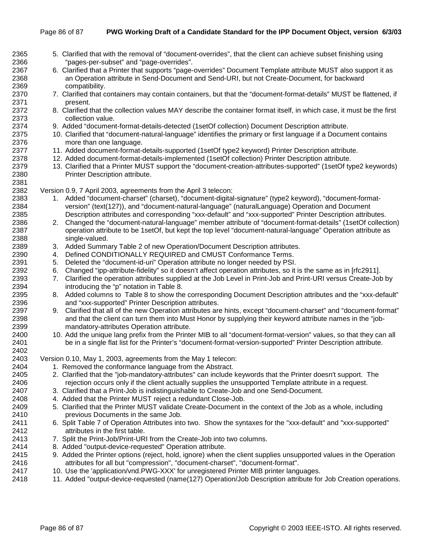| 2365 | 5. Clarified that with the removal of "document-overrides", that the client can achieve subset finishing using                                                                                  |
|------|-------------------------------------------------------------------------------------------------------------------------------------------------------------------------------------------------|
| 2366 | "pages-per-subset" and "page-overrides".                                                                                                                                                        |
| 2367 | 6. Clarified that a Printer that supports "page-overrides" Document Template attribute MUST also support it as                                                                                  |
| 2368 | an Operation attribute in Send-Document and Send-URI, but not Create-Document, for backward                                                                                                     |
| 2369 | compatibility.                                                                                                                                                                                  |
| 2370 | 7. Clarified that containers may contain containers, but that the "document-format-details" MUST be flattened, if                                                                               |
| 2371 | present.                                                                                                                                                                                        |
| 2372 | 8. Clarified that the collection values MAY describe the container format itself, in which case, it must be the first                                                                           |
| 2373 | collection value.                                                                                                                                                                               |
| 2374 | 9. Added "document-format-details-detected (1setOf collection) Document Description attribute.                                                                                                  |
| 2375 | 10. Clarified that "document-natural-language" identifies the primary or first language if a Document contains                                                                                  |
| 2376 | more than one language.                                                                                                                                                                         |
| 2377 | 11. Added document-format-details-supported (1setOf type2 keyword) Printer Description attribute.                                                                                               |
| 2378 | 12. Added document-format-details-implemented (1setOf collection) Printer Description attribute.                                                                                                |
| 2379 | 13. Clarified that a Printer MUST support the "document-creation-attributes-supported" (1setOf type2 keywords)                                                                                  |
| 2380 | Printer Description attribute.                                                                                                                                                                  |
| 2381 |                                                                                                                                                                                                 |
| 2382 | Version 0.9, 7 April 2003, agreements from the April 3 telecon:                                                                                                                                 |
| 2383 | 1. Added "document-charset" (charset), "document-digital-signature" (type2 keyword), "document-format-                                                                                          |
| 2384 | version" (text(127)), and "document-natural-language" (naturalLanguage) Operation and Document                                                                                                  |
| 2385 | Description attributes and corresponding "xxx-default" and "xxx-supported" Printer Description attributes.                                                                                      |
| 2386 | Changed the "document-natural-language" member attribute of "document-format-details" (1setOf collection)<br>2.                                                                                 |
| 2387 | operation attribute to be 1setOf, but kept the top level "document-natural-language" Operation attribute as                                                                                     |
| 2388 | single-valued.                                                                                                                                                                                  |
| 2389 |                                                                                                                                                                                                 |
| 2390 | 3. Added Summary Table 2 of new Operation/Document Description attributes.<br>4. Defined CONDITIONALLY REQUIRED and CMUST Conformance Terms.                                                    |
| 2391 |                                                                                                                                                                                                 |
| 2392 | 5. Deleted the "document-id-uri" Operation attribute no longer needed by PSI.<br>Changed "ipp-attribute-fidelity" so it doesn't affect operation attributes, so it is the same as in [rfc2911]. |
| 2393 | 6.                                                                                                                                                                                              |
|      | Clarified the operation attributes supplied at the Job Level in Print-Job and Print-URI versus Create-Job by<br>7.                                                                              |
| 2394 | introducing the "p" notation in Table 8.                                                                                                                                                        |
| 2395 | Added columns to Table 8 to show the corresponding Document Description attributes and the "xxx-default"<br>8.                                                                                  |
| 2396 | and "xxx-supported" Printer Description attributes.                                                                                                                                             |
| 2397 | Clarified that all of the new Operation attributes are hints, except "document-charset" and "document-format"<br>9.                                                                             |
| 2398 | and that the client can turn them into Must Honor by supplying their keyword attribute names in the "job-                                                                                       |
| 2399 | mandatory-attributes Operation attribute.                                                                                                                                                       |
| 2400 | 10. Add the unique lang prefix from the Printer MIB to all "document-format-version" values, so that they can all                                                                               |
| 2401 | be in a single flat list for the Printer's "document-format-version-supported" Printer Description attribute.                                                                                   |
| 2402 |                                                                                                                                                                                                 |
| 2403 | Version 0.10, May 1, 2003, agreements from the May 1 telecon:                                                                                                                                   |
| 2404 | 1. Removed the conformance language from the Abstract.                                                                                                                                          |
| 2405 | 2. Clarified that the "job-mandatory-attributes" can include keywords that the Printer doesn't support. The                                                                                     |
| 2406 | rejection occurs only if the client actually supplies the unsupported Template attribute in a request.                                                                                          |
| 2407 | 3. Clarified that a Print-Job is indistinguishable to Create-Job and one Send-Document.                                                                                                         |
| 2408 | 4. Added that the Printer MUST reject a redundant Close-Job.                                                                                                                                    |
| 2409 | 5. Clarified that the Printer MUST validate Create-Document in the context of the Job as a whole, including                                                                                     |
| 2410 | previous Documents in the same Job.                                                                                                                                                             |
| 2411 | 6. Split Table 7 of Operation Attributes into two. Show the syntaxes for the "xxx-default" and "xxx-supported"                                                                                  |
| 2412 | attributes in the first table.                                                                                                                                                                  |
| 2413 | 7. Split the Print-Job/Print-URI from the Create-Job into two columns.                                                                                                                          |
| 2414 | 8. Added "output-device-requested" Operation attribute.                                                                                                                                         |
| 2415 | 9. Added the Printer options (reject, hold, ignore) when the client supplies unsupported values in the Operation                                                                                |
| 2416 | attributes for all but "compression", "document-charset", "document-format".                                                                                                                    |
| 2417 | 10. Use the 'application/vnd.PWG-XXX' for unregistered Printer MIB printer languages.                                                                                                           |

2418 11. Added "output-device-requested (name(127) Operation/Job Description attribute for Job Creation operations.